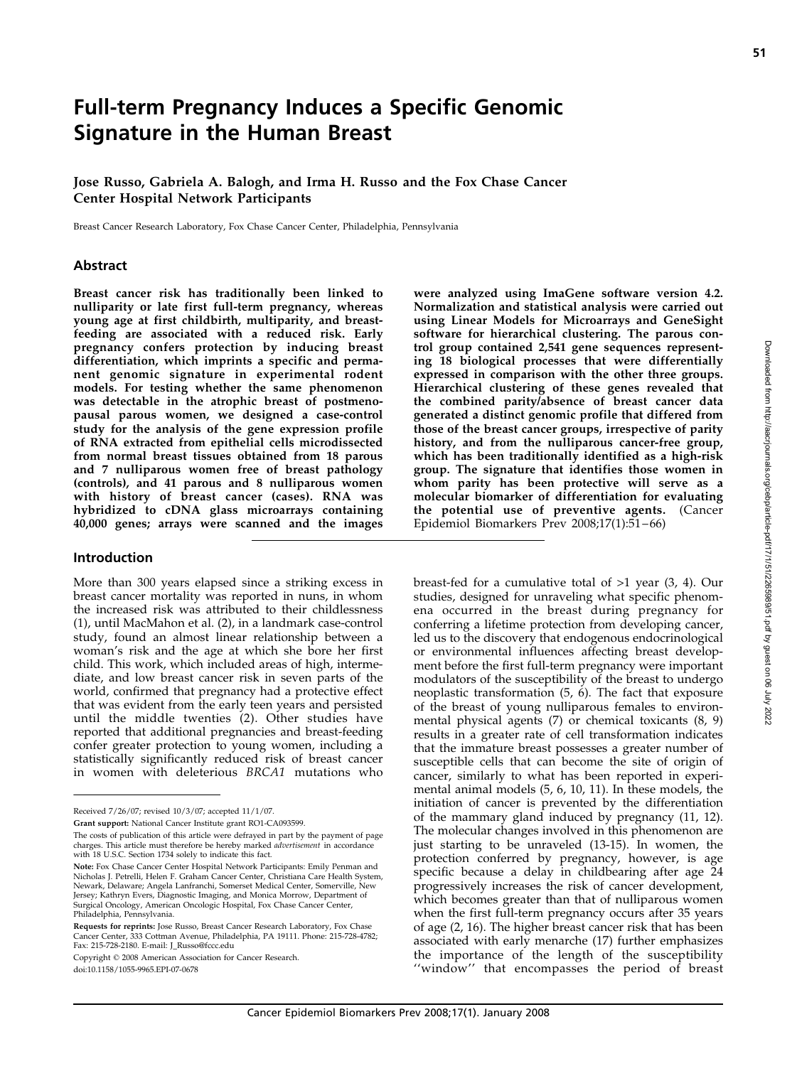# Full-term Pregnancy Induces a Specific Genomic Signature in the Human Breast

Jose Russo, Gabriela A. Balogh, and Irma H. Russo and the Fox Chase Cancer Center Hospital Network Participants

Breast Cancer Research Laboratory, Fox Chase Cancer Center, Philadelphia, Pennsylvania

#### Abstract

Breast cancer risk has traditionally been linked to nulliparity or late first full-term pregnancy, whereas young age at first childbirth, multiparity, and breastfeeding are associated with a reduced risk. Early pregnancy confers protection by inducing breast differentiation, which imprints a specific and permanent genomic signature in experimental rodent models. For testing whether the same phenomenon was detectable in the atrophic breast of postmenopausal parous women, we designed a case-control study for the analysis of the gene expression profile of RNA extracted from epithelial cells microdissected from normal breast tissues obtained from 18 parous and 7 nulliparous women free of breast pathology (controls), and 41 parous and 8 nulliparous women with history of breast cancer (cases). RNA was hybridized to cDNA glass microarrays containing 40,000 genes; arrays were scanned and the images

#### Introduction

More than 300 years elapsed since a striking excess in breast cancer mortality was reported in nuns, in whom the increased risk was attributed to their childlessness (1), until MacMahon et al. (2), in a landmark case-control study, found an almost linear relationship between a woman's risk and the age at which she bore her first child. This work, which included areas of high, intermediate, and low breast cancer risk in seven parts of the world, confirmed that pregnancy had a protective effect that was evident from the early teen years and persisted until the middle twenties (2). Other studies have reported that additional pregnancies and breast-feeding confer greater protection to young women, including a statistically significantly reduced risk of breast cancer in women with deleterious BRCA1 mutations who were analyzed using ImaGene software version 4.2. Normalization and statistical analysis were carried out using Linear Models for Microarrays and GeneSight software for hierarchical clustering. The parous control group contained 2,541 gene sequences representing 18 biological processes that were differentially expressed in comparison with the other three groups. Hierarchical clustering of these genes revealed that the combined parity/absence of breast cancer data generated a distinct genomic profile that differed from those of the breast cancer groups, irrespective of parity history, and from the nulliparous cancer-free group, which has been traditionally identified as a high-risk group. The signature that identifies those women in whom parity has been protective will serve as a molecular biomarker of differentiation for evaluating the potential use of preventive agents. (Cancer Epidemiol Biomarkers Prev 2008;17(1):51 – 66)

breast-fed for a cumulative total of >1 year (3, 4). Our studies, designed for unraveling what specific phenomena occurred in the breast during pregnancy for conferring a lifetime protection from developing cancer, led us to the discovery that endogenous endocrinological or environmental influences affecting breast development before the first full-term pregnancy were important modulators of the susceptibility of the breast to undergo neoplastic transformation (5, 6). The fact that exposure of the breast of young nulliparous females to environmental physical agents (7) or chemical toxicants (8, 9) results in a greater rate of cell transformation indicates that the immature breast possesses a greater number of susceptible cells that can become the site of origin of cancer, similarly to what has been reported in experimental animal models (5, 6, 10, 11). In these models, the initiation of cancer is prevented by the differentiation of the mammary gland induced by pregnancy (11, 12). The molecular changes involved in this phenomenon are just starting to be unraveled (13-15). In women, the protection conferred by pregnancy, however, is age specific because a delay in childbearing after age 24 progressively increases the risk of cancer development, which becomes greater than that of nulliparous women when the first full-term pregnancy occurs after 35 years of age (2, 16). The higher breast cancer risk that has been associated with early menarche (17) further emphasizes the importance of the length of the susceptibility ''window'' that encompasses the period of breast

Received 7/26/07; revised 10/3/07; accepted 11/1/07.

Grant support: National Cancer Institute grant RO1-CA093599.

The costs of publication of this article were defrayed in part by the payment of page charges. This article must therefore be hereby marked *advertisement* in accordance with 18 U.S.C. Section 1734 solely to indicate this fact.

Note: Fox Chase Cancer Center Hospital Network Participants: Emily Penman and Nicholas J. Petrelli, Helen F. Graham Cancer Center, Christiana Care Health System,<br>Newark, Delaware; Angela Lanfranchi, Somerset Medical Center, Somerville, New Jersey; Kathryn Evers, Diagnostic Imaging, and Monica Morrow, Department of<br>Surgical Oncology, American Oncologic Hospital, Fox Chase Cancer Center,<br>Philadelphia, Pennsylvania.

Requests for reprints: Jose Russo, Breast Cancer Research Laboratory, Fox Chase Cancer Center, 333 Cottman Avenue, Philadelphia, PA 19111. Phone: 215-728-4782; Fax: 215-728-2180. E-mail: J\_Russo@fccc.edu

Copyright © 2008 American Association for Cancer Research.

doi:10.1158/1055-9965.EPI-07-0678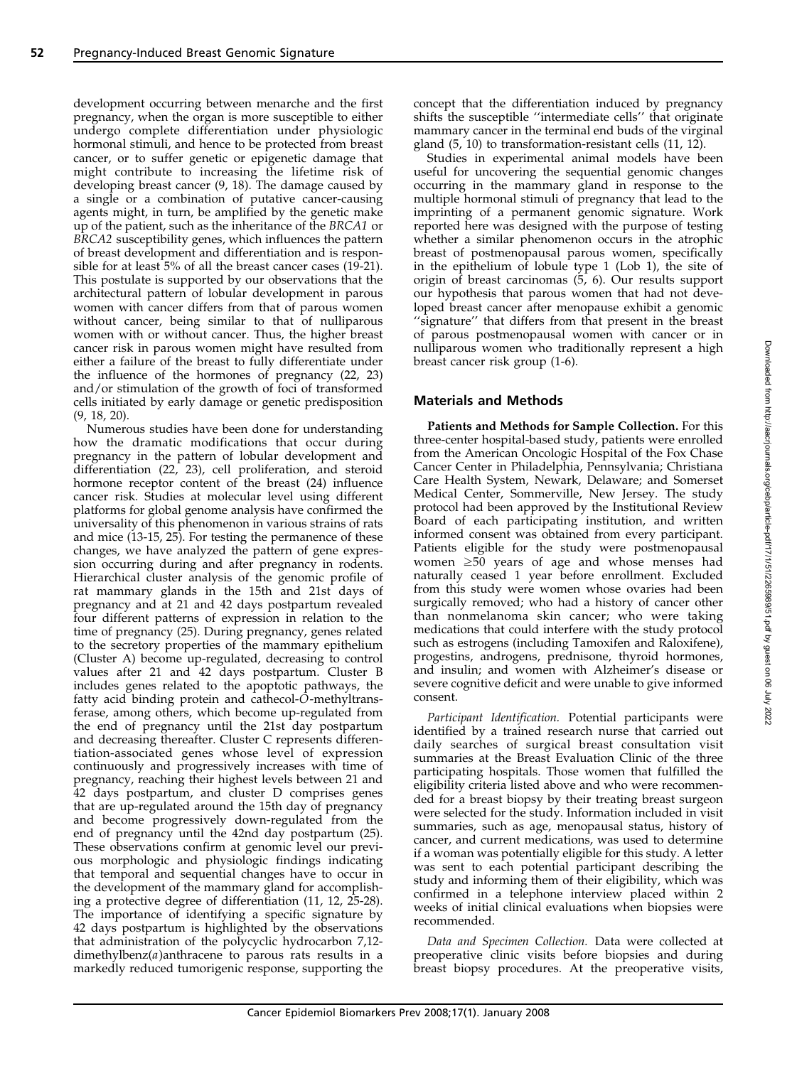development occurring between menarche and the first pregnancy, when the organ is more susceptible to either undergo complete differentiation under physiologic hormonal stimuli, and hence to be protected from breast cancer, or to suffer genetic or epigenetic damage that might contribute to increasing the lifetime risk of developing breast cancer (9, 18). The damage caused by a single or a combination of putative cancer-causing agents might, in turn, be amplified by the genetic make up of the patient, such as the inheritance of the BRCA1 or BRCA2 susceptibility genes, which influences the pattern of breast development and differentiation and is responsible for at least 5% of all the breast cancer cases (19-21). This postulate is supported by our observations that the architectural pattern of lobular development in parous women with cancer differs from that of parous women without cancer, being similar to that of nulliparous women with or without cancer. Thus, the higher breast cancer risk in parous women might have resulted from either a failure of the breast to fully differentiate under the influence of the hormones of pregnancy (22, 23) and/or stimulation of the growth of foci of transformed cells initiated by early damage or genetic predisposition (9, 18, 20).

Numerous studies have been done for understanding how the dramatic modifications that occur during pregnancy in the pattern of lobular development and differentiation (22, 23), cell proliferation, and steroid hormone receptor content of the breast (24) influence cancer risk. Studies at molecular level using different platforms for global genome analysis have confirmed the universality of this phenomenon in various strains of rats and mice (13-15, 25). For testing the permanence of these changes, we have analyzed the pattern of gene expression occurring during and after pregnancy in rodents. Hierarchical cluster analysis of the genomic profile of rat mammary glands in the 15th and 21st days of pregnancy and at 21 and 42 days postpartum revealed four different patterns of expression in relation to the time of pregnancy (25). During pregnancy, genes related to the secretory properties of the mammary epithelium (Cluster A) become up-regulated, decreasing to control values after 21 and 42 days postpartum. Cluster B includes genes related to the apoptotic pathways, the fatty acid binding protein and cathecol-O-methyltransferase, among others, which become up-regulated from the end of pregnancy until the 21st day postpartum and decreasing thereafter. Cluster C represents differentiation-associated genes whose level of expression continuously and progressively increases with time of pregnancy, reaching their highest levels between 21 and 42 days postpartum, and cluster D comprises genes that are up-regulated around the 15th day of pregnancy and become progressively down-regulated from the end of pregnancy until the 42nd day postpartum (25). These observations confirm at genomic level our previous morphologic and physiologic findings indicating that temporal and sequential changes have to occur in the development of the mammary gland for accomplishing a protective degree of differentiation (11, 12, 25-28). The importance of identifying a specific signature by 42 days postpartum is highlighted by the observations that administration of the polycyclic hydrocarbon 7,12 dimethylbenz(a)anthracene to parous rats results in a markedly reduced tumorigenic response, supporting the concept that the differentiation induced by pregnancy shifts the susceptible ''intermediate cells'' that originate mammary cancer in the terminal end buds of the virginal gland (5, 10) to transformation-resistant cells (11, 12).

Studies in experimental animal models have been useful for uncovering the sequential genomic changes occurring in the mammary gland in response to the multiple hormonal stimuli of pregnancy that lead to the imprinting of a permanent genomic signature. Work reported here was designed with the purpose of testing whether a similar phenomenon occurs in the atrophic breast of postmenopausal parous women, specifically in the epithelium of lobule type 1 (Lob 1), the site of origin of breast carcinomas (5, 6). Our results support our hypothesis that parous women that had not developed breast cancer after menopause exhibit a genomic "signature" that differs from that present in the breast of parous postmenopausal women with cancer or in nulliparous women who traditionally represent a high breast cancer risk group (1-6).

## Materials and Methods

Patients and Methods for Sample Collection. For this three-center hospital-based study, patients were enrolled from the American Oncologic Hospital of the Fox Chase Cancer Center in Philadelphia, Pennsylvania;Christiana Care Health System, Newark, Delaware; and Somerset Medical Center, Sommerville, New Jersey. The study protocol had been approved by the Institutional Review Board of each participating institution, and written informed consent was obtained from every participant. Patients eligible for the study were postmenopausal women  $\geq 50$  years of age and whose menses had naturally ceased 1 year before enrollment. Excluded from this study were women whose ovaries had been surgically removed; who had a history of cancer other than nonmelanoma skin cancer; who were taking medications that could interfere with the study protocol such as estrogens (including Tamoxifen and Raloxifene), progestins, androgens, prednisone, thyroid hormones, and insulin; and women with Alzheimer's disease or severe cognitive deficit and were unable to give informed consent.

Participant Identification. Potential participants were identified by a trained research nurse that carried out daily searches of surgical breast consultation visit summaries at the Breast Evaluation Clinic of the three participating hospitals. Those women that fulfilled the eligibility criteria listed above and who were recommended for a breast biopsy by their treating breast surgeon were selected for the study. Information included in visit summaries, such as age, menopausal status, history of cancer, and current medications, was used to determine if a woman was potentially eligible for this study. A letter was sent to each potential participant describing the study and informing them of their eligibility, which was confirmed in a telephone interview placed within 2 weeks of initial clinical evaluations when biopsies were recommended.

Data and Specimen Collection. Data were collected at preoperative clinic visits before biopsies and during breast biopsy procedures. At the preoperative visits,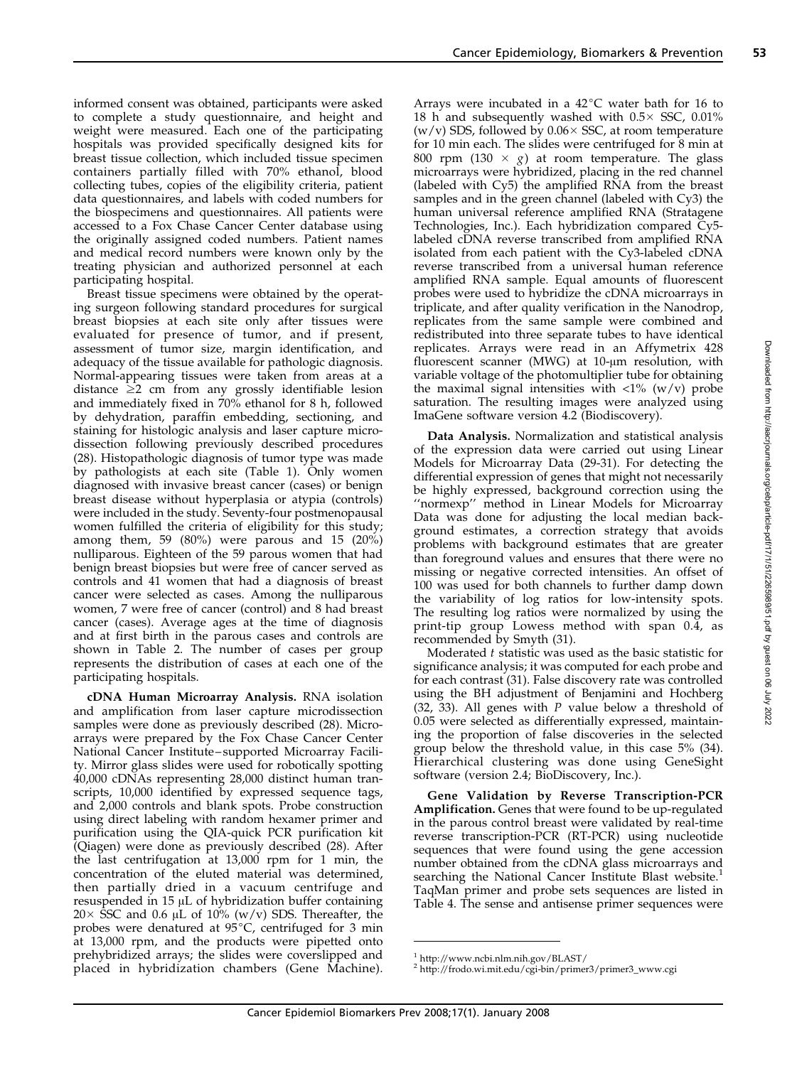informed consent was obtained, participants were asked to complete a study questionnaire, and height and weight were measured. Each one of the participating hospitals was provided specifically designed kits for breast tissue collection, which included tissue specimen containers partially filled with 70% ethanol, blood collecting tubes, copies of the eligibility criteria, patient data questionnaires, and labels with coded numbers for the biospecimens and questionnaires. All patients were accessed to a Fox Chase Cancer Center database using the originally assigned coded numbers. Patient names and medical record numbers were known only by the treating physician and authorized personnel at each participating hospital.

Breast tissue specimens were obtained by the operating surgeon following standard procedures for surgical breast biopsies at each site only after tissues were evaluated for presence of tumor, and if present, assessment of tumor size, margin identification, and adequacy of the tissue available for pathologic diagnosis. Normal-appearing tissues were taken from areas at a distance  $\geq 2$  cm from any grossly identifiable lesion and immediately fixed in  $70\%$  ethanol for 8 h, followed by dehydration, paraffin embedding, sectioning, and staining for histologic analysis and laser capture microdissection following previously described procedures (28). Histopathologic diagnosis of tumor type was made by pathologists at each site (Table 1). Only women diagnosed with invasive breast cancer (cases) or benign breast disease without hyperplasia or atypia (controls) were included in the study. Seventy-four postmenopausal women fulfilled the criteria of eligibility for this study; among them, 59 (80%) were parous and 15 (20%) nulliparous. Eighteen of the 59 parous women that had benign breast biopsies but were free of cancer served as controls and 41 women that had a diagnosis of breast cancer were selected as cases. Among the nulliparous women, 7 were free of cancer (control) and 8 had breast cancer (cases). Average ages at the time of diagnosis and at first birth in the parous cases and controls are shown in Table 2. The number of cases per group represents the distribution of cases at each one of the participating hospitals.

cDNA Human Microarray Analysis. RNA isolation and amplification from laser capture microdissection samples were done as previously described (28). Microarrays were prepared by the Fox Chase Cancer Center National Cancer Institute – supported Microarray Facility. Mirror glass slides were used for robotically spotting 40,000 cDNAs representing 28,000 distinct human transcripts, 10,000 identified by expressed sequence tags, and 2,000 controls and blank spots. Probe construction using direct labeling with random hexamer primer and purification using the QIA-quick PCR purification kit (Qiagen) were done as previously described (28). After the last centrifugation at 13,000 rpm for 1 min, the concentration of the eluted material was determined, then partially dried in a vacuum centrifuge and resuspended in 15  $\mu$ L of hybridization buffer containing 20  $\times$  SSC and 0.6 µL of 10% (w/v) SDS. Thereafter, the probes were denatured at  $95^{\circ}$ C, centrifuged for 3 min at 13,000 rpm, and the products were pipetted onto prehybridized arrays; the slides were coverslipped and placed in hybridization chambers (Gene Machine). Arrays were incubated in a  $42^{\circ}$ C water bath for 16 to 18 h and subsequently washed with  $0.5 \times$  SSC,  $0.01\%$  $(w/v)$  SDS, followed by 0.06 $\times$  SSC, at room temperature for 10 min each. The slides were centrifuged for 8 min at 800 rpm (130  $\times$  g) at room temperature. The glass microarrays were hybridized, placing in the red channel (labeled with Cy5) the amplified RNA from the breast samples and in the green channel (labeled with Cy3) the human universal reference amplified RNA (Stratagene Technologies, Inc.). Each hybridization compared Cy5 labeled cDNA reverse transcribed from amplified RNA isolated from each patient with the Cy3-labeled cDNA reverse transcribed from a universal human reference amplified RNA sample. Equal amounts of fluorescent probes were used to hybridize the cDNA microarrays in triplicate, and after quality verification in the Nanodrop, replicates from the same sample were combined and redistributed into three separate tubes to have identical replicates. Arrays were read in an Affymetrix 428 fluorescent scanner (MWG) at 10-um resolution, with variable voltage of the photomultiplier tube for obtaining the maximal signal intensities with  $\langle 1\% \, (\text{w/v}) \, \text{probe} \rangle$ saturation. The resulting images were analyzed using ImaGene software version 4.2 (Biodiscovery).

Data Analysis. Normalization and statistical analysis of the expression data were carried out using Linear Models for Microarray Data (29-31). For detecting the differential expression of genes that might not necessarily be highly expressed, background correction using the "normexp" method in Linear Models for Microarray Data was done for adjusting the local median background estimates, a correction strategy that avoids problems with background estimates that are greater than foreground values and ensures that there were no missing or negative corrected intensities. An offset of 100 was used for both channels to further damp down the variability of log ratios for low-intensity spots. The resulting log ratios were normalized by using the print-tip group Lowess method with span 0.4, as recommended by Smyth (31).

Moderated t statistic was used as the basic statistic for significance analysis; it was computed for each probe and for each contrast (31). False discovery rate was controlled using the BH adjustment of Benjamini and Hochberg (32, 33). All genes with  $P$  value below a threshold of 0.05 were selected as differentially expressed, maintaining the proportion of false discoveries in the selected group below the threshold value, in this case 5% (34). Hierarchical clustering was done using GeneSight software (version 2.4; BioDiscovery, Inc.).

Gene Validation by Reverse Transcription-PCR Amplification. Genes that were found to be up-regulated in the parous control breast were validated by real-time reverse transcription-PCR (RT-PCR) using nucleotide sequences that were found using the gene accession number obtained from the cDNA glass microarrays and searching the National Cancer Institute Blast website.<sup>1</sup> TaqMan primer and probe sets sequences are listed in Table 4. The sense and antisense primer sequences were

<sup>1</sup> http://www.ncbi.nlm.nih.gov/BLAST/ <sup>2</sup> http://frodo.wi.mit.edu/cgi-bin/primer3/primer3\_www.cgi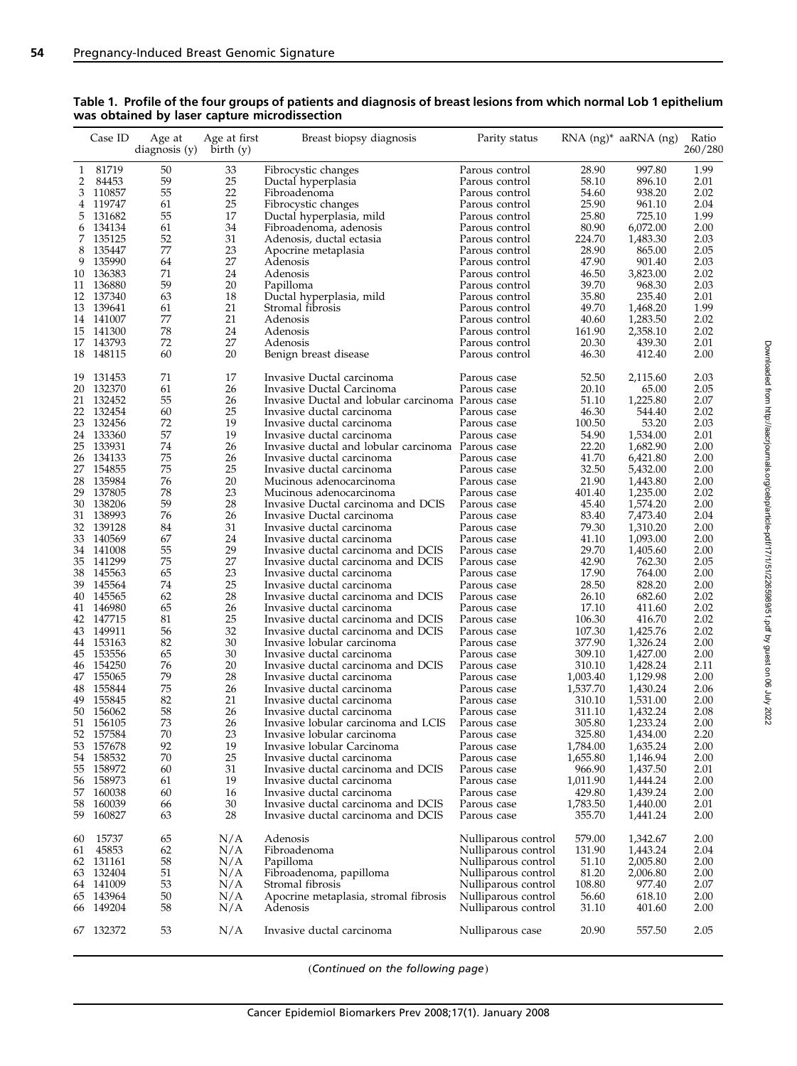|          | Case ID                | Age at<br>diagnosis $(y)$ | Age at first<br>birth(y) | Breast biopsy diagnosis                                                        | Parity status                              |                  | RNA (ng)* aaRNA (ng) | Ratio<br>260/280 |
|----------|------------------------|---------------------------|--------------------------|--------------------------------------------------------------------------------|--------------------------------------------|------------------|----------------------|------------------|
| 1        | 81719                  | 50                        | 33                       | Fibrocystic changes                                                            | Parous control                             | 28.90            | 997.80               | 1.99             |
| 2        | 84453                  | 59                        | 25                       | Ductal hyperplasia                                                             | Parous control                             | 58.10            | 896.10               | 2.01             |
| 3        | 110857                 | 55                        | 22                       | Fibroadenoma                                                                   | Parous control                             | 54.60            | 938.20               | 2.02             |
| 4        | 119747                 | 61                        | 25                       | Fibrocystic changes                                                            | Parous control                             | 25.90            | 961.10               | 2.04             |
| 5        | 131682                 | 55                        | 17                       | Ductal hyperplasia, mild                                                       | Parous control                             | 25.80            | 725.10               | 1.99             |
| 6        | 134134                 | 61                        | 34                       | Fibroadenoma, adenosis                                                         | Parous control                             | 80.90            | 6,072.00             | 2.00             |
| 7        | 135125                 | 52                        | 31                       | Adenosis, ductal ectasia                                                       | Parous control                             | 224.70           | 1,483.30             | 2.03             |
| 8        | 135447                 | 77                        | 23                       | Apocrine metaplasia                                                            | Parous control                             | 28.90            | 865.00               | 2.05             |
| 9        | 135990                 | 64                        | 27                       | Adenosis                                                                       | Parous control                             | 47.90            | 901.40               | 2.03             |
|          | 10 136383              | 71                        | 24                       | Adenosis                                                                       | Parous control                             | 46.50            | 3,823.00             | 2.02             |
| 11       | 136880                 | 59                        | 20                       | Papilloma                                                                      | Parous control                             | 39.70            | 968.30               | 2.03             |
|          | 12 137340              | 63                        | 18                       | Ductal hyperplasia, mild                                                       | Parous control                             | 35.80            | 235.40               | 2.01             |
| 14       | 13 139641<br>141007    | 61<br>77                  | 21<br>21                 | Stromal fibrosis<br>Adenosis                                                   | Parous control<br>Parous control           | 49.70<br>40.60   | 1,468.20<br>1,283.50 | 1.99<br>2.02     |
|          | 15 141300              | 78                        | 24                       | Adenosis                                                                       | Parous control                             | 161.90           | 2,358.10             | 2.02             |
| 17       | 143793                 | 72                        | 27                       | Adenosis                                                                       | Parous control                             | 20.30            | 439.30               | 2.01             |
|          | 18 148115              | 60                        | 20                       | Benign breast disease                                                          | Parous control                             | 46.30            | 412.40               | 2.00             |
|          |                        |                           |                          |                                                                                |                                            |                  |                      |                  |
| 19       | 131453                 | 71                        | 17                       | Invasive Ductal carcinoma                                                      | Parous case                                | 52.50            | 2,115.60             | 2.03             |
| 20       | 132370                 | 61                        | 26                       | Invasive Ductal Carcinoma                                                      | Parous case                                | 20.10            | 65.00                | 2.05             |
| 21<br>22 | 132452<br>132454       | 55<br>60                  | 26<br>25                 | Invasive Ductal and lobular carcinoma Parous case<br>Invasive ductal carcinoma | Parous case                                | 51.10<br>46.30   | 1,225.80<br>544.40   | 2.07<br>2.02     |
| 23       | 132456                 | 72                        | 19                       | Invasive ductal carcinoma                                                      | Parous case                                | 100.50           | 53.20                | 2.03             |
| 24       | 133360                 | 57                        | 19                       | Invasive ductal carcinoma                                                      | Parous case                                | 54.90            | 1,534.00             | 2.01             |
| 25       | 133931                 | 74                        | 26                       | Invasive ductal and lobular carcinoma Parous case                              |                                            | 22.20            | 1,682.90             | 2.00             |
| 26       | 134133                 | 75                        | 26                       | Invasive ductal carcinoma                                                      | Parous case                                | 41.70            | 6,421.80             | 2.00             |
| 27       | 154855                 | 75                        | 25                       | Invasive ductal carcinoma                                                      | Parous case                                | 32.50            | 5,432.00             | 2.00             |
| 28       | 135984                 | 76                        | 20                       | Mucinous adenocarcinoma                                                        | Parous case                                | 21.90            | 1,443.80             | 2.00             |
| 29       | 137805                 | 78                        | 23                       | Mucinous adenocarcinoma                                                        | Parous case                                | 401.40           | 1,235.00             | 2.02             |
| 30       | 138206                 | 59                        | 28                       | Invasive Ductal carcinoma and DCIS                                             | Parous case                                | 45.40            | 1,574.20             | 2.00             |
| 31       | 138993                 | 76                        | 26                       | Invasive Ductal carcinoma                                                      | Parous case                                | 83.40            | 7,473.40             | 2.04             |
| 32       | 139128                 | 84                        | 31                       | Invasive ductal carcinoma                                                      | Parous case                                | 79.30            | 1,310.20             | 2.00             |
| 33       | 140569                 | 67                        | 24                       | Invasive ductal carcinoma                                                      | Parous case                                | 41.10            | 1,093.00             | 2.00             |
| 34       | 141008                 | 55                        | 29                       | Invasive ductal carcinoma and DCIS                                             | Parous case                                | 29.70            | 1,405.60             | 2.00             |
| 35       | 141299                 | 75                        | 27                       | Invasive ductal carcinoma and DCIS                                             | Parous case                                | 42.90            | 762.30               | 2.05             |
| 38       | 145563                 | 65                        | 23                       | Invasive ductal carcinoma                                                      | Parous case                                | 17.90            | 764.00               | 2.00             |
| 39       | 145564                 | 74                        | 25                       | Invasive ductal carcinoma                                                      | Parous case                                | 28.50            | 828.20               | 2.00             |
| 40       | 145565                 | 62                        | 28                       | Invasive ductal carcinoma and DCIS                                             | Parous case                                | 26.10            | 682.60               | 2.02             |
| 41       | 146980                 | 65                        | 26                       | Invasive ductal carcinoma                                                      | Parous case                                | 17.10            | 411.60               | 2.02             |
| 42       | 147715                 | 81                        | 25                       | Invasive ductal carcinoma and DCIS                                             | Parous case                                | 106.30           | 416.70               | 2.02             |
|          | 43 149911<br>153163    | 56<br>82                  | 32<br>30                 | Invasive ductal carcinoma and DCIS                                             | Parous case                                | 107.30           | 1,425.76             | 2.02<br>2.00     |
| 44<br>45 | 153556                 | 65                        | 30                       | Invasive lobular carcinoma<br>Invasive ductal carcinoma                        | Parous case<br>Parous case                 | 377.90<br>309.10 | 1,326.24<br>1,427.00 | 2.00             |
| 46       | 154250                 | 76                        | 20                       | Invasive ductal carcinoma and DCIS                                             | Parous case                                | 310.10           | 1,428.24             | 2.11             |
| 47       | 155065                 | 79                        | 28                       | Invasive ductal carcinoma                                                      | Parous case                                | 1,003.40         | 1,129.98             | 2.00             |
| 48       | 155844                 | 75                        | 26                       | Invasive ductal carcinoma                                                      | Parous case                                | 1,537.70         | 1,430.24             | 2.06             |
| 49       | 155845                 | 82                        | 21                       | Invasive ductal carcinoma                                                      | Parous case                                | 310.10           | 1,531.00             | 2.00             |
| 50       | 156062                 | 58                        | 26                       | Invasive ductal carcinoma                                                      | Parous case                                | 311.10           | 1,432.24             | 2.08             |
| 51       | 156105                 | 73                        | 26                       | Invasive lobular carcinoma and LCIS                                            | Parous case                                | 305.80           | 1,233.24             | 2.00             |
|          | 52 157584              | 70                        | 23                       | Invasive lobular carcinoma                                                     | Parous case                                | 325.80           | 1,434.00             | 2.20             |
| 53       | 157678                 | 92                        | 19                       | Invasive lobular Carcinoma                                                     | Parous case                                | 1,784.00         | 1,635.24             | 2.00             |
| 54       | 158532                 | 70                        | 25                       | Invasive ductal carcinoma                                                      | Parous case                                | 1,655.80         | 1,146.94             | 2.00             |
|          | 55 158972              | 60                        | 31                       | Invasive ductal carcinoma and DCIS                                             | Parous case                                | 966.90           | 1,437.50             | 2.01             |
| 56       | 158973                 | 61                        | 19                       | Invasive ductal carcinoma                                                      | Parous case                                | 1,011.90         | 1,444.24             | 2.00             |
| 57       | 160038                 | 60                        | 16                       | Invasive ductal carcinoma                                                      | Parous case                                | 429.80           | 1,439.24             | 2.00             |
| 58       | 160039                 | 66                        | 30                       | Invasive ductal carcinoma and DCIS                                             | Parous case                                | 1,783.50         | 1,440.00             | 2.01             |
| 59       | 160827                 | 63                        | 28                       | Invasive ductal carcinoma and DCIS                                             | Parous case                                | 355.70           | 1,441.24             | 2.00             |
| 60       | 15737                  | 65                        | N/A                      | Adenosis                                                                       | Nulliparous control                        | 579.00           | 1,342.67             | 2.00             |
| 61       | 45853                  | 62                        | N/A                      | Fibroadenoma                                                                   | Nulliparous control                        | 131.90           | 1,443.24             | 2.04             |
|          | 62 131161              | 58                        | N/A                      | Papilloma                                                                      | Nulliparous control                        | 51.10            | 2,005.80             | 2.00             |
| 63       | 132404                 | 51                        | N/A                      | Fibroadenoma, papilloma                                                        | Nulliparous control                        | 81.20            | 2,006.80             | 2.00             |
|          | 64 141009              | 53                        | N/A                      | Stromal fibrosis                                                               | Nulliparous control                        | 108.80           | 977.40               | 2.07             |
|          | 65 143964<br>66 149204 | 50<br>58                  | N/A<br>N/A               | Apocrine metaplasia, stromal fibrosis<br>Adenosis                              | Nulliparous control<br>Nulliparous control | 56.60<br>31.10   | 618.10<br>401.60     | 2.00<br>2.00     |
|          | 67 132372              | 53                        | N/A                      | Invasive ductal carcinoma                                                      | Nulliparous case                           | 20.90            | 557.50               | 2.05             |
|          |                        |                           |                          |                                                                                |                                            |                  |                      |                  |

### Table 1. Profile of the four groups of patients and diagnosis of breast lesions from which normal Lob 1 epithelium was obtained by laser capture microdissection

(Continued on the following page)

Cancer Epidemiol Biomarkers Prev 2008;17(1). January 2008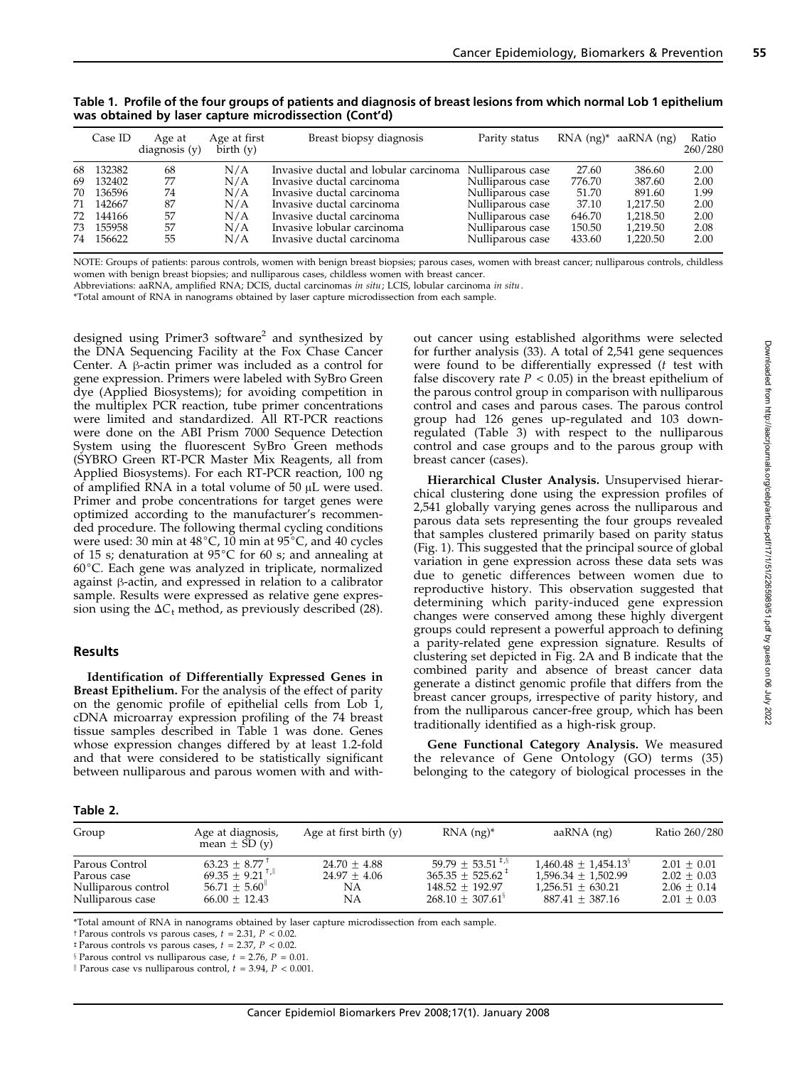|    | Case ID | Age at<br>diagnostic(y) | Age at first<br>$\bar{\text{birth}}$ (v) | Breast biopsy diagnosis               | Parity status    | $RNA$ $(ng)^*$ | aaRNA (ng) | Ratio<br>260/280 |
|----|---------|-------------------------|------------------------------------------|---------------------------------------|------------------|----------------|------------|------------------|
| 68 | 132382  | 68                      | N/A                                      | Invasive ductal and lobular carcinoma | Nulliparous case | 27.60          | 386.60     | 2.00             |
| 69 | 132402  | 77                      | N/A                                      | Invasive ductal carcinoma             | Nulliparous case | 776.70         | 387.60     | 2.00             |
| 70 | 136596  | 74                      | N/A                                      | Invasive ductal carcinoma             | Nulliparous case | 51.70          | 891.60     | 1.99             |
| 71 | 142667  | 87                      | N/A                                      | Invasive ductal carcinoma             | Nulliparous case | 37.10          | 1.217.50   | 2.00             |
| 72 | 144166  | 57                      | N/A                                      | Invasive ductal carcinoma             | Nulliparous case | 646.70         | 1.218.50   | 2.00             |
| 73 | 155958  | 57                      | N/A                                      | Invasive lobular carcinoma            | Nulliparous case | 150.50         | 1.219.50   | 2.08             |
| 74 | 156622  | 55                      | N/A                                      | Invasive ductal carcinoma             | Nulliparous case | 433.60         | 1,220.50   | 2.00             |

Table 1. Profile of the four groups of patients and diagnosis of breast lesions from which normal Lob 1 epithelium was obtained by laser capture microdissection (Cont'd)

NOTE: Groups of patients: parous controls, women with benign breast biopsies; parous cases, women with breast cancer; nulliparous controls, childless women with benign breast biopsies; and nulliparous cases, childless women with breast cancer.

Abbreviations: aaRNA, amplified RNA; DCIS, ductal carcinomas in situ; LCIS, lobular carcinoma in situ.

\*Total amount of RNA in nanograms obtained by laser capture microdissection from each sample.

designed using Primer3 software<sup>2</sup> and synthesized by the DNA Sequencing Facility at the Fox Chase Cancer Center. A  $\beta$ -actin primer was included as a control for gene expression. Primers were labeled with SyBro Green dye (Applied Biosystems); for avoiding competition in the multiplex PCR reaction, tube primer concentrations were limited and standardized. All RT-PCR reactions were done on the ABI Prism 7000 Sequence Detection System using the fluorescent SyBro Green methods (SYBRO Green RT-PCR Master Mix Reagents, all from Applied Biosystems). For each RT-PCR reaction, 100 ng of amplified RNA in a total volume of  $50 \mu$ L were used. Primer and probe concentrations for target genes were optimized according to the manufacturer's recommended procedure. The following thermal cycling conditions were used: 30 min at  $48^{\circ}$ C, 10 min at  $95^{\circ}$ C, and 40 cycles of 15 s; denaturation at  $95^{\circ}$ C for 60 s; and annealing at  $60^{\circ}$ C. Each gene was analyzed in triplicate, normalized against  $\beta$ -actin, and expressed in relation to a calibrator sample. Results were expressed as relative gene expression using the  $\Delta C_t$  method, as previously described (28).

#### Results

Identification of Differentially Expressed Genes in Breast Epithelium. For the analysis of the effect of parity on the genomic profile of epithelial cells from Lob 1, cDNA microarray expression profiling of the 74 breast tissue samples described in Table 1 was done. Genes whose expression changes differed by at least 1.2-fold and that were considered to be statistically significant between nulliparous and parous women with and without cancer using established algorithms were selected for further analysis (33). A total of 2,541 gene sequences were found to be differentially expressed (t test with false discovery rate  $P < 0.05$ ) in the breast epithelium of the parous control group in comparison with nulliparous control and cases and parous cases. The parous control group had 126 genes up-regulated and 103 downregulated (Table 3) with respect to the nulliparous control and case groups and to the parous group with breast cancer (cases).

Hierarchical Cluster Analysis. Unsupervised hierarchical clustering done using the expression profiles of 2,541 globally varying genes across the nulliparous and parous data sets representing the four groups revealed that samples clustered primarily based on parity status (Fig. 1). This suggested that the principal source of global variation in gene expression across these data sets was due to genetic differences between women due to reproductive history. This observation suggested that determining which parity-induced gene expression changes were conserved among these highly divergent groups could represent a powerful approach to defining a parity-related gene expression signature. Results of clustering set depicted in Fig. 2A and B indicate that the combined parity and absence of breast cancer data generate a distinct genomic profile that differs from the breast cancer groups, irrespective of parity history, and from the nulliparous cancer-free group, which has been traditionally identified as a high-risk group.

Gene Functional Category Analysis. We measured the relevance of Gene Ontology (GO) terms (35) belonging to the category of biological processes in the

| ш<br>۰, | ۰, |  |
|---------|----|--|
|         |    |  |

| Group                                                                    | Age at diagnosis,<br>mean $\pm$ SD (y)                                                              | Age at first birth $(y)$                     | $RNA$ (ng) <sup>*</sup>                                                                                                             | $a$ a $\overline{RNA}$ (ng)                                                                             | Ratio 260/280                                                    |
|--------------------------------------------------------------------------|-----------------------------------------------------------------------------------------------------|----------------------------------------------|-------------------------------------------------------------------------------------------------------------------------------------|---------------------------------------------------------------------------------------------------------|------------------------------------------------------------------|
| Parous Control<br>Parous case<br>Nulliparous control<br>Nulliparous case | $63.23 \pm 8.77$ <sup>†</sup><br>69.35 ± 9.21 <sup>†</sup> ,<br>$56.71 + 5.60$<br>$66.00 \pm 12.43$ | $24.70 + 4.88$<br>$24.97 + 4.06$<br>NΑ<br>NΑ | 59.79 $\pm$ 53.51 <sup><math>\pm</math>,§</sup><br>$365.35 + 525.62$ <sup>+</sup><br>$148.52 + 192.97$<br>$268.10 + 307.61^{\circ}$ | $1.460.48 + 1.454.13$ <sup>3</sup><br>$1.596.34 + 1.502.99$<br>$1.256.51 + 630.21$<br>$887.41 + 387.16$ | $2.01 + 0.01$<br>$2.02 + 0.03$<br>$2.06 + 0.14$<br>$2.01 + 0.03$ |

\*Total amount of RNA in nanograms obtained by laser capture microdissection from each sample.

 $\dagger$  Parous controls vs parous cases,  $t = 2.31$ ,  $P < 0.02$ .

 $\textdegree$  Parous controls vs parous cases,  $t = 2.37$ ,  $P < 0.02$ .

 $\frac{1}{2}$  Parous control vs nulliparous case,  $t = 2.76$ ,  $P = 0.01$ .

|| Parous case vs nulliparous control,  $t = 3.94$ ,  $P < 0.001$ .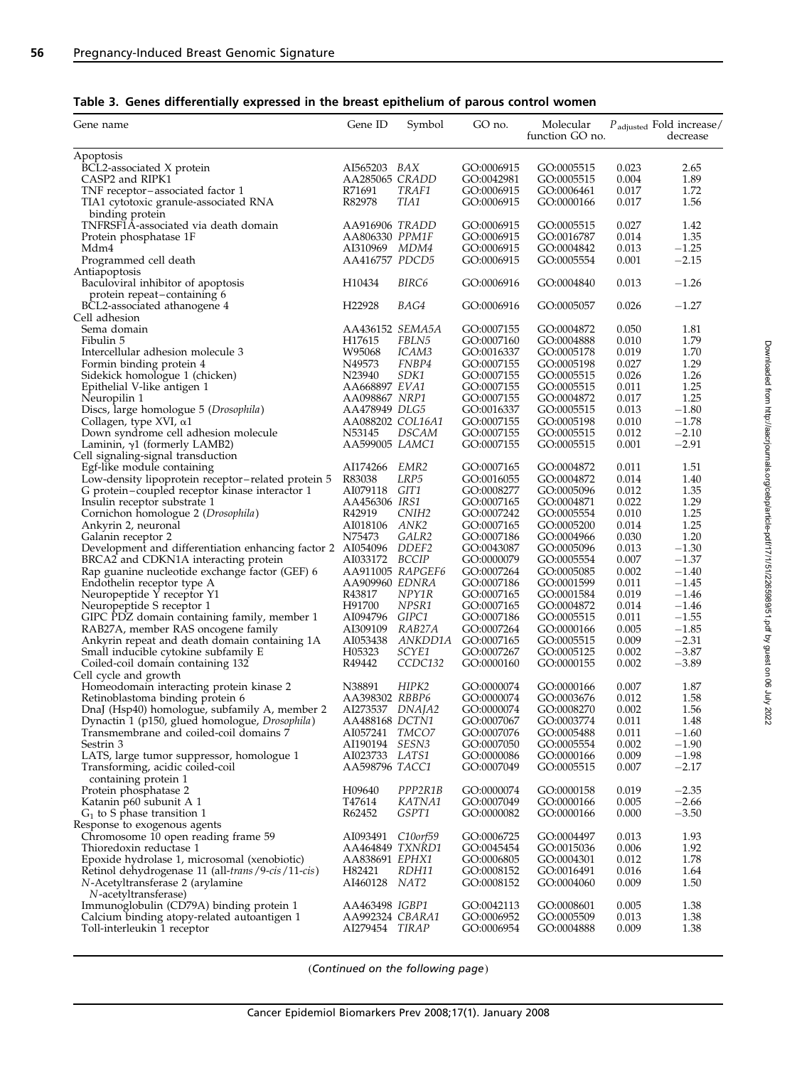|  |  | Table 3. Genes differentially expressed in the breast epithelium of parous control women |  |  |  |  |  |  |  |  |
|--|--|------------------------------------------------------------------------------------------|--|--|--|--|--|--|--|--|
|--|--|------------------------------------------------------------------------------------------|--|--|--|--|--|--|--|--|

| Gene name                                                                                 | Gene ID                                  | Symbol            | GO no.                   | Molecular<br>function GO no. |                | $P_{\rm adjusted}$ Fold increase/<br>decrease |
|-------------------------------------------------------------------------------------------|------------------------------------------|-------------------|--------------------------|------------------------------|----------------|-----------------------------------------------|
| Apoptosis                                                                                 |                                          |                   |                          |                              |                |                                               |
| BCL2-associated X protein                                                                 | AI565203 BAX                             |                   | GO:0006915               | GO:0005515                   | 0.023          | 2.65                                          |
| CASP2 and RIPK1                                                                           | AA285065 CRADD                           |                   | GO:0042981               | GO:0005515                   | 0.004          | 1.89                                          |
| TNF receptor-associated factor 1                                                          | R71691                                   | TRAF1             | GO:0006915               | GO:0006461                   | 0.017          | 1.72                                          |
| TIA1 cytotoxic granule-associated RNA                                                     | R82978                                   | TIA1              | GO:0006915               | GO:0000166                   | 0.017          | 1.56                                          |
| binding protein                                                                           |                                          |                   |                          |                              |                |                                               |
| TNFRSF1A-associated via death domain                                                      | AA916906 TRADD                           |                   | GO:0006915               | GO:0005515                   | 0.027          | 1.42                                          |
| Protein phosphatase 1F                                                                    | AA806330 PPM1F                           |                   | GO:0006915               | GO:0016787                   | 0.014          | 1.35                                          |
| Mdm4                                                                                      | AI310969 MDM4                            |                   | GO:0006915               | GO:0004842                   | 0.013          | $-1.25$                                       |
| Programmed cell death                                                                     | AA416757 PDCD5                           |                   | GO:0006915               | GO:0005554                   | 0.001          | $-2.15$                                       |
| Antiapoptosis                                                                             |                                          |                   |                          |                              |                |                                               |
| Baculoviral inhibitor of apoptosis                                                        | H10434                                   | BIRC6             | GO:0006916               | GO:0004840                   | 0.013          | $-1.26$                                       |
| protein repeat-containing 6                                                               | H <sub>22928</sub>                       |                   |                          |                              |                |                                               |
| BCL2-associated athanogene 4<br>Cell adhesion                                             |                                          | BAG4              | GO:0006916               | GO:0005057                   | 0.026          | $-1.27$                                       |
| Sema domain                                                                               | AA436152 SEMA5A                          |                   | GO:0007155               | GO:0004872                   | 0.050          | 1.81                                          |
| Fibulin 5                                                                                 | H <sub>17615</sub>                       | FBLN5             | GO:0007160               | GO:0004888                   | 0.010          | 1.79                                          |
| Intercellular adhesion molecule 3                                                         | W95068                                   | ICAM3             | GO:0016337               | GO:0005178                   | 0.019          | 1.70                                          |
| Formin binding protein 4                                                                  | N49573                                   | FNBP4             | GO:0007155               | GO:0005198                   | 0.027          | 1.29                                          |
| Sidekick homologue 1 (chicken)                                                            | N23940                                   | SDK1              | GO:0007155               | GO:0005515                   | 0.026          | 1.26                                          |
| Epithelial V-like antigen 1                                                               | AA668897 EVA1                            |                   | GO:0007155               | GO:0005515                   | 0.011          | 1.25                                          |
| Neuropilin 1                                                                              | AA098867 NRP1                            |                   | GO:0007155               | GO:0004872                   | 0.017          | 1.25                                          |
| Discs, large homologue 5 (Drosophila)                                                     | AA478949 DLG5                            |                   | GO:0016337               | GO:0005515                   | 0.013          | $-1.80$                                       |
| Collagen, type XVI, $\alpha$ 1                                                            | AA088202 COL16A1                         |                   | GO:0007155               | GO:0005198                   | 0.010          | $-1.78$                                       |
| Down syndrome cell adhesion molecule                                                      | N53145                                   | DSCAM             | GO:0007155               | GO:0005515                   | 0.012          | $-2.10$                                       |
| Laminin, $\gamma$ 1 (formerly LAMB2)                                                      | AA599005 LAMC1                           |                   | GO:0007155               | GO:0005515                   | 0.001          | $-2.91$                                       |
| Cell signaling-signal transduction                                                        |                                          |                   |                          |                              |                |                                               |
| Egf-like module containing                                                                | AI174266                                 | EMR2              | GO:0007165               | GO:0004872                   | 0.011          | 1.51                                          |
| Low-density lipoprotein receptor-related protein 5                                        | R83038                                   | LRP5              | GO:0016055               | GO:0004872                   | 0.014          | 1.40                                          |
| G protein-coupled receptor kinase interactor 1                                            | AI079118 GIT1                            |                   | GO:0008277               | GO:0005096                   | 0.012          | 1.35                                          |
| Insulin receptor substrate 1                                                              | AA456306 IRS1                            |                   | GO:0007165               | GO:0004871                   | 0.022          | 1.29                                          |
| Cornichon homologue 2 (Drosophila)                                                        | R42919                                   | CNIH <sub>2</sub> | GO:0007242               | GO:0005554                   | 0.010          | 1.25                                          |
| Ankyrin 2, neuronal                                                                       | AI018106 <i>ANK2</i>                     |                   | GO:0007165               | GO:0005200                   | 0.014          | 1.25                                          |
| Galanin receptor 2                                                                        | N75473                                   | GALR2             | GO:0007186               | GO:0004966                   | 0.030          | 1.20                                          |
| Development and differentiation enhancing factor 2 AI054096 DDEF2                         |                                          |                   | GO:0043087               | GO:0005096                   | 0.013          | $-1.30$                                       |
| BRCA2 and CDKN1A interacting protein                                                      | AI033172 BCCIP                           |                   | GO:0000079               | GO:0005554                   | 0.007          | $-1.37$                                       |
| Rap guanine nucleotide exchange factor (GEF) 6                                            | AA911005 RAPGEF6                         |                   | GO:0007264               | GO:0005085                   | 0.002          | $-1.40$                                       |
| Endothelin receptor type A                                                                | AA909960 EDNRA                           |                   | GO:0007186               | GO:0001599                   | 0.011          | $-1.45$                                       |
| Neuropeptide Y receptor Y1                                                                | R43817                                   | NPY1R             | GO:0007165               | GO:0001584                   | 0.019          | $-1.46$                                       |
| Neuropeptide S receptor 1                                                                 | H91700                                   | NPSR1             | GO:0007165               | GO:0004872                   | 0.014          | $-1.46$                                       |
| GIPC PDZ domain containing family, member 1                                               | AI094796 GIPC1                           |                   | GO:0007186               | GO:0005515                   | 0.011          | $-1.55$                                       |
| RAB27A, member RAS oncogene family                                                        | AI309109                                 | RAB27A            | GO:0007264               | GO:0000166                   | 0.005          | $-1.85$                                       |
| Ankyrin repeat and death domain containing 1A                                             |                                          | AI053438 ANKDD1A  | GO:0007165               | GO:0005515                   | 0.009          | $-2.31$                                       |
| Small inducible cytokine subfamily E                                                      | H05323                                   | SCYE1             | GO:0007267               | GO:0005125                   | 0.002          | $-3.87$                                       |
| Coiled-coil domain containing 132                                                         | R49442                                   | CCDC132           | GO:0000160               | GO:0000155                   | 0.002          | $-3.89$                                       |
| Cell cycle and growth                                                                     |                                          |                   |                          |                              |                |                                               |
| Homeodomain interacting protein kinase 2                                                  | N38891                                   | HIPK2             | GO:0000074               | GO:0000166                   | 0.007          | 1.87                                          |
| Retinoblastoma binding protein 6                                                          | AA398302 RBBP6                           |                   | GO:0000074               | GO:0003676                   | 0.012          | 1.58<br>1.56                                  |
| DnaJ (Hsp40) homologue, subfamily A, member 2                                             | AI273537 <i>DNAJA2</i><br>AA488168 DCTN1 |                   | GO:0000074<br>GO:0007067 | GO:0008270<br>GO:0003774     | 0.002<br>0.011 | 1.48                                          |
| Dynactin 1 (p150, glued homologue, Drosophila)<br>Transmembrane and coiled-coil domains 7 | AI057241 TMCO7                           |                   | GO:0007076               | GO:0005488                   | 0.011          | $-1.60$                                       |
| Sestrin 3                                                                                 | AI190194 SESN3                           |                   | GO:0007050               | GO:0005554                   | 0.002          | $-1.90$                                       |
| LATS, large tumor suppressor, homologue 1                                                 | AI023733 LATS1                           |                   | GO:0000086               | GO:0000166                   | 0.009          | $-1.98$                                       |
| Transforming, acidic coiled-coil                                                          | AA598796 TACC1                           |                   | GO:0007049               | GO:0005515                   | 0.007          | $-2.17$                                       |
| containing protein 1                                                                      |                                          |                   |                          |                              |                |                                               |
| Protein phosphatase 2                                                                     | H09640                                   | PPP2R1B           | GO:0000074               | GO:0000158                   | 0.019          | $-2.35$                                       |
| Katanin p60 subunit A 1                                                                   | T47614                                   | KATNA1            | GO:0007049               | GO:0000166                   | 0.005          | $-2.66$                                       |
| $G_1$ to S phase transition 1                                                             | R62452                                   | GSPT1             | GO:0000082               | GO:0000166                   | 0.000          | $-3.50$                                       |
| Response to exogenous agents                                                              |                                          |                   |                          |                              |                |                                               |
| Chromosome 10 open reading frame 59                                                       | AI093491                                 | C10orf59          | GO:0006725               | GO:0004497                   | 0.013          | 1.93                                          |
| Thioredoxin reductase 1                                                                   | AA464849 TXNRD1                          |                   | GO:0045454               | GO:0015036                   | 0.006          | 1.92                                          |
| Epoxide hydrolase 1, microsomal (xenobiotic)                                              | AA838691 EPHX1                           |                   | GO:0006805               | GO:0004301                   | 0.012          | 1.78                                          |
| Retinol dehydrogenase 11 (all-trans / 9-cis / 11-cis)                                     | H82421                                   | RDH11             | GO:0008152               | GO:0016491                   | 0.016          | 1.64                                          |
| N-Acetyltransferase 2 (arylamine                                                          | AI460128 NAT2                            |                   | GO:0008152               | GO:0004060                   | 0.009          | 1.50                                          |
| N-acetyltransferase)                                                                      |                                          |                   |                          |                              |                |                                               |
| Immunoglobulin (CD79A) binding protein 1                                                  | AA463498 IGBP1                           |                   | GO:0042113               | GO:0008601                   | 0.005          | 1.38                                          |
| Calcium binding atopy-related autoantigen 1                                               | AA992324 CBARA1                          |                   | GO:0006952               | GO:0005509                   | 0.013          | 1.38                                          |
| Toll-interleukin 1 receptor                                                               | AI279454 TIR <i>AP</i>                   |                   | GO:0006954               | GO:0004888                   | 0.009          | 1.38                                          |

(Continued on the following page)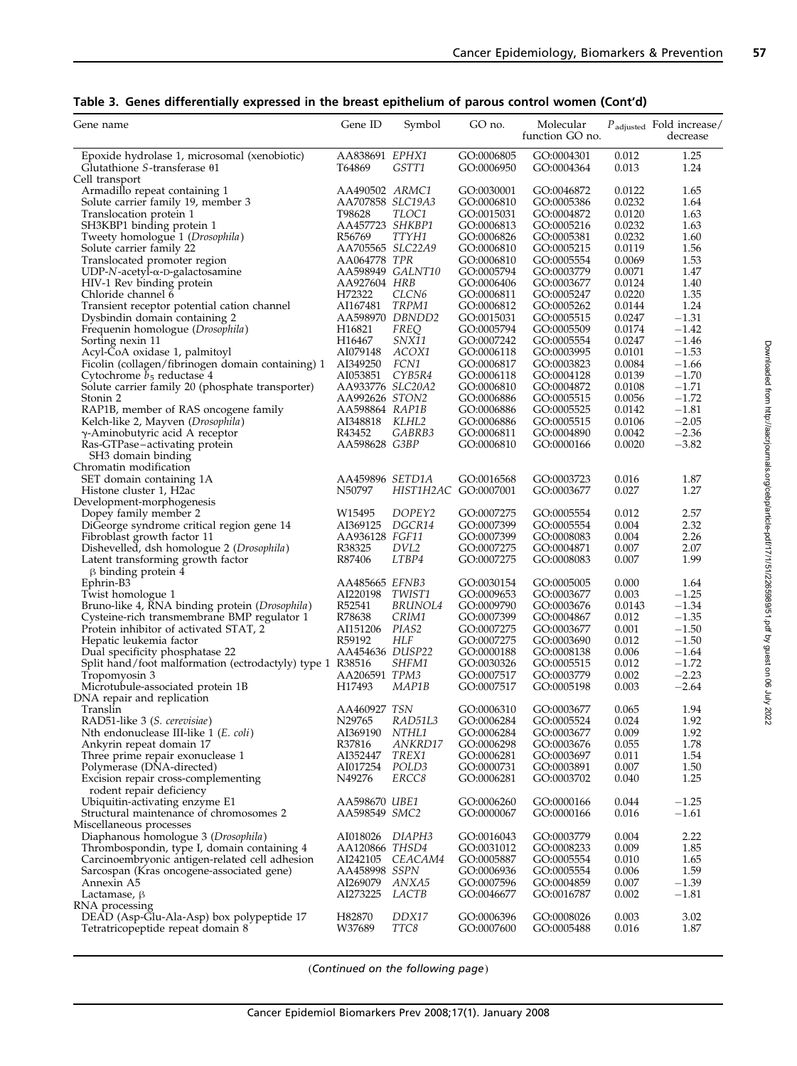|  |  | Table 3. Genes differentially expressed in the breast epithelium of parous control women (Cont'd) |
|--|--|---------------------------------------------------------------------------------------------------|
|  |  |                                                                                                   |

| Gene name                                                 | Gene ID                | Symbol               | GO no.                   | Molecular<br>function GO no. |                | $P_{\text{adjusted}}$ Fold increase/<br>decrease |
|-----------------------------------------------------------|------------------------|----------------------|--------------------------|------------------------------|----------------|--------------------------------------------------|
| Epoxide hydrolase 1, microsomal (xenobiotic)              | AA838691 EPHX1         |                      | GO:0006805               | GO:0004301                   | 0.012          | 1.25                                             |
| Glutathione $S$ -transferase $\theta$ 1                   | T64869                 | GSTT1                | GO:0006950               | GO:0004364                   | 0.013          | 1.24                                             |
| Cell transport                                            |                        |                      |                          |                              |                |                                                  |
| Armadillo repeat containing 1                             | AA490502 <i>ARMC1</i>  |                      | GO:0030001               | GO:0046872                   | 0.0122         | 1.65                                             |
| Solute carrier family 19, member 3                        | AA707858 SLC19A3       |                      | GO:0006810               | GO:0005386                   | 0.0232         | 1.64                                             |
| Translocation protein 1                                   | T98628                 | <i>TLOC1</i>         | GO:0015031               | GO:0004872                   | 0.0120         | 1.63                                             |
| SH3KBP1 binding protein 1                                 | AA457723 SHKBP1        |                      | GO:0006813               | GO:0005216                   | 0.0232         | 1.63                                             |
| Tweety homologue 1 (Drosophila)                           | R56769                 | TTYH1                | GO:0006826               | GO:0005381                   | 0.0232         | 1.60                                             |
| Solute carrier family 22                                  | AA705565 SLC22A9       |                      | GO:0006810               | GO:0005215                   | 0.0119         | 1.56                                             |
| Translocated promoter region                              | AA064778 TPR           |                      | GO:0006810               | GO:0005554                   | 0.0069         | 1.53                                             |
| $UDP-N$ -acetyl- $\alpha$ -D-galactosamine                |                        | AA598949 GALNT10     | GO:0005794               | GO:0003779                   | 0.0071         | 1.47                                             |
| HIV-1 Rev binding protein                                 | AA927604 HRB           |                      | GO:0006406               | GO:0003677                   | 0.0124         | 1.40                                             |
| Chloride channel 6                                        | H72322                 | CLCN <sub>6</sub>    | GO:0006811               | GO:0005247                   | 0.0220         | 1.35                                             |
| Transient receptor potential cation channel               | AI167481               | TRPM1                | GO:0006812               | GO:0005262                   | 0.0144         | 1.24                                             |
| Dysbindin domain containing 2                             | AA598970 DBNDD2        |                      | GO:0015031               | GO:0005515                   | 0.0247         | $-1.31$                                          |
| Frequenin homologue (Drosophila)                          | H <sub>16821</sub>     | <i>FREQ</i>          | GO:0005794               | GO:0005509                   | 0.0174         | $-1.42$                                          |
| Sorting nexin 11                                          | H <sub>16467</sub>     | SNX11                | GO:0007242               | GO:0005554                   | 0.0247         | $-1.46$                                          |
| Acyl-CoA oxidase 1, palmitoyl                             | AI079148               | ACOX1                | GO:0006118               | GO:0003995                   | 0.0101         | $-1.53$                                          |
| Ficolin (collagen/fibrinogen domain containing) 1         | AI349250               | FCN1                 | GO:0006817               | GO:0003823                   | 0.0084         | $-1.66$                                          |
| Cytochrome $b_5$ reductase 4                              | AI053851               | CYB5R4               | GO:0006118               | GO:0004128                   | 0.0139         | $-1.70$                                          |
| Solute carrier family 20 (phosphate transporter)          | AA933776 SLC20A2       |                      | GO:0006810               | GO:0004872                   | 0.0108         | $-1.71$                                          |
| Stonin 2                                                  | AA992626 STON2         |                      | GO:0006886               | GO:0005515                   | 0.0056         | $-1.72$                                          |
| RAP1B, member of RAS oncogene family                      | AA598864 RAP1B         |                      | GO:0006886               | GO:0005525                   | 0.0142         | $-1.81$                                          |
| Kelch-like 2, Mayven (Drosophila)                         | AI348818 KLHL2         |                      | GO:0006886               | GO:0005515                   | 0.0106         | $-2.05$                                          |
| $\gamma$ -Aminobutyric acid A receptor                    | R43452                 | GABRB3               | GO:0006811               | GO:0004890                   | 0.0042         | $-2.36$                                          |
| Ras-GTPase-activating protein                             | AA598628 G3BP          |                      | GO:0006810               | GO:0000166                   | 0.0020         | $-3.82$                                          |
| SH3 domain binding                                        |                        |                      |                          |                              |                |                                                  |
| Chromatin modification                                    |                        |                      |                          |                              |                |                                                  |
| SET domain containing 1A                                  | AA459896 SETD1A        |                      | GO:0016568               | GO:0003723                   | 0.016          | 1.87                                             |
| Histone cluster 1, H <sub>2</sub> ac                      | N50797                 | HIST1H2AC GO:0007001 |                          | GO:0003677                   | 0.027          | 1.27                                             |
| Development-morphogenesis                                 |                        |                      |                          |                              |                |                                                  |
| Dopey family member 2                                     | W15495                 | DOPEY <sub>2</sub>   | GO:0007275               | GO:0005554                   | 0.012          | 2.57                                             |
| DiGeorge syndrome critical region gene 14                 | AI369125               | DGCR14               | GO:0007399               | GO:0005554                   | 0.004          | 2.32                                             |
| Fibroblast growth factor 11                               | AA936128 FGF11         |                      | GO:0007399               | GO:0008083                   | 0.004          | 2.26                                             |
| Dishevelled, dsh homologue 2 (Drosophila)                 | R38325                 | DVL2                 | GO:0007275               | GO:0004871                   | 0.007          | 2.07                                             |
|                                                           | R87406                 | LTBP4                | GO:0007275               |                              | 0.007          | 1.99                                             |
| Latent transforming growth factor                         |                        |                      |                          | GO:0008083                   |                |                                                  |
| $\beta$ binding protein 4                                 | AA485665 EFNB3         |                      |                          |                              |                | 1.64                                             |
| Ephrin-B3                                                 | AI220198               | TWIST1               | GO:0030154<br>GO:0009653 | GO:0005005                   | 0.000<br>0.003 | $-1.25$                                          |
| Twist homologue 1                                         |                        |                      |                          | GO:0003677                   |                |                                                  |
| Bruno-like 4, RNA binding protein (Drosophila)            | R52541                 | BRUNOL4              | GO:0009790               | GO:0003676                   | 0.0143         | $-1.34$                                          |
| Cysteine-rich transmembrane BMP regulator 1               | R78638                 | CRIM1                | GO:0007399               | GO:0004867                   | 0.012          | $-1.35$                                          |
| Protein inhibitor of activated STAT, 2                    | AI151206               | PIAS2                | GO:0007275               | GO:0003677                   | 0.001          | $-1.50$                                          |
| Hepatic leukemia factor                                   | R59192                 | HLF                  | GO:0007275               | GO:0003690                   | 0.012          | $-1.50$                                          |
| Dual specificity phosphatase 22                           | AA454636 DUSP22        |                      | GO:0000188               | GO:0008138                   | 0.006          | $-1.64$                                          |
| Split hand/foot malformation (ectrodactyly) type 1 R38516 |                        | <i>SHFM1</i>         | GO:0030326               | GO:0005515                   | 0.012          | $-1.72$                                          |
| Tropomyosin 3                                             | AA206591 TPM3          |                      | GO:0007517               | GO:0003779                   | 0.002          | $-2.23$                                          |
| Microtubule-associated protein 1B                         | H17493                 | MAP1B                | GO:0007517               | GO:0005198                   | 0.003          | $-2.64$                                          |
| DNA repair and replication                                |                        |                      |                          |                              |                |                                                  |
| Translin                                                  | AA460927 TSN           |                      | GO:0006310               | GO:0003677                   | 0.065          | 1.94                                             |
| RAD51-like 3 (S. cerevisiae)                              | N29765                 | RAD51L3              | GO:0006284               | GO:0005524                   | 0.024          | 1.92                                             |
| Nth endonuclease III-like 1 (E. coli)                     | AI369190               | NTHL1                | GO:0006284               | GO:0003677                   | 0.009          | 1.92                                             |
| Ankyrin repeat domain 17                                  | R37816                 | ANKRD17              | GO:0006298               | GO:0003676                   | 0.055          | 1.78                                             |
| Three prime repair exonuclease 1                          | AI352447               | TREX1                | GO:0006281               | GO:0003697                   | 0.011          | 1.54                                             |
| Polymerase (DNA-directed)                                 | AI017254               | POLD3                | GO:0000731               | GO:0003891                   | 0.007          | 1.50                                             |
| Excision repair cross-complementing                       | N49276                 | <i>ERCC8</i>         | GO:0006281               | GO:0003702                   | 0.040          | 1.25                                             |
| rodent repair deficiency                                  |                        |                      |                          |                              |                |                                                  |
| Ubiquitin-activating enzyme E1                            | AA598670 UBE1          |                      | GO:0006260               | GO:0000166                   | 0.044          | $-1.25$                                          |
| Structural maintenance of chromosomes 2                   | AA598549 SMC2          |                      | GO:0000067               | GO:0000166                   | 0.016          | $-1.61$                                          |
| Miscellaneous processes                                   |                        |                      |                          |                              |                |                                                  |
| Diaphanous homologue 3 (Drosophila)                       | AI018026 <i>DIAPH3</i> |                      | GO:0016043               | GO:0003779                   | 0.004          | 2.22                                             |
| Thrombospondin, type I, domain containing 4               | AA120866 THSD4         |                      | GO:0031012               | GO:0008233                   | 0.009          | 1.85                                             |
| Carcinoembryonic antigen-related cell adhesion            |                        | AI242105 CEACAM4     | GO:0005887               | GO:0005554                   | 0.010          | 1.65                                             |
| Sarcospan (Kras oncogene-associated gene)                 | AA458998 SSPN          |                      | GO:0006936               | GO:0005554                   | 0.006          | 1.59                                             |
| Annexin A5                                                | AI269079               | ANXA5                | GO:0007596               | GO:0004859                   | 0.007          | $-1.39$                                          |
| Lactamase, $\beta$                                        | AI273225               | LACTB                | GO:0046677               | GO:0016787                   | 0.002          | $-1.81$                                          |
| RNA processing                                            |                        |                      |                          |                              |                |                                                  |
| DEAD (Asp-Glu-Ala-Asp) box polypeptide 17                 | H82870                 | DDX17                | GO:0006396               | GO:0008026                   | 0.003          | 3.02                                             |
| Tetratricopeptide repeat domain 8                         | W37689                 | TTC8                 | GO:0007600               | GO:0005488                   | 0.016          | 1.87                                             |

(Continued on the following page)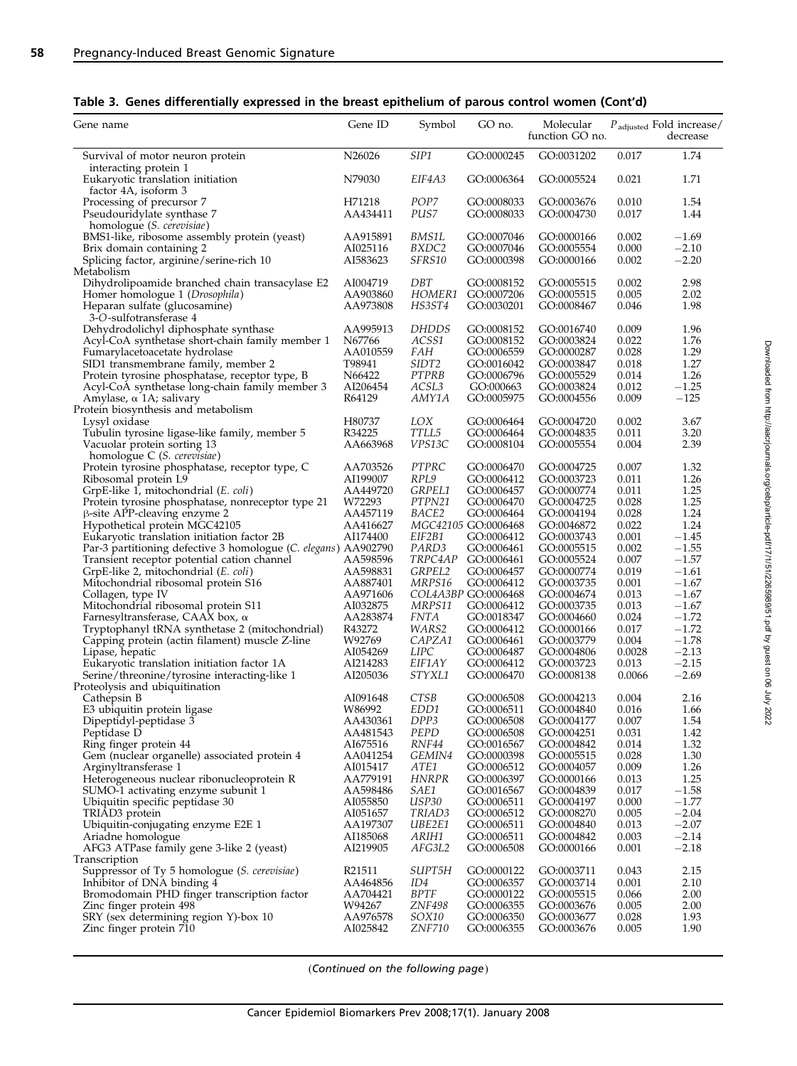|  |  |  | Table 3. Genes differentially expressed in the breast epithelium of parous control women (Cont'd) |  |  |
|--|--|--|---------------------------------------------------------------------------------------------------|--|--|
|--|--|--|---------------------------------------------------------------------------------------------------|--|--|

| SIP1<br>1.74<br>N <sub>26026</sub><br>GO:0000245<br>GO:0031202<br>0.017<br>Survival of motor neuron protein<br>interacting protein 1<br>EIF4A3<br>Eukaryotic translation initiation<br>N79030<br>GO:0006364<br>GO:0005524<br>0.021<br>1.71<br>factor 4A, isoform 3<br>POP7<br>1.54<br>H71218<br>GO:0008033<br>GO:0003676<br>0.010<br>Processing of precursor 7<br>PUS7<br>Pseudouridylate synthase 7<br>AA434411<br>GO:0008033<br>GO:0004730<br>0.017<br>1.44<br>homologue ( <i>S. cerevisiae</i> )<br>BMS1-like, ribosome assembly protein (yeast)<br>AA915891<br>BMS1L<br>GO:0007046<br>GO:0000166<br>0.002<br>$-1.69$<br>$-2.10$<br>Brix domain containing 2<br>AI025116<br>BXDC2<br>GO:0007046<br>GO:0005554<br>0.000<br>$-2.20$<br>Splicing factor, arginine/serine-rich 10<br>AI583623<br>SFRS10<br>GO:0000398<br>0.002<br>GO:0000166<br>Metabolism<br>Dihydrolipoamide branched chain transacylase E2<br>DBT<br>2.98<br>AI004719<br>GO:0008152<br>GO:0005515<br>0.002<br>HOMER1<br>2.02<br>Homer homologue 1 (Drosophila)<br>AA903860<br>GO:0007206<br>GO:0005515<br>0.005<br>1.98<br>Heparan sulfate (glucosamine)<br>AA973808<br>HS3ST4<br>GO:0030201<br>GO:0008467<br>0.046<br>3-O-sulfotransferase 4<br>AA995913<br><i>DHDDS</i><br>1.96<br>Dehydrodolichyl diphosphate synthase<br>GO:0008152<br>GO:0016740<br>0.009<br>0.022<br>1.76<br>Acyl-CoA synthetase short-chain family member 1<br>N67766<br>ACSS1<br>GO:0008152<br>GO:0003824<br><i>FAH</i><br>0.028<br>1.29<br>Fumarylacetoacetate hydrolase<br>AA010559<br>GO:0006559<br>GO:0000287<br>T98941<br>SIDT2<br>GO:0016042<br>GO:0003847<br>0.018<br>1.27<br>SID1 transmembrane family, member 2<br>PTPRB<br>1.26<br>N66422<br>GO:0006796<br>GO:0005529<br>0.014<br>Protein tyrosine phosphatase, receptor type, B<br>$-1.25$<br>ACSL3<br>Acyl-CoA synthetase long-chain family member 3<br>AI206454<br>GO:000663<br>GO:0003824<br>0.012<br>$-125$<br>Amylase, α 1A; salivary<br>R64129<br>AMY1A<br>GO:0005975<br>GO:0004556<br>0.009<br>Protein biosynthesis and metabolism<br>H80737<br>LOX<br>GO:0006464<br>GO:0004720<br>0.002<br>3.67<br>Lysyl oxidase<br>R34225<br>TTLL5<br>3.20<br>Tubulin tyrosine ligase-like family, member 5<br>GO:0006464<br>GO:0004835<br>0.011<br>Vacuolar protein sorting 13<br>AA663968<br>VPS13C<br>GO:0008104<br>GO:0005554<br>0.004<br>2.39<br>homologue C ( <i>S. cerevisiae</i> )<br>PTPRC<br>1.32<br>Protein tyrosine phosphatase, receptor type, C<br>AA703526<br>GO:0006470<br>GO:0004725<br>0.007<br>RPL9<br>0.011<br>1.26<br>Ribosomal protein L9<br>AI199007<br>GO:0006412<br>GO:0003723<br>GRPEL1<br>1.25<br>GrpE-like 1, mitochondrial (E. coli)<br>AA449720<br>GO:0006457<br>GO:0000774<br>0.011<br>PTPN21<br>0.028<br>1.25<br>Protein tyrosine phosphatase, nonreceptor type 21<br>W72293<br>GO:0006470<br>GO:0004725<br>1.24<br>$\beta$ -site APP-cleaving enzyme 2<br>AA457119<br>BACE2<br>GO:0006464<br>GO:0004194<br>0.028<br>MGC42105 GO:0006468<br>0.022<br>1.24<br>Hypothetical protein MGC42105<br>AA416627<br>GO:0046872<br>$-1.45$<br>Eukaryotic translation initiation factor 2B<br>AI174400<br>EIF2B1<br>GO:0006412<br>GO:0003743<br>0.001<br>PARD3<br>$-1.55$<br>Par-3 partitioning defective 3 homologue (C. elegans) AA902790<br>GO:0006461<br>GO:0005515<br>0.002<br>Transient receptor potential cation channel<br>TRPC4AP<br>GO:0005524<br>0.007<br>$-1.57$<br>AA598596<br>GO:0006461<br>GrpE-like 2, mitochondrial (E. coli)<br>AA598831<br>GRPEL2<br>GO:0006457<br>GO:0000774<br>0.019<br>$-1.61$<br>MRPS16<br>Mitochondrial ribosomal protein S16<br>AA887401<br>GO:0006412<br>GO:0003735<br>0.001<br>$-1.67$<br>COL4A3BP GO:0006468<br>AA971606<br>GO:0004674<br>0.013<br>$-1.67$<br>Collagen, type IV<br>MRPS11<br>0.013<br>Mitochondrial ribosomal protein S11<br>AI032875<br>GO:0006412<br>GO:0003735<br>$-1.67$<br>AA283874<br><i>FNTA</i><br>0.024<br>$-1.72$<br>GO:0018347<br>GO:0004660<br>Farnesyltransferase, CAAX box, $\alpha$<br>R43272<br>WARS2<br>$-1.72$<br>Tryptophanyl tRNA synthetase 2 (mitochondrial)<br>GO:0006412<br>GO:0000166<br>0.017<br>W92769<br>$-1.78$<br>Capping protein (actin filament) muscle Z-line<br>CAPZA1<br>GO:0006461<br>GO:0003779<br>0.004<br><b>LIPC</b><br>$-2.13$<br>AI054269<br>GO:0004806<br>0.0028<br>Lipase, hepatic<br>GO:0006487<br>EIF1AY<br>0.013<br>$-2.15$<br>Eukaryotic translation initiation factor 1A<br>AI214283<br>GO:0006412<br>GO:0003723<br>$-2.69$<br>AI205036<br><i>STYXL1</i><br>GO:0006470<br>0.0066<br>Serine/threonine/tyrosine interacting-like 1<br>GO:0008138<br>Proteolysis and ubiquitination<br>CTSB<br>GO:0006508<br>GO:0004213<br>0.004<br>2.16<br>Cathepsin B<br>AI091648<br>E3 ubiquitin protein ligase<br>EDD1<br>0.016<br>1.66<br>W86992<br>GO:0006511<br>GO:0004840<br>Dipeptidyl-peptidase 3<br>AA430361<br>DPP3<br>GO:0006508<br>1.54<br>GO:0004177<br>0.007<br>Peptidase D<br>PEPD<br>0.031<br>AA481543<br>GO:0006508<br>GO:0004251<br>1.42<br>AI675516<br>RNF44<br>1.32<br>Ring finger protein 44<br>GO:0016567<br>GO:0004842<br>0.014<br>Gem (nuclear organelle) associated protein 4<br>AA041254<br>GEMIN4<br>GO:0000398<br>0.028<br>1.30<br>GO:0005515<br>1.26<br>Arginyltransferase 1<br>AI015417<br>ATE1<br>GO:0006512<br>GO:0004057<br>0.009<br>1.25<br>Heterogeneous nuclear ribonucleoprotein R<br>AA779191<br>HNRPR<br>GO:0006397<br>GO:0000166<br>0.013<br>0.017<br>$-1.58$<br>SUMO-1 activating enzyme subunit 1<br>AA598486<br>SAE1<br>GO:0016567<br>GO:0004839<br>USP30<br>$-1.77$<br>Ubiquitin specific peptidase 30<br>AI055850<br>GO:0006511<br>GO:0004197<br>0.000<br>0.005<br>$-2.04$<br>TRIĀD <sub>3</sub> protein<br>AI051657<br><i>TRIAD3</i><br>GO:0006512<br>GO:0008270<br>$-2.07$<br>Ubiquitin-conjugating enzyme E2E 1<br>AA197307<br>UBE2E1<br>GO:0006511<br>GO:0004840<br>0.013<br>$-2.14$<br>Ariadne homologue<br>AI185068<br>ARIH1<br>GO:0006511<br>GO:0004842<br>0.003<br>AFG3 ATPase family gene 3-like 2 (yeast)<br>0.001<br>$-2.18$<br>AI219905<br>AFG3L2<br>GO:0006508<br>GO:0000166<br>Transcription<br><i>SUPT5H</i><br>0.043<br>2.15<br>Suppressor of Ty 5 homologue (S. cerevisiae)<br>R21511<br>GO:0000122<br>GO:0003711<br>Inhibitor of DNA binding 4<br>0.001<br>2.10<br>AA464856<br>ID4<br>GO:0006357<br>GO:0003714<br>2.00<br>Bromodomain PHD finger transcription factor<br>AA704421<br>BPTF<br>GO:0000122<br>GO:0005515<br>0.066<br>2.00<br>Zinc finger protein 498<br>W94267<br>ZNF498<br>GO:0006355<br>GO:0003676<br>0.005<br>SOX10<br>0.028<br>1.93<br>SRY (sex determining region Y)-box 10<br>AA976578<br>GO:0006350<br>GO:0003677 | Gene name               | Gene ID  | Symbol        | GO no.     | Molecular<br>function GO no. |       | $P_{\text{adjusted}}$ Fold increase/<br>decrease |
|--------------------------------------------------------------------------------------------------------------------------------------------------------------------------------------------------------------------------------------------------------------------------------------------------------------------------------------------------------------------------------------------------------------------------------------------------------------------------------------------------------------------------------------------------------------------------------------------------------------------------------------------------------------------------------------------------------------------------------------------------------------------------------------------------------------------------------------------------------------------------------------------------------------------------------------------------------------------------------------------------------------------------------------------------------------------------------------------------------------------------------------------------------------------------------------------------------------------------------------------------------------------------------------------------------------------------------------------------------------------------------------------------------------------------------------------------------------------------------------------------------------------------------------------------------------------------------------------------------------------------------------------------------------------------------------------------------------------------------------------------------------------------------------------------------------------------------------------------------------------------------------------------------------------------------------------------------------------------------------------------------------------------------------------------------------------------------------------------------------------------------------------------------------------------------------------------------------------------------------------------------------------------------------------------------------------------------------------------------------------------------------------------------------------------------------------------------------------------------------------------------------------------------------------------------------------------------------------------------------------------------------------------------------------------------------------------------------------------------------------------------------------------------------------------------------------------------------------------------------------------------------------------------------------------------------------------------------------------------------------------------------------------------------------------------------------------------------------------------------------------------------------------------------------------------------------------------------------------------------------------------------------------------------------------------------------------------------------------------------------------------------------------------------------------------------------------------------------------------------------------------------------------------------------------------------------------------------------------------------------------------------------------------------------------------------------------------------------------------------------------------------------------------------------------------------------------------------------------------------------------------------------------------------------------------------------------------------------------------------------------------------------------------------------------------------------------------------------------------------------------------------------------------------------------------------------------------------------------------------------------------------------------------------------------------------------------------------------------------------------------------------------------------------------------------------------------------------------------------------------------------------------------------------------------------------------------------------------------------------------------------------------------------------------------------------------------------------------------------------------------------------------------------------------------------------------------------------------------------------------------------------------------------------------------------------------------------------------------------------------------------------------------------------------------------------------------------------------------------------------------------------------------------------------------------------------------------------------------------------------------------------------------------------------------------------------------------------------------------------------------------------------------------------------------------------------------------------------------------------------------------------------------------------------------------------------------------------------------------------------------------------------------------------------------------------------------------------------------------------------------------------------------------------------------------------------------------------------------------------------------------------------------------------------------------------------------------------------------------------------------------------------------------------------------------------------------------------------------------------------------------------------------------------------------------------------------------------------------------------------------------------------------------------------------------------------------------------------------------------------------------------------------------------------------------------------------------------------------------------------------------------------------------------------------------------------------------------------------------------------|-------------------------|----------|---------------|------------|------------------------------|-------|--------------------------------------------------|
|                                                                                                                                                                                                                                                                                                                                                                                                                                                                                                                                                                                                                                                                                                                                                                                                                                                                                                                                                                                                                                                                                                                                                                                                                                                                                                                                                                                                                                                                                                                                                                                                                                                                                                                                                                                                                                                                                                                                                                                                                                                                                                                                                                                                                                                                                                                                                                                                                                                                                                                                                                                                                                                                                                                                                                                                                                                                                                                                                                                                                                                                                                                                                                                                                                                                                                                                                                                                                                                                                                                                                                                                                                                                                                                                                                                                                                                                                                                                                                                                                                                                                                                                                                                                                                                                                                                                                                                                                                                                                                                                                                                                                                                                                                                                                                                                                                                                                                                                                                                                                                                                                                                                                                                                                                                                                                                                                                                                                                                                                                                                                                                                                                                                                                                                                                                                                                                                                                                                                                                                                                                                                                                                                                                                                                                                                                                                                                                                                                                                                                                                                                                                                    |                         |          |               |            |                              |       |                                                  |
|                                                                                                                                                                                                                                                                                                                                                                                                                                                                                                                                                                                                                                                                                                                                                                                                                                                                                                                                                                                                                                                                                                                                                                                                                                                                                                                                                                                                                                                                                                                                                                                                                                                                                                                                                                                                                                                                                                                                                                                                                                                                                                                                                                                                                                                                                                                                                                                                                                                                                                                                                                                                                                                                                                                                                                                                                                                                                                                                                                                                                                                                                                                                                                                                                                                                                                                                                                                                                                                                                                                                                                                                                                                                                                                                                                                                                                                                                                                                                                                                                                                                                                                                                                                                                                                                                                                                                                                                                                                                                                                                                                                                                                                                                                                                                                                                                                                                                                                                                                                                                                                                                                                                                                                                                                                                                                                                                                                                                                                                                                                                                                                                                                                                                                                                                                                                                                                                                                                                                                                                                                                                                                                                                                                                                                                                                                                                                                                                                                                                                                                                                                                                                    |                         |          |               |            |                              |       |                                                  |
|                                                                                                                                                                                                                                                                                                                                                                                                                                                                                                                                                                                                                                                                                                                                                                                                                                                                                                                                                                                                                                                                                                                                                                                                                                                                                                                                                                                                                                                                                                                                                                                                                                                                                                                                                                                                                                                                                                                                                                                                                                                                                                                                                                                                                                                                                                                                                                                                                                                                                                                                                                                                                                                                                                                                                                                                                                                                                                                                                                                                                                                                                                                                                                                                                                                                                                                                                                                                                                                                                                                                                                                                                                                                                                                                                                                                                                                                                                                                                                                                                                                                                                                                                                                                                                                                                                                                                                                                                                                                                                                                                                                                                                                                                                                                                                                                                                                                                                                                                                                                                                                                                                                                                                                                                                                                                                                                                                                                                                                                                                                                                                                                                                                                                                                                                                                                                                                                                                                                                                                                                                                                                                                                                                                                                                                                                                                                                                                                                                                                                                                                                                                                                    |                         |          |               |            |                              |       |                                                  |
|                                                                                                                                                                                                                                                                                                                                                                                                                                                                                                                                                                                                                                                                                                                                                                                                                                                                                                                                                                                                                                                                                                                                                                                                                                                                                                                                                                                                                                                                                                                                                                                                                                                                                                                                                                                                                                                                                                                                                                                                                                                                                                                                                                                                                                                                                                                                                                                                                                                                                                                                                                                                                                                                                                                                                                                                                                                                                                                                                                                                                                                                                                                                                                                                                                                                                                                                                                                                                                                                                                                                                                                                                                                                                                                                                                                                                                                                                                                                                                                                                                                                                                                                                                                                                                                                                                                                                                                                                                                                                                                                                                                                                                                                                                                                                                                                                                                                                                                                                                                                                                                                                                                                                                                                                                                                                                                                                                                                                                                                                                                                                                                                                                                                                                                                                                                                                                                                                                                                                                                                                                                                                                                                                                                                                                                                                                                                                                                                                                                                                                                                                                                                                    |                         |          |               |            |                              |       |                                                  |
|                                                                                                                                                                                                                                                                                                                                                                                                                                                                                                                                                                                                                                                                                                                                                                                                                                                                                                                                                                                                                                                                                                                                                                                                                                                                                                                                                                                                                                                                                                                                                                                                                                                                                                                                                                                                                                                                                                                                                                                                                                                                                                                                                                                                                                                                                                                                                                                                                                                                                                                                                                                                                                                                                                                                                                                                                                                                                                                                                                                                                                                                                                                                                                                                                                                                                                                                                                                                                                                                                                                                                                                                                                                                                                                                                                                                                                                                                                                                                                                                                                                                                                                                                                                                                                                                                                                                                                                                                                                                                                                                                                                                                                                                                                                                                                                                                                                                                                                                                                                                                                                                                                                                                                                                                                                                                                                                                                                                                                                                                                                                                                                                                                                                                                                                                                                                                                                                                                                                                                                                                                                                                                                                                                                                                                                                                                                                                                                                                                                                                                                                                                                                                    |                         |          |               |            |                              |       |                                                  |
|                                                                                                                                                                                                                                                                                                                                                                                                                                                                                                                                                                                                                                                                                                                                                                                                                                                                                                                                                                                                                                                                                                                                                                                                                                                                                                                                                                                                                                                                                                                                                                                                                                                                                                                                                                                                                                                                                                                                                                                                                                                                                                                                                                                                                                                                                                                                                                                                                                                                                                                                                                                                                                                                                                                                                                                                                                                                                                                                                                                                                                                                                                                                                                                                                                                                                                                                                                                                                                                                                                                                                                                                                                                                                                                                                                                                                                                                                                                                                                                                                                                                                                                                                                                                                                                                                                                                                                                                                                                                                                                                                                                                                                                                                                                                                                                                                                                                                                                                                                                                                                                                                                                                                                                                                                                                                                                                                                                                                                                                                                                                                                                                                                                                                                                                                                                                                                                                                                                                                                                                                                                                                                                                                                                                                                                                                                                                                                                                                                                                                                                                                                                                                    |                         |          |               |            |                              |       |                                                  |
|                                                                                                                                                                                                                                                                                                                                                                                                                                                                                                                                                                                                                                                                                                                                                                                                                                                                                                                                                                                                                                                                                                                                                                                                                                                                                                                                                                                                                                                                                                                                                                                                                                                                                                                                                                                                                                                                                                                                                                                                                                                                                                                                                                                                                                                                                                                                                                                                                                                                                                                                                                                                                                                                                                                                                                                                                                                                                                                                                                                                                                                                                                                                                                                                                                                                                                                                                                                                                                                                                                                                                                                                                                                                                                                                                                                                                                                                                                                                                                                                                                                                                                                                                                                                                                                                                                                                                                                                                                                                                                                                                                                                                                                                                                                                                                                                                                                                                                                                                                                                                                                                                                                                                                                                                                                                                                                                                                                                                                                                                                                                                                                                                                                                                                                                                                                                                                                                                                                                                                                                                                                                                                                                                                                                                                                                                                                                                                                                                                                                                                                                                                                                                    |                         |          |               |            |                              |       |                                                  |
|                                                                                                                                                                                                                                                                                                                                                                                                                                                                                                                                                                                                                                                                                                                                                                                                                                                                                                                                                                                                                                                                                                                                                                                                                                                                                                                                                                                                                                                                                                                                                                                                                                                                                                                                                                                                                                                                                                                                                                                                                                                                                                                                                                                                                                                                                                                                                                                                                                                                                                                                                                                                                                                                                                                                                                                                                                                                                                                                                                                                                                                                                                                                                                                                                                                                                                                                                                                                                                                                                                                                                                                                                                                                                                                                                                                                                                                                                                                                                                                                                                                                                                                                                                                                                                                                                                                                                                                                                                                                                                                                                                                                                                                                                                                                                                                                                                                                                                                                                                                                                                                                                                                                                                                                                                                                                                                                                                                                                                                                                                                                                                                                                                                                                                                                                                                                                                                                                                                                                                                                                                                                                                                                                                                                                                                                                                                                                                                                                                                                                                                                                                                                                    |                         |          |               |            |                              |       |                                                  |
|                                                                                                                                                                                                                                                                                                                                                                                                                                                                                                                                                                                                                                                                                                                                                                                                                                                                                                                                                                                                                                                                                                                                                                                                                                                                                                                                                                                                                                                                                                                                                                                                                                                                                                                                                                                                                                                                                                                                                                                                                                                                                                                                                                                                                                                                                                                                                                                                                                                                                                                                                                                                                                                                                                                                                                                                                                                                                                                                                                                                                                                                                                                                                                                                                                                                                                                                                                                                                                                                                                                                                                                                                                                                                                                                                                                                                                                                                                                                                                                                                                                                                                                                                                                                                                                                                                                                                                                                                                                                                                                                                                                                                                                                                                                                                                                                                                                                                                                                                                                                                                                                                                                                                                                                                                                                                                                                                                                                                                                                                                                                                                                                                                                                                                                                                                                                                                                                                                                                                                                                                                                                                                                                                                                                                                                                                                                                                                                                                                                                                                                                                                                                                    |                         |          |               |            |                              |       |                                                  |
|                                                                                                                                                                                                                                                                                                                                                                                                                                                                                                                                                                                                                                                                                                                                                                                                                                                                                                                                                                                                                                                                                                                                                                                                                                                                                                                                                                                                                                                                                                                                                                                                                                                                                                                                                                                                                                                                                                                                                                                                                                                                                                                                                                                                                                                                                                                                                                                                                                                                                                                                                                                                                                                                                                                                                                                                                                                                                                                                                                                                                                                                                                                                                                                                                                                                                                                                                                                                                                                                                                                                                                                                                                                                                                                                                                                                                                                                                                                                                                                                                                                                                                                                                                                                                                                                                                                                                                                                                                                                                                                                                                                                                                                                                                                                                                                                                                                                                                                                                                                                                                                                                                                                                                                                                                                                                                                                                                                                                                                                                                                                                                                                                                                                                                                                                                                                                                                                                                                                                                                                                                                                                                                                                                                                                                                                                                                                                                                                                                                                                                                                                                                                                    |                         |          |               |            |                              |       |                                                  |
|                                                                                                                                                                                                                                                                                                                                                                                                                                                                                                                                                                                                                                                                                                                                                                                                                                                                                                                                                                                                                                                                                                                                                                                                                                                                                                                                                                                                                                                                                                                                                                                                                                                                                                                                                                                                                                                                                                                                                                                                                                                                                                                                                                                                                                                                                                                                                                                                                                                                                                                                                                                                                                                                                                                                                                                                                                                                                                                                                                                                                                                                                                                                                                                                                                                                                                                                                                                                                                                                                                                                                                                                                                                                                                                                                                                                                                                                                                                                                                                                                                                                                                                                                                                                                                                                                                                                                                                                                                                                                                                                                                                                                                                                                                                                                                                                                                                                                                                                                                                                                                                                                                                                                                                                                                                                                                                                                                                                                                                                                                                                                                                                                                                                                                                                                                                                                                                                                                                                                                                                                                                                                                                                                                                                                                                                                                                                                                                                                                                                                                                                                                                                                    |                         |          |               |            |                              |       |                                                  |
|                                                                                                                                                                                                                                                                                                                                                                                                                                                                                                                                                                                                                                                                                                                                                                                                                                                                                                                                                                                                                                                                                                                                                                                                                                                                                                                                                                                                                                                                                                                                                                                                                                                                                                                                                                                                                                                                                                                                                                                                                                                                                                                                                                                                                                                                                                                                                                                                                                                                                                                                                                                                                                                                                                                                                                                                                                                                                                                                                                                                                                                                                                                                                                                                                                                                                                                                                                                                                                                                                                                                                                                                                                                                                                                                                                                                                                                                                                                                                                                                                                                                                                                                                                                                                                                                                                                                                                                                                                                                                                                                                                                                                                                                                                                                                                                                                                                                                                                                                                                                                                                                                                                                                                                                                                                                                                                                                                                                                                                                                                                                                                                                                                                                                                                                                                                                                                                                                                                                                                                                                                                                                                                                                                                                                                                                                                                                                                                                                                                                                                                                                                                                                    |                         |          |               |            |                              |       |                                                  |
|                                                                                                                                                                                                                                                                                                                                                                                                                                                                                                                                                                                                                                                                                                                                                                                                                                                                                                                                                                                                                                                                                                                                                                                                                                                                                                                                                                                                                                                                                                                                                                                                                                                                                                                                                                                                                                                                                                                                                                                                                                                                                                                                                                                                                                                                                                                                                                                                                                                                                                                                                                                                                                                                                                                                                                                                                                                                                                                                                                                                                                                                                                                                                                                                                                                                                                                                                                                                                                                                                                                                                                                                                                                                                                                                                                                                                                                                                                                                                                                                                                                                                                                                                                                                                                                                                                                                                                                                                                                                                                                                                                                                                                                                                                                                                                                                                                                                                                                                                                                                                                                                                                                                                                                                                                                                                                                                                                                                                                                                                                                                                                                                                                                                                                                                                                                                                                                                                                                                                                                                                                                                                                                                                                                                                                                                                                                                                                                                                                                                                                                                                                                                                    |                         |          |               |            |                              |       |                                                  |
|                                                                                                                                                                                                                                                                                                                                                                                                                                                                                                                                                                                                                                                                                                                                                                                                                                                                                                                                                                                                                                                                                                                                                                                                                                                                                                                                                                                                                                                                                                                                                                                                                                                                                                                                                                                                                                                                                                                                                                                                                                                                                                                                                                                                                                                                                                                                                                                                                                                                                                                                                                                                                                                                                                                                                                                                                                                                                                                                                                                                                                                                                                                                                                                                                                                                                                                                                                                                                                                                                                                                                                                                                                                                                                                                                                                                                                                                                                                                                                                                                                                                                                                                                                                                                                                                                                                                                                                                                                                                                                                                                                                                                                                                                                                                                                                                                                                                                                                                                                                                                                                                                                                                                                                                                                                                                                                                                                                                                                                                                                                                                                                                                                                                                                                                                                                                                                                                                                                                                                                                                                                                                                                                                                                                                                                                                                                                                                                                                                                                                                                                                                                                                    |                         |          |               |            |                              |       |                                                  |
|                                                                                                                                                                                                                                                                                                                                                                                                                                                                                                                                                                                                                                                                                                                                                                                                                                                                                                                                                                                                                                                                                                                                                                                                                                                                                                                                                                                                                                                                                                                                                                                                                                                                                                                                                                                                                                                                                                                                                                                                                                                                                                                                                                                                                                                                                                                                                                                                                                                                                                                                                                                                                                                                                                                                                                                                                                                                                                                                                                                                                                                                                                                                                                                                                                                                                                                                                                                                                                                                                                                                                                                                                                                                                                                                                                                                                                                                                                                                                                                                                                                                                                                                                                                                                                                                                                                                                                                                                                                                                                                                                                                                                                                                                                                                                                                                                                                                                                                                                                                                                                                                                                                                                                                                                                                                                                                                                                                                                                                                                                                                                                                                                                                                                                                                                                                                                                                                                                                                                                                                                                                                                                                                                                                                                                                                                                                                                                                                                                                                                                                                                                                                                    |                         |          |               |            |                              |       |                                                  |
|                                                                                                                                                                                                                                                                                                                                                                                                                                                                                                                                                                                                                                                                                                                                                                                                                                                                                                                                                                                                                                                                                                                                                                                                                                                                                                                                                                                                                                                                                                                                                                                                                                                                                                                                                                                                                                                                                                                                                                                                                                                                                                                                                                                                                                                                                                                                                                                                                                                                                                                                                                                                                                                                                                                                                                                                                                                                                                                                                                                                                                                                                                                                                                                                                                                                                                                                                                                                                                                                                                                                                                                                                                                                                                                                                                                                                                                                                                                                                                                                                                                                                                                                                                                                                                                                                                                                                                                                                                                                                                                                                                                                                                                                                                                                                                                                                                                                                                                                                                                                                                                                                                                                                                                                                                                                                                                                                                                                                                                                                                                                                                                                                                                                                                                                                                                                                                                                                                                                                                                                                                                                                                                                                                                                                                                                                                                                                                                                                                                                                                                                                                                                                    |                         |          |               |            |                              |       |                                                  |
|                                                                                                                                                                                                                                                                                                                                                                                                                                                                                                                                                                                                                                                                                                                                                                                                                                                                                                                                                                                                                                                                                                                                                                                                                                                                                                                                                                                                                                                                                                                                                                                                                                                                                                                                                                                                                                                                                                                                                                                                                                                                                                                                                                                                                                                                                                                                                                                                                                                                                                                                                                                                                                                                                                                                                                                                                                                                                                                                                                                                                                                                                                                                                                                                                                                                                                                                                                                                                                                                                                                                                                                                                                                                                                                                                                                                                                                                                                                                                                                                                                                                                                                                                                                                                                                                                                                                                                                                                                                                                                                                                                                                                                                                                                                                                                                                                                                                                                                                                                                                                                                                                                                                                                                                                                                                                                                                                                                                                                                                                                                                                                                                                                                                                                                                                                                                                                                                                                                                                                                                                                                                                                                                                                                                                                                                                                                                                                                                                                                                                                                                                                                                                    |                         |          |               |            |                              |       |                                                  |
|                                                                                                                                                                                                                                                                                                                                                                                                                                                                                                                                                                                                                                                                                                                                                                                                                                                                                                                                                                                                                                                                                                                                                                                                                                                                                                                                                                                                                                                                                                                                                                                                                                                                                                                                                                                                                                                                                                                                                                                                                                                                                                                                                                                                                                                                                                                                                                                                                                                                                                                                                                                                                                                                                                                                                                                                                                                                                                                                                                                                                                                                                                                                                                                                                                                                                                                                                                                                                                                                                                                                                                                                                                                                                                                                                                                                                                                                                                                                                                                                                                                                                                                                                                                                                                                                                                                                                                                                                                                                                                                                                                                                                                                                                                                                                                                                                                                                                                                                                                                                                                                                                                                                                                                                                                                                                                                                                                                                                                                                                                                                                                                                                                                                                                                                                                                                                                                                                                                                                                                                                                                                                                                                                                                                                                                                                                                                                                                                                                                                                                                                                                                                                    |                         |          |               |            |                              |       |                                                  |
|                                                                                                                                                                                                                                                                                                                                                                                                                                                                                                                                                                                                                                                                                                                                                                                                                                                                                                                                                                                                                                                                                                                                                                                                                                                                                                                                                                                                                                                                                                                                                                                                                                                                                                                                                                                                                                                                                                                                                                                                                                                                                                                                                                                                                                                                                                                                                                                                                                                                                                                                                                                                                                                                                                                                                                                                                                                                                                                                                                                                                                                                                                                                                                                                                                                                                                                                                                                                                                                                                                                                                                                                                                                                                                                                                                                                                                                                                                                                                                                                                                                                                                                                                                                                                                                                                                                                                                                                                                                                                                                                                                                                                                                                                                                                                                                                                                                                                                                                                                                                                                                                                                                                                                                                                                                                                                                                                                                                                                                                                                                                                                                                                                                                                                                                                                                                                                                                                                                                                                                                                                                                                                                                                                                                                                                                                                                                                                                                                                                                                                                                                                                                                    |                         |          |               |            |                              |       |                                                  |
|                                                                                                                                                                                                                                                                                                                                                                                                                                                                                                                                                                                                                                                                                                                                                                                                                                                                                                                                                                                                                                                                                                                                                                                                                                                                                                                                                                                                                                                                                                                                                                                                                                                                                                                                                                                                                                                                                                                                                                                                                                                                                                                                                                                                                                                                                                                                                                                                                                                                                                                                                                                                                                                                                                                                                                                                                                                                                                                                                                                                                                                                                                                                                                                                                                                                                                                                                                                                                                                                                                                                                                                                                                                                                                                                                                                                                                                                                                                                                                                                                                                                                                                                                                                                                                                                                                                                                                                                                                                                                                                                                                                                                                                                                                                                                                                                                                                                                                                                                                                                                                                                                                                                                                                                                                                                                                                                                                                                                                                                                                                                                                                                                                                                                                                                                                                                                                                                                                                                                                                                                                                                                                                                                                                                                                                                                                                                                                                                                                                                                                                                                                                                                    |                         |          |               |            |                              |       |                                                  |
|                                                                                                                                                                                                                                                                                                                                                                                                                                                                                                                                                                                                                                                                                                                                                                                                                                                                                                                                                                                                                                                                                                                                                                                                                                                                                                                                                                                                                                                                                                                                                                                                                                                                                                                                                                                                                                                                                                                                                                                                                                                                                                                                                                                                                                                                                                                                                                                                                                                                                                                                                                                                                                                                                                                                                                                                                                                                                                                                                                                                                                                                                                                                                                                                                                                                                                                                                                                                                                                                                                                                                                                                                                                                                                                                                                                                                                                                                                                                                                                                                                                                                                                                                                                                                                                                                                                                                                                                                                                                                                                                                                                                                                                                                                                                                                                                                                                                                                                                                                                                                                                                                                                                                                                                                                                                                                                                                                                                                                                                                                                                                                                                                                                                                                                                                                                                                                                                                                                                                                                                                                                                                                                                                                                                                                                                                                                                                                                                                                                                                                                                                                                                                    |                         |          |               |            |                              |       |                                                  |
|                                                                                                                                                                                                                                                                                                                                                                                                                                                                                                                                                                                                                                                                                                                                                                                                                                                                                                                                                                                                                                                                                                                                                                                                                                                                                                                                                                                                                                                                                                                                                                                                                                                                                                                                                                                                                                                                                                                                                                                                                                                                                                                                                                                                                                                                                                                                                                                                                                                                                                                                                                                                                                                                                                                                                                                                                                                                                                                                                                                                                                                                                                                                                                                                                                                                                                                                                                                                                                                                                                                                                                                                                                                                                                                                                                                                                                                                                                                                                                                                                                                                                                                                                                                                                                                                                                                                                                                                                                                                                                                                                                                                                                                                                                                                                                                                                                                                                                                                                                                                                                                                                                                                                                                                                                                                                                                                                                                                                                                                                                                                                                                                                                                                                                                                                                                                                                                                                                                                                                                                                                                                                                                                                                                                                                                                                                                                                                                                                                                                                                                                                                                                                    |                         |          |               |            |                              |       |                                                  |
|                                                                                                                                                                                                                                                                                                                                                                                                                                                                                                                                                                                                                                                                                                                                                                                                                                                                                                                                                                                                                                                                                                                                                                                                                                                                                                                                                                                                                                                                                                                                                                                                                                                                                                                                                                                                                                                                                                                                                                                                                                                                                                                                                                                                                                                                                                                                                                                                                                                                                                                                                                                                                                                                                                                                                                                                                                                                                                                                                                                                                                                                                                                                                                                                                                                                                                                                                                                                                                                                                                                                                                                                                                                                                                                                                                                                                                                                                                                                                                                                                                                                                                                                                                                                                                                                                                                                                                                                                                                                                                                                                                                                                                                                                                                                                                                                                                                                                                                                                                                                                                                                                                                                                                                                                                                                                                                                                                                                                                                                                                                                                                                                                                                                                                                                                                                                                                                                                                                                                                                                                                                                                                                                                                                                                                                                                                                                                                                                                                                                                                                                                                                                                    |                         |          |               |            |                              |       |                                                  |
|                                                                                                                                                                                                                                                                                                                                                                                                                                                                                                                                                                                                                                                                                                                                                                                                                                                                                                                                                                                                                                                                                                                                                                                                                                                                                                                                                                                                                                                                                                                                                                                                                                                                                                                                                                                                                                                                                                                                                                                                                                                                                                                                                                                                                                                                                                                                                                                                                                                                                                                                                                                                                                                                                                                                                                                                                                                                                                                                                                                                                                                                                                                                                                                                                                                                                                                                                                                                                                                                                                                                                                                                                                                                                                                                                                                                                                                                                                                                                                                                                                                                                                                                                                                                                                                                                                                                                                                                                                                                                                                                                                                                                                                                                                                                                                                                                                                                                                                                                                                                                                                                                                                                                                                                                                                                                                                                                                                                                                                                                                                                                                                                                                                                                                                                                                                                                                                                                                                                                                                                                                                                                                                                                                                                                                                                                                                                                                                                                                                                                                                                                                                                                    |                         |          |               |            |                              |       |                                                  |
|                                                                                                                                                                                                                                                                                                                                                                                                                                                                                                                                                                                                                                                                                                                                                                                                                                                                                                                                                                                                                                                                                                                                                                                                                                                                                                                                                                                                                                                                                                                                                                                                                                                                                                                                                                                                                                                                                                                                                                                                                                                                                                                                                                                                                                                                                                                                                                                                                                                                                                                                                                                                                                                                                                                                                                                                                                                                                                                                                                                                                                                                                                                                                                                                                                                                                                                                                                                                                                                                                                                                                                                                                                                                                                                                                                                                                                                                                                                                                                                                                                                                                                                                                                                                                                                                                                                                                                                                                                                                                                                                                                                                                                                                                                                                                                                                                                                                                                                                                                                                                                                                                                                                                                                                                                                                                                                                                                                                                                                                                                                                                                                                                                                                                                                                                                                                                                                                                                                                                                                                                                                                                                                                                                                                                                                                                                                                                                                                                                                                                                                                                                                                                    |                         |          |               |            |                              |       |                                                  |
|                                                                                                                                                                                                                                                                                                                                                                                                                                                                                                                                                                                                                                                                                                                                                                                                                                                                                                                                                                                                                                                                                                                                                                                                                                                                                                                                                                                                                                                                                                                                                                                                                                                                                                                                                                                                                                                                                                                                                                                                                                                                                                                                                                                                                                                                                                                                                                                                                                                                                                                                                                                                                                                                                                                                                                                                                                                                                                                                                                                                                                                                                                                                                                                                                                                                                                                                                                                                                                                                                                                                                                                                                                                                                                                                                                                                                                                                                                                                                                                                                                                                                                                                                                                                                                                                                                                                                                                                                                                                                                                                                                                                                                                                                                                                                                                                                                                                                                                                                                                                                                                                                                                                                                                                                                                                                                                                                                                                                                                                                                                                                                                                                                                                                                                                                                                                                                                                                                                                                                                                                                                                                                                                                                                                                                                                                                                                                                                                                                                                                                                                                                                                                    |                         |          |               |            |                              |       |                                                  |
|                                                                                                                                                                                                                                                                                                                                                                                                                                                                                                                                                                                                                                                                                                                                                                                                                                                                                                                                                                                                                                                                                                                                                                                                                                                                                                                                                                                                                                                                                                                                                                                                                                                                                                                                                                                                                                                                                                                                                                                                                                                                                                                                                                                                                                                                                                                                                                                                                                                                                                                                                                                                                                                                                                                                                                                                                                                                                                                                                                                                                                                                                                                                                                                                                                                                                                                                                                                                                                                                                                                                                                                                                                                                                                                                                                                                                                                                                                                                                                                                                                                                                                                                                                                                                                                                                                                                                                                                                                                                                                                                                                                                                                                                                                                                                                                                                                                                                                                                                                                                                                                                                                                                                                                                                                                                                                                                                                                                                                                                                                                                                                                                                                                                                                                                                                                                                                                                                                                                                                                                                                                                                                                                                                                                                                                                                                                                                                                                                                                                                                                                                                                                                    |                         |          |               |            |                              |       |                                                  |
|                                                                                                                                                                                                                                                                                                                                                                                                                                                                                                                                                                                                                                                                                                                                                                                                                                                                                                                                                                                                                                                                                                                                                                                                                                                                                                                                                                                                                                                                                                                                                                                                                                                                                                                                                                                                                                                                                                                                                                                                                                                                                                                                                                                                                                                                                                                                                                                                                                                                                                                                                                                                                                                                                                                                                                                                                                                                                                                                                                                                                                                                                                                                                                                                                                                                                                                                                                                                                                                                                                                                                                                                                                                                                                                                                                                                                                                                                                                                                                                                                                                                                                                                                                                                                                                                                                                                                                                                                                                                                                                                                                                                                                                                                                                                                                                                                                                                                                                                                                                                                                                                                                                                                                                                                                                                                                                                                                                                                                                                                                                                                                                                                                                                                                                                                                                                                                                                                                                                                                                                                                                                                                                                                                                                                                                                                                                                                                                                                                                                                                                                                                                                                    |                         |          |               |            |                              |       |                                                  |
|                                                                                                                                                                                                                                                                                                                                                                                                                                                                                                                                                                                                                                                                                                                                                                                                                                                                                                                                                                                                                                                                                                                                                                                                                                                                                                                                                                                                                                                                                                                                                                                                                                                                                                                                                                                                                                                                                                                                                                                                                                                                                                                                                                                                                                                                                                                                                                                                                                                                                                                                                                                                                                                                                                                                                                                                                                                                                                                                                                                                                                                                                                                                                                                                                                                                                                                                                                                                                                                                                                                                                                                                                                                                                                                                                                                                                                                                                                                                                                                                                                                                                                                                                                                                                                                                                                                                                                                                                                                                                                                                                                                                                                                                                                                                                                                                                                                                                                                                                                                                                                                                                                                                                                                                                                                                                                                                                                                                                                                                                                                                                                                                                                                                                                                                                                                                                                                                                                                                                                                                                                                                                                                                                                                                                                                                                                                                                                                                                                                                                                                                                                                                                    |                         |          |               |            |                              |       |                                                  |
|                                                                                                                                                                                                                                                                                                                                                                                                                                                                                                                                                                                                                                                                                                                                                                                                                                                                                                                                                                                                                                                                                                                                                                                                                                                                                                                                                                                                                                                                                                                                                                                                                                                                                                                                                                                                                                                                                                                                                                                                                                                                                                                                                                                                                                                                                                                                                                                                                                                                                                                                                                                                                                                                                                                                                                                                                                                                                                                                                                                                                                                                                                                                                                                                                                                                                                                                                                                                                                                                                                                                                                                                                                                                                                                                                                                                                                                                                                                                                                                                                                                                                                                                                                                                                                                                                                                                                                                                                                                                                                                                                                                                                                                                                                                                                                                                                                                                                                                                                                                                                                                                                                                                                                                                                                                                                                                                                                                                                                                                                                                                                                                                                                                                                                                                                                                                                                                                                                                                                                                                                                                                                                                                                                                                                                                                                                                                                                                                                                                                                                                                                                                                                    |                         |          |               |            |                              |       |                                                  |
|                                                                                                                                                                                                                                                                                                                                                                                                                                                                                                                                                                                                                                                                                                                                                                                                                                                                                                                                                                                                                                                                                                                                                                                                                                                                                                                                                                                                                                                                                                                                                                                                                                                                                                                                                                                                                                                                                                                                                                                                                                                                                                                                                                                                                                                                                                                                                                                                                                                                                                                                                                                                                                                                                                                                                                                                                                                                                                                                                                                                                                                                                                                                                                                                                                                                                                                                                                                                                                                                                                                                                                                                                                                                                                                                                                                                                                                                                                                                                                                                                                                                                                                                                                                                                                                                                                                                                                                                                                                                                                                                                                                                                                                                                                                                                                                                                                                                                                                                                                                                                                                                                                                                                                                                                                                                                                                                                                                                                                                                                                                                                                                                                                                                                                                                                                                                                                                                                                                                                                                                                                                                                                                                                                                                                                                                                                                                                                                                                                                                                                                                                                                                                    |                         |          |               |            |                              |       |                                                  |
|                                                                                                                                                                                                                                                                                                                                                                                                                                                                                                                                                                                                                                                                                                                                                                                                                                                                                                                                                                                                                                                                                                                                                                                                                                                                                                                                                                                                                                                                                                                                                                                                                                                                                                                                                                                                                                                                                                                                                                                                                                                                                                                                                                                                                                                                                                                                                                                                                                                                                                                                                                                                                                                                                                                                                                                                                                                                                                                                                                                                                                                                                                                                                                                                                                                                                                                                                                                                                                                                                                                                                                                                                                                                                                                                                                                                                                                                                                                                                                                                                                                                                                                                                                                                                                                                                                                                                                                                                                                                                                                                                                                                                                                                                                                                                                                                                                                                                                                                                                                                                                                                                                                                                                                                                                                                                                                                                                                                                                                                                                                                                                                                                                                                                                                                                                                                                                                                                                                                                                                                                                                                                                                                                                                                                                                                                                                                                                                                                                                                                                                                                                                                                    |                         |          |               |            |                              |       |                                                  |
|                                                                                                                                                                                                                                                                                                                                                                                                                                                                                                                                                                                                                                                                                                                                                                                                                                                                                                                                                                                                                                                                                                                                                                                                                                                                                                                                                                                                                                                                                                                                                                                                                                                                                                                                                                                                                                                                                                                                                                                                                                                                                                                                                                                                                                                                                                                                                                                                                                                                                                                                                                                                                                                                                                                                                                                                                                                                                                                                                                                                                                                                                                                                                                                                                                                                                                                                                                                                                                                                                                                                                                                                                                                                                                                                                                                                                                                                                                                                                                                                                                                                                                                                                                                                                                                                                                                                                                                                                                                                                                                                                                                                                                                                                                                                                                                                                                                                                                                                                                                                                                                                                                                                                                                                                                                                                                                                                                                                                                                                                                                                                                                                                                                                                                                                                                                                                                                                                                                                                                                                                                                                                                                                                                                                                                                                                                                                                                                                                                                                                                                                                                                                                    |                         |          |               |            |                              |       |                                                  |
|                                                                                                                                                                                                                                                                                                                                                                                                                                                                                                                                                                                                                                                                                                                                                                                                                                                                                                                                                                                                                                                                                                                                                                                                                                                                                                                                                                                                                                                                                                                                                                                                                                                                                                                                                                                                                                                                                                                                                                                                                                                                                                                                                                                                                                                                                                                                                                                                                                                                                                                                                                                                                                                                                                                                                                                                                                                                                                                                                                                                                                                                                                                                                                                                                                                                                                                                                                                                                                                                                                                                                                                                                                                                                                                                                                                                                                                                                                                                                                                                                                                                                                                                                                                                                                                                                                                                                                                                                                                                                                                                                                                                                                                                                                                                                                                                                                                                                                                                                                                                                                                                                                                                                                                                                                                                                                                                                                                                                                                                                                                                                                                                                                                                                                                                                                                                                                                                                                                                                                                                                                                                                                                                                                                                                                                                                                                                                                                                                                                                                                                                                                                                                    |                         |          |               |            |                              |       |                                                  |
|                                                                                                                                                                                                                                                                                                                                                                                                                                                                                                                                                                                                                                                                                                                                                                                                                                                                                                                                                                                                                                                                                                                                                                                                                                                                                                                                                                                                                                                                                                                                                                                                                                                                                                                                                                                                                                                                                                                                                                                                                                                                                                                                                                                                                                                                                                                                                                                                                                                                                                                                                                                                                                                                                                                                                                                                                                                                                                                                                                                                                                                                                                                                                                                                                                                                                                                                                                                                                                                                                                                                                                                                                                                                                                                                                                                                                                                                                                                                                                                                                                                                                                                                                                                                                                                                                                                                                                                                                                                                                                                                                                                                                                                                                                                                                                                                                                                                                                                                                                                                                                                                                                                                                                                                                                                                                                                                                                                                                                                                                                                                                                                                                                                                                                                                                                                                                                                                                                                                                                                                                                                                                                                                                                                                                                                                                                                                                                                                                                                                                                                                                                                                                    |                         |          |               |            |                              |       |                                                  |
|                                                                                                                                                                                                                                                                                                                                                                                                                                                                                                                                                                                                                                                                                                                                                                                                                                                                                                                                                                                                                                                                                                                                                                                                                                                                                                                                                                                                                                                                                                                                                                                                                                                                                                                                                                                                                                                                                                                                                                                                                                                                                                                                                                                                                                                                                                                                                                                                                                                                                                                                                                                                                                                                                                                                                                                                                                                                                                                                                                                                                                                                                                                                                                                                                                                                                                                                                                                                                                                                                                                                                                                                                                                                                                                                                                                                                                                                                                                                                                                                                                                                                                                                                                                                                                                                                                                                                                                                                                                                                                                                                                                                                                                                                                                                                                                                                                                                                                                                                                                                                                                                                                                                                                                                                                                                                                                                                                                                                                                                                                                                                                                                                                                                                                                                                                                                                                                                                                                                                                                                                                                                                                                                                                                                                                                                                                                                                                                                                                                                                                                                                                                                                    |                         |          |               |            |                              |       |                                                  |
|                                                                                                                                                                                                                                                                                                                                                                                                                                                                                                                                                                                                                                                                                                                                                                                                                                                                                                                                                                                                                                                                                                                                                                                                                                                                                                                                                                                                                                                                                                                                                                                                                                                                                                                                                                                                                                                                                                                                                                                                                                                                                                                                                                                                                                                                                                                                                                                                                                                                                                                                                                                                                                                                                                                                                                                                                                                                                                                                                                                                                                                                                                                                                                                                                                                                                                                                                                                                                                                                                                                                                                                                                                                                                                                                                                                                                                                                                                                                                                                                                                                                                                                                                                                                                                                                                                                                                                                                                                                                                                                                                                                                                                                                                                                                                                                                                                                                                                                                                                                                                                                                                                                                                                                                                                                                                                                                                                                                                                                                                                                                                                                                                                                                                                                                                                                                                                                                                                                                                                                                                                                                                                                                                                                                                                                                                                                                                                                                                                                                                                                                                                                                                    |                         |          |               |            |                              |       |                                                  |
|                                                                                                                                                                                                                                                                                                                                                                                                                                                                                                                                                                                                                                                                                                                                                                                                                                                                                                                                                                                                                                                                                                                                                                                                                                                                                                                                                                                                                                                                                                                                                                                                                                                                                                                                                                                                                                                                                                                                                                                                                                                                                                                                                                                                                                                                                                                                                                                                                                                                                                                                                                                                                                                                                                                                                                                                                                                                                                                                                                                                                                                                                                                                                                                                                                                                                                                                                                                                                                                                                                                                                                                                                                                                                                                                                                                                                                                                                                                                                                                                                                                                                                                                                                                                                                                                                                                                                                                                                                                                                                                                                                                                                                                                                                                                                                                                                                                                                                                                                                                                                                                                                                                                                                                                                                                                                                                                                                                                                                                                                                                                                                                                                                                                                                                                                                                                                                                                                                                                                                                                                                                                                                                                                                                                                                                                                                                                                                                                                                                                                                                                                                                                                    |                         |          |               |            |                              |       |                                                  |
|                                                                                                                                                                                                                                                                                                                                                                                                                                                                                                                                                                                                                                                                                                                                                                                                                                                                                                                                                                                                                                                                                                                                                                                                                                                                                                                                                                                                                                                                                                                                                                                                                                                                                                                                                                                                                                                                                                                                                                                                                                                                                                                                                                                                                                                                                                                                                                                                                                                                                                                                                                                                                                                                                                                                                                                                                                                                                                                                                                                                                                                                                                                                                                                                                                                                                                                                                                                                                                                                                                                                                                                                                                                                                                                                                                                                                                                                                                                                                                                                                                                                                                                                                                                                                                                                                                                                                                                                                                                                                                                                                                                                                                                                                                                                                                                                                                                                                                                                                                                                                                                                                                                                                                                                                                                                                                                                                                                                                                                                                                                                                                                                                                                                                                                                                                                                                                                                                                                                                                                                                                                                                                                                                                                                                                                                                                                                                                                                                                                                                                                                                                                                                    |                         |          |               |            |                              |       |                                                  |
|                                                                                                                                                                                                                                                                                                                                                                                                                                                                                                                                                                                                                                                                                                                                                                                                                                                                                                                                                                                                                                                                                                                                                                                                                                                                                                                                                                                                                                                                                                                                                                                                                                                                                                                                                                                                                                                                                                                                                                                                                                                                                                                                                                                                                                                                                                                                                                                                                                                                                                                                                                                                                                                                                                                                                                                                                                                                                                                                                                                                                                                                                                                                                                                                                                                                                                                                                                                                                                                                                                                                                                                                                                                                                                                                                                                                                                                                                                                                                                                                                                                                                                                                                                                                                                                                                                                                                                                                                                                                                                                                                                                                                                                                                                                                                                                                                                                                                                                                                                                                                                                                                                                                                                                                                                                                                                                                                                                                                                                                                                                                                                                                                                                                                                                                                                                                                                                                                                                                                                                                                                                                                                                                                                                                                                                                                                                                                                                                                                                                                                                                                                                                                    |                         |          |               |            |                              |       |                                                  |
|                                                                                                                                                                                                                                                                                                                                                                                                                                                                                                                                                                                                                                                                                                                                                                                                                                                                                                                                                                                                                                                                                                                                                                                                                                                                                                                                                                                                                                                                                                                                                                                                                                                                                                                                                                                                                                                                                                                                                                                                                                                                                                                                                                                                                                                                                                                                                                                                                                                                                                                                                                                                                                                                                                                                                                                                                                                                                                                                                                                                                                                                                                                                                                                                                                                                                                                                                                                                                                                                                                                                                                                                                                                                                                                                                                                                                                                                                                                                                                                                                                                                                                                                                                                                                                                                                                                                                                                                                                                                                                                                                                                                                                                                                                                                                                                                                                                                                                                                                                                                                                                                                                                                                                                                                                                                                                                                                                                                                                                                                                                                                                                                                                                                                                                                                                                                                                                                                                                                                                                                                                                                                                                                                                                                                                                                                                                                                                                                                                                                                                                                                                                                                    |                         |          |               |            |                              |       |                                                  |
|                                                                                                                                                                                                                                                                                                                                                                                                                                                                                                                                                                                                                                                                                                                                                                                                                                                                                                                                                                                                                                                                                                                                                                                                                                                                                                                                                                                                                                                                                                                                                                                                                                                                                                                                                                                                                                                                                                                                                                                                                                                                                                                                                                                                                                                                                                                                                                                                                                                                                                                                                                                                                                                                                                                                                                                                                                                                                                                                                                                                                                                                                                                                                                                                                                                                                                                                                                                                                                                                                                                                                                                                                                                                                                                                                                                                                                                                                                                                                                                                                                                                                                                                                                                                                                                                                                                                                                                                                                                                                                                                                                                                                                                                                                                                                                                                                                                                                                                                                                                                                                                                                                                                                                                                                                                                                                                                                                                                                                                                                                                                                                                                                                                                                                                                                                                                                                                                                                                                                                                                                                                                                                                                                                                                                                                                                                                                                                                                                                                                                                                                                                                                                    |                         |          |               |            |                              |       |                                                  |
|                                                                                                                                                                                                                                                                                                                                                                                                                                                                                                                                                                                                                                                                                                                                                                                                                                                                                                                                                                                                                                                                                                                                                                                                                                                                                                                                                                                                                                                                                                                                                                                                                                                                                                                                                                                                                                                                                                                                                                                                                                                                                                                                                                                                                                                                                                                                                                                                                                                                                                                                                                                                                                                                                                                                                                                                                                                                                                                                                                                                                                                                                                                                                                                                                                                                                                                                                                                                                                                                                                                                                                                                                                                                                                                                                                                                                                                                                                                                                                                                                                                                                                                                                                                                                                                                                                                                                                                                                                                                                                                                                                                                                                                                                                                                                                                                                                                                                                                                                                                                                                                                                                                                                                                                                                                                                                                                                                                                                                                                                                                                                                                                                                                                                                                                                                                                                                                                                                                                                                                                                                                                                                                                                                                                                                                                                                                                                                                                                                                                                                                                                                                                                    |                         |          |               |            |                              |       |                                                  |
|                                                                                                                                                                                                                                                                                                                                                                                                                                                                                                                                                                                                                                                                                                                                                                                                                                                                                                                                                                                                                                                                                                                                                                                                                                                                                                                                                                                                                                                                                                                                                                                                                                                                                                                                                                                                                                                                                                                                                                                                                                                                                                                                                                                                                                                                                                                                                                                                                                                                                                                                                                                                                                                                                                                                                                                                                                                                                                                                                                                                                                                                                                                                                                                                                                                                                                                                                                                                                                                                                                                                                                                                                                                                                                                                                                                                                                                                                                                                                                                                                                                                                                                                                                                                                                                                                                                                                                                                                                                                                                                                                                                                                                                                                                                                                                                                                                                                                                                                                                                                                                                                                                                                                                                                                                                                                                                                                                                                                                                                                                                                                                                                                                                                                                                                                                                                                                                                                                                                                                                                                                                                                                                                                                                                                                                                                                                                                                                                                                                                                                                                                                                                                    |                         |          |               |            |                              |       |                                                  |
|                                                                                                                                                                                                                                                                                                                                                                                                                                                                                                                                                                                                                                                                                                                                                                                                                                                                                                                                                                                                                                                                                                                                                                                                                                                                                                                                                                                                                                                                                                                                                                                                                                                                                                                                                                                                                                                                                                                                                                                                                                                                                                                                                                                                                                                                                                                                                                                                                                                                                                                                                                                                                                                                                                                                                                                                                                                                                                                                                                                                                                                                                                                                                                                                                                                                                                                                                                                                                                                                                                                                                                                                                                                                                                                                                                                                                                                                                                                                                                                                                                                                                                                                                                                                                                                                                                                                                                                                                                                                                                                                                                                                                                                                                                                                                                                                                                                                                                                                                                                                                                                                                                                                                                                                                                                                                                                                                                                                                                                                                                                                                                                                                                                                                                                                                                                                                                                                                                                                                                                                                                                                                                                                                                                                                                                                                                                                                                                                                                                                                                                                                                                                                    |                         |          |               |            |                              |       |                                                  |
|                                                                                                                                                                                                                                                                                                                                                                                                                                                                                                                                                                                                                                                                                                                                                                                                                                                                                                                                                                                                                                                                                                                                                                                                                                                                                                                                                                                                                                                                                                                                                                                                                                                                                                                                                                                                                                                                                                                                                                                                                                                                                                                                                                                                                                                                                                                                                                                                                                                                                                                                                                                                                                                                                                                                                                                                                                                                                                                                                                                                                                                                                                                                                                                                                                                                                                                                                                                                                                                                                                                                                                                                                                                                                                                                                                                                                                                                                                                                                                                                                                                                                                                                                                                                                                                                                                                                                                                                                                                                                                                                                                                                                                                                                                                                                                                                                                                                                                                                                                                                                                                                                                                                                                                                                                                                                                                                                                                                                                                                                                                                                                                                                                                                                                                                                                                                                                                                                                                                                                                                                                                                                                                                                                                                                                                                                                                                                                                                                                                                                                                                                                                                                    |                         |          |               |            |                              |       |                                                  |
|                                                                                                                                                                                                                                                                                                                                                                                                                                                                                                                                                                                                                                                                                                                                                                                                                                                                                                                                                                                                                                                                                                                                                                                                                                                                                                                                                                                                                                                                                                                                                                                                                                                                                                                                                                                                                                                                                                                                                                                                                                                                                                                                                                                                                                                                                                                                                                                                                                                                                                                                                                                                                                                                                                                                                                                                                                                                                                                                                                                                                                                                                                                                                                                                                                                                                                                                                                                                                                                                                                                                                                                                                                                                                                                                                                                                                                                                                                                                                                                                                                                                                                                                                                                                                                                                                                                                                                                                                                                                                                                                                                                                                                                                                                                                                                                                                                                                                                                                                                                                                                                                                                                                                                                                                                                                                                                                                                                                                                                                                                                                                                                                                                                                                                                                                                                                                                                                                                                                                                                                                                                                                                                                                                                                                                                                                                                                                                                                                                                                                                                                                                                                                    |                         |          |               |            |                              |       |                                                  |
|                                                                                                                                                                                                                                                                                                                                                                                                                                                                                                                                                                                                                                                                                                                                                                                                                                                                                                                                                                                                                                                                                                                                                                                                                                                                                                                                                                                                                                                                                                                                                                                                                                                                                                                                                                                                                                                                                                                                                                                                                                                                                                                                                                                                                                                                                                                                                                                                                                                                                                                                                                                                                                                                                                                                                                                                                                                                                                                                                                                                                                                                                                                                                                                                                                                                                                                                                                                                                                                                                                                                                                                                                                                                                                                                                                                                                                                                                                                                                                                                                                                                                                                                                                                                                                                                                                                                                                                                                                                                                                                                                                                                                                                                                                                                                                                                                                                                                                                                                                                                                                                                                                                                                                                                                                                                                                                                                                                                                                                                                                                                                                                                                                                                                                                                                                                                                                                                                                                                                                                                                                                                                                                                                                                                                                                                                                                                                                                                                                                                                                                                                                                                                    |                         |          |               |            |                              |       |                                                  |
|                                                                                                                                                                                                                                                                                                                                                                                                                                                                                                                                                                                                                                                                                                                                                                                                                                                                                                                                                                                                                                                                                                                                                                                                                                                                                                                                                                                                                                                                                                                                                                                                                                                                                                                                                                                                                                                                                                                                                                                                                                                                                                                                                                                                                                                                                                                                                                                                                                                                                                                                                                                                                                                                                                                                                                                                                                                                                                                                                                                                                                                                                                                                                                                                                                                                                                                                                                                                                                                                                                                                                                                                                                                                                                                                                                                                                                                                                                                                                                                                                                                                                                                                                                                                                                                                                                                                                                                                                                                                                                                                                                                                                                                                                                                                                                                                                                                                                                                                                                                                                                                                                                                                                                                                                                                                                                                                                                                                                                                                                                                                                                                                                                                                                                                                                                                                                                                                                                                                                                                                                                                                                                                                                                                                                                                                                                                                                                                                                                                                                                                                                                                                                    |                         |          |               |            |                              |       |                                                  |
|                                                                                                                                                                                                                                                                                                                                                                                                                                                                                                                                                                                                                                                                                                                                                                                                                                                                                                                                                                                                                                                                                                                                                                                                                                                                                                                                                                                                                                                                                                                                                                                                                                                                                                                                                                                                                                                                                                                                                                                                                                                                                                                                                                                                                                                                                                                                                                                                                                                                                                                                                                                                                                                                                                                                                                                                                                                                                                                                                                                                                                                                                                                                                                                                                                                                                                                                                                                                                                                                                                                                                                                                                                                                                                                                                                                                                                                                                                                                                                                                                                                                                                                                                                                                                                                                                                                                                                                                                                                                                                                                                                                                                                                                                                                                                                                                                                                                                                                                                                                                                                                                                                                                                                                                                                                                                                                                                                                                                                                                                                                                                                                                                                                                                                                                                                                                                                                                                                                                                                                                                                                                                                                                                                                                                                                                                                                                                                                                                                                                                                                                                                                                                    |                         |          |               |            |                              |       |                                                  |
|                                                                                                                                                                                                                                                                                                                                                                                                                                                                                                                                                                                                                                                                                                                                                                                                                                                                                                                                                                                                                                                                                                                                                                                                                                                                                                                                                                                                                                                                                                                                                                                                                                                                                                                                                                                                                                                                                                                                                                                                                                                                                                                                                                                                                                                                                                                                                                                                                                                                                                                                                                                                                                                                                                                                                                                                                                                                                                                                                                                                                                                                                                                                                                                                                                                                                                                                                                                                                                                                                                                                                                                                                                                                                                                                                                                                                                                                                                                                                                                                                                                                                                                                                                                                                                                                                                                                                                                                                                                                                                                                                                                                                                                                                                                                                                                                                                                                                                                                                                                                                                                                                                                                                                                                                                                                                                                                                                                                                                                                                                                                                                                                                                                                                                                                                                                                                                                                                                                                                                                                                                                                                                                                                                                                                                                                                                                                                                                                                                                                                                                                                                                                                    |                         |          |               |            |                              |       |                                                  |
|                                                                                                                                                                                                                                                                                                                                                                                                                                                                                                                                                                                                                                                                                                                                                                                                                                                                                                                                                                                                                                                                                                                                                                                                                                                                                                                                                                                                                                                                                                                                                                                                                                                                                                                                                                                                                                                                                                                                                                                                                                                                                                                                                                                                                                                                                                                                                                                                                                                                                                                                                                                                                                                                                                                                                                                                                                                                                                                                                                                                                                                                                                                                                                                                                                                                                                                                                                                                                                                                                                                                                                                                                                                                                                                                                                                                                                                                                                                                                                                                                                                                                                                                                                                                                                                                                                                                                                                                                                                                                                                                                                                                                                                                                                                                                                                                                                                                                                                                                                                                                                                                                                                                                                                                                                                                                                                                                                                                                                                                                                                                                                                                                                                                                                                                                                                                                                                                                                                                                                                                                                                                                                                                                                                                                                                                                                                                                                                                                                                                                                                                                                                                                    |                         |          |               |            |                              |       |                                                  |
|                                                                                                                                                                                                                                                                                                                                                                                                                                                                                                                                                                                                                                                                                                                                                                                                                                                                                                                                                                                                                                                                                                                                                                                                                                                                                                                                                                                                                                                                                                                                                                                                                                                                                                                                                                                                                                                                                                                                                                                                                                                                                                                                                                                                                                                                                                                                                                                                                                                                                                                                                                                                                                                                                                                                                                                                                                                                                                                                                                                                                                                                                                                                                                                                                                                                                                                                                                                                                                                                                                                                                                                                                                                                                                                                                                                                                                                                                                                                                                                                                                                                                                                                                                                                                                                                                                                                                                                                                                                                                                                                                                                                                                                                                                                                                                                                                                                                                                                                                                                                                                                                                                                                                                                                                                                                                                                                                                                                                                                                                                                                                                                                                                                                                                                                                                                                                                                                                                                                                                                                                                                                                                                                                                                                                                                                                                                                                                                                                                                                                                                                                                                                                    |                         |          |               |            |                              |       |                                                  |
|                                                                                                                                                                                                                                                                                                                                                                                                                                                                                                                                                                                                                                                                                                                                                                                                                                                                                                                                                                                                                                                                                                                                                                                                                                                                                                                                                                                                                                                                                                                                                                                                                                                                                                                                                                                                                                                                                                                                                                                                                                                                                                                                                                                                                                                                                                                                                                                                                                                                                                                                                                                                                                                                                                                                                                                                                                                                                                                                                                                                                                                                                                                                                                                                                                                                                                                                                                                                                                                                                                                                                                                                                                                                                                                                                                                                                                                                                                                                                                                                                                                                                                                                                                                                                                                                                                                                                                                                                                                                                                                                                                                                                                                                                                                                                                                                                                                                                                                                                                                                                                                                                                                                                                                                                                                                                                                                                                                                                                                                                                                                                                                                                                                                                                                                                                                                                                                                                                                                                                                                                                                                                                                                                                                                                                                                                                                                                                                                                                                                                                                                                                                                                    |                         |          |               |            |                              |       |                                                  |
|                                                                                                                                                                                                                                                                                                                                                                                                                                                                                                                                                                                                                                                                                                                                                                                                                                                                                                                                                                                                                                                                                                                                                                                                                                                                                                                                                                                                                                                                                                                                                                                                                                                                                                                                                                                                                                                                                                                                                                                                                                                                                                                                                                                                                                                                                                                                                                                                                                                                                                                                                                                                                                                                                                                                                                                                                                                                                                                                                                                                                                                                                                                                                                                                                                                                                                                                                                                                                                                                                                                                                                                                                                                                                                                                                                                                                                                                                                                                                                                                                                                                                                                                                                                                                                                                                                                                                                                                                                                                                                                                                                                                                                                                                                                                                                                                                                                                                                                                                                                                                                                                                                                                                                                                                                                                                                                                                                                                                                                                                                                                                                                                                                                                                                                                                                                                                                                                                                                                                                                                                                                                                                                                                                                                                                                                                                                                                                                                                                                                                                                                                                                                                    |                         |          |               |            |                              |       |                                                  |
|                                                                                                                                                                                                                                                                                                                                                                                                                                                                                                                                                                                                                                                                                                                                                                                                                                                                                                                                                                                                                                                                                                                                                                                                                                                                                                                                                                                                                                                                                                                                                                                                                                                                                                                                                                                                                                                                                                                                                                                                                                                                                                                                                                                                                                                                                                                                                                                                                                                                                                                                                                                                                                                                                                                                                                                                                                                                                                                                                                                                                                                                                                                                                                                                                                                                                                                                                                                                                                                                                                                                                                                                                                                                                                                                                                                                                                                                                                                                                                                                                                                                                                                                                                                                                                                                                                                                                                                                                                                                                                                                                                                                                                                                                                                                                                                                                                                                                                                                                                                                                                                                                                                                                                                                                                                                                                                                                                                                                                                                                                                                                                                                                                                                                                                                                                                                                                                                                                                                                                                                                                                                                                                                                                                                                                                                                                                                                                                                                                                                                                                                                                                                                    |                         |          |               |            |                              |       |                                                  |
|                                                                                                                                                                                                                                                                                                                                                                                                                                                                                                                                                                                                                                                                                                                                                                                                                                                                                                                                                                                                                                                                                                                                                                                                                                                                                                                                                                                                                                                                                                                                                                                                                                                                                                                                                                                                                                                                                                                                                                                                                                                                                                                                                                                                                                                                                                                                                                                                                                                                                                                                                                                                                                                                                                                                                                                                                                                                                                                                                                                                                                                                                                                                                                                                                                                                                                                                                                                                                                                                                                                                                                                                                                                                                                                                                                                                                                                                                                                                                                                                                                                                                                                                                                                                                                                                                                                                                                                                                                                                                                                                                                                                                                                                                                                                                                                                                                                                                                                                                                                                                                                                                                                                                                                                                                                                                                                                                                                                                                                                                                                                                                                                                                                                                                                                                                                                                                                                                                                                                                                                                                                                                                                                                                                                                                                                                                                                                                                                                                                                                                                                                                                                                    | Zinc finger protein 710 | AI025842 | <i>ZNF710</i> | GO:0006355 | GO:0003676                   | 0.005 | 1.90                                             |

(Continued on the following page)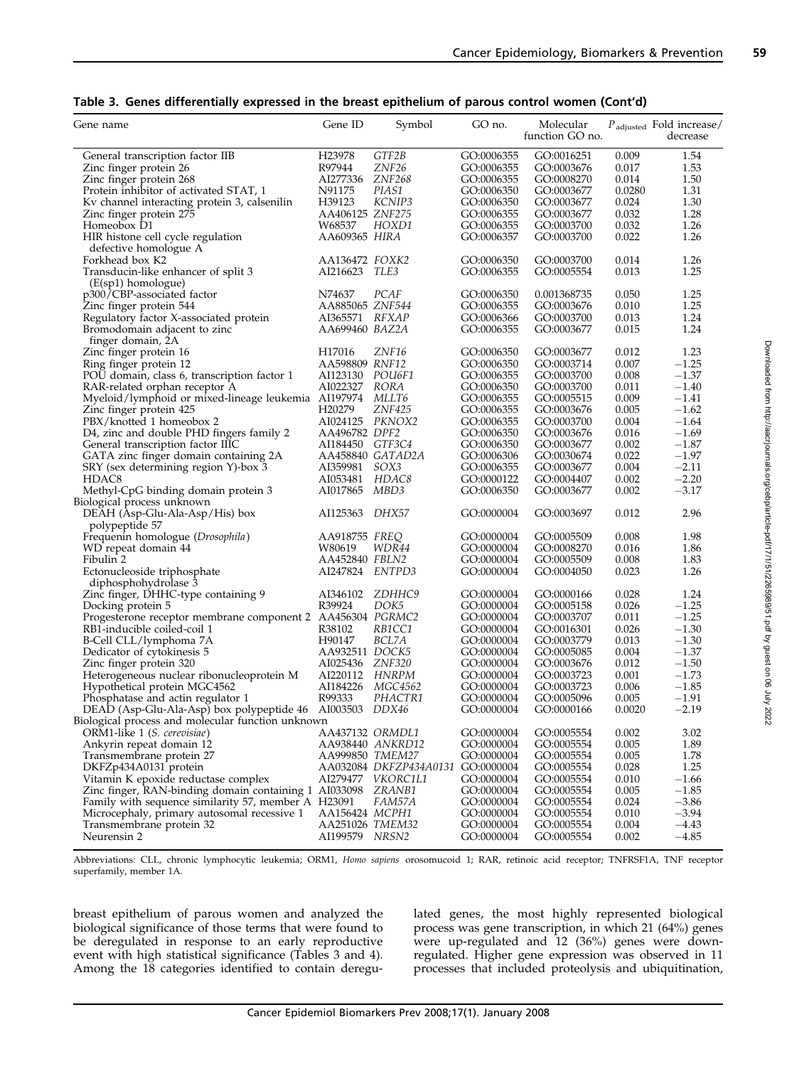|  |  |  |  | Table 3. Genes differentially expressed in the breast epithelium of parous control women (Cont'd) |
|--|--|--|--|---------------------------------------------------------------------------------------------------|
|--|--|--|--|---------------------------------------------------------------------------------------------------|

| Gene name                                                    | Gene ID                           | Symbol                            | GO no.                   | Molecular<br>function GO no. |                | $P_{\text{adjusted}}$ Fold increase/<br>decrease |
|--------------------------------------------------------------|-----------------------------------|-----------------------------------|--------------------------|------------------------------|----------------|--------------------------------------------------|
| General transcription factor IIB                             | H <sub>23978</sub>                | GTF2B                             | GO:0006355               | GO:0016251                   | 0.009          | 1.54                                             |
| Zinc finger protein 26                                       | R97944                            | ZNF <sub>26</sub>                 | GO:0006355               | GO:0003676                   | 0.017          | 1.53                                             |
| Zinc finger protein 268                                      | AI277336                          | ZNF268                            | GO:0006355               | GO:0008270                   | 0.014          | 1.50                                             |
| Protein inhibitor of activated STAT, 1                       | N91175                            | PIAS1                             | GO:0006350               | GO:0003677                   | 0.0280         | 1.31                                             |
| Kv channel interacting protein 3, calsenilin                 | H39123                            | KCNIP3                            | GO:0006350               | GO:0003677                   | 0.024          | 1.30                                             |
|                                                              | AA406125 ZNF275                   |                                   | GO:0006355               | GO:0003677                   | 0.032          | 1.28                                             |
| Zinc finger protein 275<br>Homeobox D1                       | W68537                            | HOXD1                             | GO:0006355               | GO:0003700                   | 0.032          | 1.26                                             |
| HIR histone cell cycle regulation                            | AA609365 HIR <i>A</i>             |                                   | GO:0006357               | GO:0003700                   | 0.022          | 1.26                                             |
| defective homologue A                                        | AA136472 FOXK2                    |                                   |                          |                              | 0.014          |                                                  |
| Forkhead box K2                                              |                                   |                                   | GO:0006350               | GO:0003700                   |                | 1.26                                             |
| Transducin-like enhancer of split 3<br>$(E(sp1)$ homologue)  | AI216623                          | TLE3                              | GO:0006355               | GO:0005554                   | 0.013          | 1.25                                             |
| p300/CBP-associated factor                                   | N74637                            | PCAF                              | GO:0006350               | 0.001368735                  | 0.050          | 1.25                                             |
| Zinc finger protein 544                                      | AA885065 ZNF544                   |                                   | GO:0006355               | GO:0003676                   | 0.010          | 1.25                                             |
| Regulatory factor X-associated protein                       | AI365571                          | <i>RFXAP</i>                      | GO:0006366               | GO:0003700                   | 0.013          | 1.24                                             |
| Bromodomain adjacent to zinc<br>finger domain, 2A            | AA699460 BAZ2A                    |                                   | GO:0006355               | GO:0003677                   | 0.015          | 1.24                                             |
| Zinc finger protein 16                                       | H <sub>17016</sub>                | ZNF16                             | GO:0006350               | GO:0003677                   | 0.012          | 1.23                                             |
| Ring finger protein 12                                       | AA598809 RNF12                    |                                   | GO:0006350               | GO:0003714                   | 0.007          | $-1.25$                                          |
| POU domain, class 6, transcription factor 1                  | AI123130 POU6F1                   |                                   | GO:0006355               | GO:0003700                   | 0.008          | $-1.37$                                          |
| RAR-related orphan receptor A                                | AI022327                          | RORA                              | GO:0006350               | GO:0003700                   | 0.011          | $-1.40$                                          |
| Myeloid/lymphoid or mixed-lineage leukemia AI197974          |                                   | MLLT6                             | GO:0006355               | GO:0005515                   | 0.009          | $-1.41$                                          |
| Zinc finger protein 425                                      | H <sub>20279</sub>                | <b>ZNF425</b>                     | GO:0006355               | GO:0003676                   | 0.005          | $-1.62$                                          |
| PBX/knotted 1 homeobox 2                                     | AI024125 PKNOX2                   |                                   | GO:0006355               | GO:0003700                   | 0.004          | $-1.64$                                          |
| D4, zinc and double PHD fingers family 2                     | AA496782 DPF2                     |                                   | GO:0006350               | GO:0003676                   | 0.016          | $-1.69$                                          |
| General transcription factor IIIC                            | AI184450 GTF3C4                   |                                   | GO:0006350               | GO:0003677                   | 0.002          | $-1.87$                                          |
| GATA zinc finger domain containing 2A                        |                                   | AA458840 GATAD2A                  | GO:0006306               | GO:0030674                   | 0.022          | $-1.97$                                          |
|                                                              | AI359981                          | SOX3                              |                          |                              | 0.004          | $-2.11$                                          |
| SRY (sex determining region Y)-box 3<br>HDAC <sub>8</sub>    |                                   |                                   | GO:0006355               | GO:0003677                   | 0.002          | $-2.20$                                          |
|                                                              | AI053481                          | HDAC8                             | GO:0000122               | GO:0004407                   |                |                                                  |
| Methyl-CpG binding domain protein 3                          | AI017865                          | MBD3                              | GO:0006350               | GO:0003677                   | 0.002          | $-3.17$                                          |
| Biological process unknown<br>DEAH (Asp-Glu-Ala-Asp/His) box | AI125363                          | DHX57                             | GO:0000004               | GO:0003697                   | 0.012          | 2.96                                             |
| polypeptide 57                                               |                                   |                                   |                          |                              |                |                                                  |
| Frequenin homologue (Drosophila)                             | AA918755 FREQ                     |                                   | GO:0000004               | GO:0005509                   | 0.008          | 1.98                                             |
| WD repeat domain 44                                          | W80619                            | WDR44                             | GO:0000004               | GO:0008270                   | 0.016          | 1.86                                             |
| Fibulin 2                                                    | AA452840 FBLN2                    |                                   | GO:0000004               | GO:0005509                   | 0.008          | 1.83                                             |
| Ectonucleoside triphosphate<br>diphosphohydrolase 3          | AI247824 ENTPD3                   |                                   | GO:0000004               | GO:0004050                   | 0.023          | 1.26                                             |
| Zinc finger, DHHC-type containing 9                          | AI346102                          | ZDHHC9                            | GO:0000004               | GO:0000166                   | 0.028          | 1.24                                             |
| Docking protein 5                                            | R39924                            | DOK5                              | GO:0000004               | GO:0005158                   | 0.026          | $-1.25$                                          |
| Progesterone receptor membrane component 2 AA456304 PGRMC2   |                                   |                                   | GO:0000004               | GO:0003707                   | 0.011          | $-1.25$                                          |
| RB1-inducible coiled-coil 1                                  | R38102                            | RB1CC1                            | GO:0000004               | GO:0016301                   | 0.026          | $-1.30$                                          |
| B-Cell CLL/lymphoma 7A                                       | H90147                            | BCL7A                             | GO:0000004               | GO:0003779                   | 0.013          | $-1.30$                                          |
| Dedicator of cytokinesis 5                                   | AA932511 DOCK5                    |                                   | GO:0000004               | GO:0005085                   | 0.004          | $-1.37$                                          |
| Zinc finger protein 320                                      | AI025436 ZNF320                   |                                   | GO:0000004               | GO:0003676                   | 0.012          | $-1.50$                                          |
| Heterogeneous nuclear ribonucleoprotein M                    | AI220112 HNRPM                    |                                   | GO:0000004               | GO:0003723                   | 0.001          | $-1.73$                                          |
| Hypothetical protein MGC4562                                 | AI184226                          | MGC4562                           | GO:0000004               | GO:0003723                   | 0.006          | $-1.85$                                          |
| Phosphatase and actin regulator 1                            | R99333                            | PHACTR1                           | GO:0000004               | GO:0005096                   | 0.005          | $-1.91$                                          |
| DEAD (Asp-Glu-Ala-Asp) box polypeptide 46 AI003503           |                                   | DDX46                             | GO:0000004               | GO:0000166                   | 0.0020         | $-2.19$                                          |
| Biological process and molecular function unknown            |                                   |                                   |                          |                              | 0.002          |                                                  |
| ORM1-like 1 (S. cerevisiae)                                  | AA437132 ORMDL1                   |                                   | GO:0000004               | GO:0005554                   |                | 3.02                                             |
| Ankyrin repeat domain 12                                     |                                   | AA938440 ANKRD12                  | GO:0000004               | GO:0005554                   | 0.005          | 1.89                                             |
| Transmembrane protein 27                                     | AA999850 TMEM27                   |                                   | GO:0000004               | GO:0005554                   | 0.005          | 1.78                                             |
| DKFZp434A0131 protein                                        |                                   | AA032084 DKFZP434A0131 GO:0000004 |                          | GO:0005554                   | 0.028          | 1.25                                             |
| Vitamin K epoxide reductase complex                          |                                   | AI279477 VKORC1L1                 | GO:0000004               | GO:0005554                   | 0.010          | $-1.66$                                          |
| Zinc finger, RAN-binding domain containing 1 AI033098        |                                   | ZRANB1                            | GO:0000004               | GO:0005554                   | 0.005          | $-1.85$                                          |
| Family with sequence similarity 57, member A H23091          |                                   | FAM57A                            | GO:0000004               | GO:0005554                   | 0.024          | $-3.86$                                          |
| Microcephaly, primary autosomal recessive 1                  | AA156424 MCPH1                    |                                   | GO:0000004               | GO:0005554                   | 0.010          | $-3.94$                                          |
| Transmembrane protein 32<br>Neurensin 2                      | AA251026 TMEM32<br>AI199579 NRSN2 |                                   | GO:0000004<br>GO:0000004 | GO:0005554<br>GO:0005554     | 0.004<br>0.002 | $-4.43$<br>$-4.85$                               |
|                                                              |                                   |                                   |                          |                              |                |                                                  |

Abbreviations: CLL, chronic lymphocytic leukemia; ORM1, Homo sapiens orosomucoid 1; RAR, retinoic acid receptor; TNFRSF1A, TNF receptor superfamily, member 1A.

breast epithelium of parous women and analyzed the biological significance of those terms that were found to be deregulated in response to an early reproductive event with high statistical significance (Tables 3 and 4). Among the 18 categories identified to contain deregulated genes, the most highly represented biological process was gene transcription, in which 21 (64%) genes were up-regulated and 12 (36%) genes were downregulated. Higher gene expression was observed in 11 processes that included proteolysis and ubiquitination,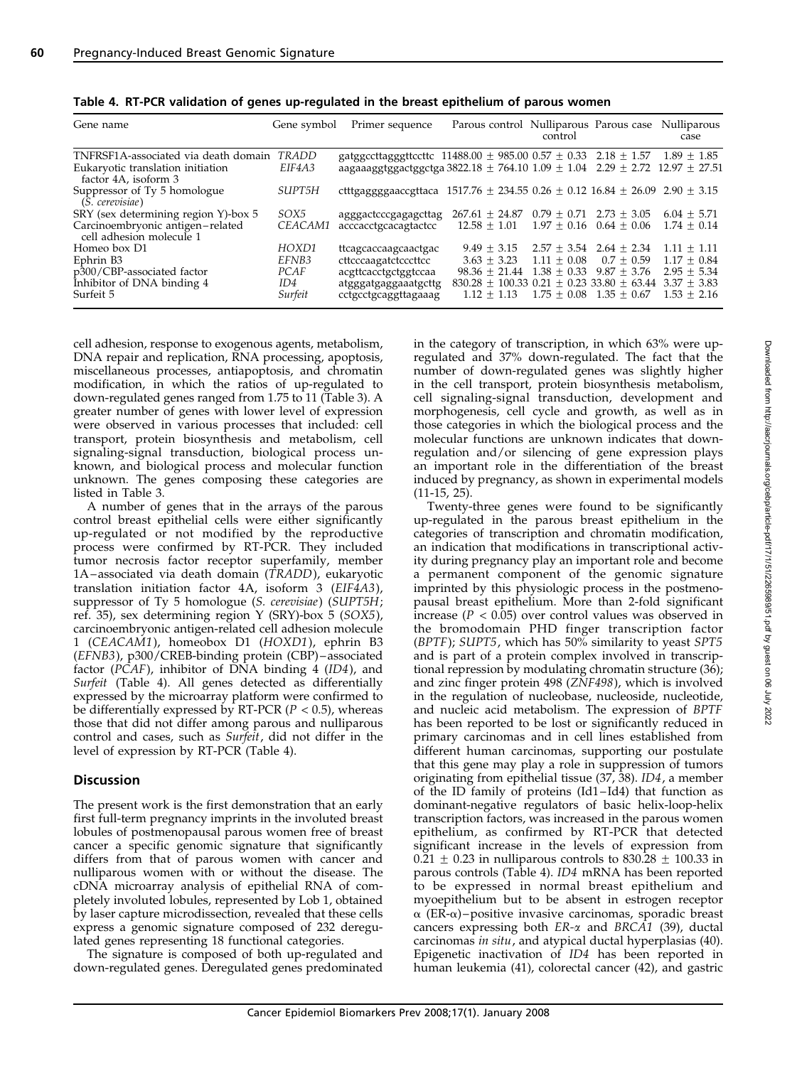| Gene name                                                                                            | Gene symbol                              | Primer sequence                                                                                                                                                                           | Parous control Nulliparous Parous case Nulliparous                                                                                            | control                                                                                                            |                             | case                                                             |
|------------------------------------------------------------------------------------------------------|------------------------------------------|-------------------------------------------------------------------------------------------------------------------------------------------------------------------------------------------|-----------------------------------------------------------------------------------------------------------------------------------------------|--------------------------------------------------------------------------------------------------------------------|-----------------------------|------------------------------------------------------------------|
| TNFRSF1A-associated via death domain<br>Eukaryotic translation initiation<br>factor 4A, isoform 3    | TRADD<br>EIF4A3                          | gatggccttagggttccttc $11488.00 \pm 985.00$ 0.57 $\pm$ 0.33 2.18 $\pm$ 1.57 1.89 $\pm$ 1.85<br>aagaaaggtggactggctga 3822.18 $\pm$ 764.10 1.09 $\pm$ 1.04 2.29 $\pm$ 2.72 12.97 $\pm$ 27.51 |                                                                                                                                               |                                                                                                                    |                             |                                                                  |
| Suppressor of Ty 5 homologue<br>(S. cerevisiae)                                                      | SUPT5H                                   | ctttgaggggaaccgttaca 1517.76 $\pm$ 234.55 0.26 $\pm$ 0.12 16.84 $\pm$ 26.09 2.90 $\pm$ 3.15                                                                                               |                                                                                                                                               |                                                                                                                    |                             |                                                                  |
| SRY (sex determining region Y)-box 5<br>Carcinoembryonic antigen-related<br>cell adhesion molecule 1 | SOX5<br>CEACAM1                          | agggactcccgagagcttag<br>acccacctgcacagtactcc                                                                                                                                              | $267.61 + 24.87$<br>$12.58 + 1.01$                                                                                                            | $0.79 + 0.71$ $2.73 + 3.05$                                                                                        | $1.97 + 0.16$ $0.64 + 0.06$ | $6.04 + 5.71$<br>$1.74 + 0.14$                                   |
| Homeo box D1<br>Ephrin B3<br>p300/CBP-associated factor<br>Inhibitor of DNA binding 4<br>Surfeit 5   | HOXD1<br>EFNB3<br>PCAF<br>ID4<br>Surfeit | ttcagcaccaagcaactgac<br>cttcccaagatctcccttcc<br>acgttcacctgctggtccaa<br>atgggatgaggaaatgcttg<br>cctgcctgcaggttagaaag                                                                      | $9.49 \pm 3.15$<br>$3.63 + 3.23$<br>$98.36 + 21.44$<br>$830.28 \pm 100.33$ 0.21 $\pm$ 0.23 33.80 $\pm$ 63.44 3.37 $\pm$ 3.83<br>$1.12 + 1.13$ | $2.57 \pm 3.54$ 2.64 $\pm$ 2.34<br>$1.11 + 0.08$<br>$1.38 + 0.33 + 9.87 + 3.76$<br>$1.75 \pm 0.08$ $1.35 \pm 0.67$ | $0.7 + 0.59$                | $1.11 + 1.11$<br>$1.17 + 0.84$<br>$2.95 + 5.34$<br>$1.53 + 2.16$ |

Table 4. RT-PCR validation of genes up-regulated in the breast epithelium of parous women

cell adhesion, response to exogenous agents, metabolism, DNA repair and replication, RNA processing, apoptosis, miscellaneous processes, antiapoptosis, and chromatin modification, in which the ratios of up-regulated to down-regulated genes ranged from 1.75 to 11 (Table 3). A greater number of genes with lower level of expression were observed in various processes that included: cell transport, protein biosynthesis and metabolism, cell signaling-signal transduction, biological process unknown, and biological process and molecular function unknown. The genes composing these categories are listed in Table 3.

A number of genes that in the arrays of the parous control breast epithelial cells were either significantly up-regulated or not modified by the reproductive process were confirmed by RT-PCR. They included tumor necrosis factor receptor superfamily, member 1A-associated via death domain (TRADD), eukaryotic translation initiation factor 4A, isoform 3 (EIF4A3), suppressor of Ty 5 homologue (S. cerevisiae) (SUPT5H; ref. 35), sex determining region Y (SRY)-box 5 (SOX5), carcinoembryonic antigen-related cell adhesion molecule 1 (CEACAM1), homeobox D1 (HOXD1), ephrin B3 (EFNB3), p300/CREB-binding protein (CBP) – associated factor ( $\overline{PCAF}$ ), inhibitor of  $\overline{DNA}$  binding 4 (ID4), and Surfeit (Table 4). All genes detected as differentially expressed by the microarray platform were confirmed to be differentially expressed by RT-PCR ( $P < 0.5$ ), whereas those that did not differ among parous and nulliparous control and cases, such as Surfeit, did not differ in the level of expression by RT-PCR (Table 4).

#### **Discussion**

The present work is the first demonstration that an early first full-term pregnancy imprints in the involuted breast lobules of postmenopausal parous women free of breast cancer a specific genomic signature that significantly differs from that of parous women with cancer and nulliparous women with or without the disease. The cDNA microarray analysis of epithelial RNA of completely involuted lobules, represented by Lob 1, obtained by laser capture microdissection, revealed that these cells express a genomic signature composed of 232 deregulated genes representing 18 functional categories.

The signature is composed of both up-regulated and down-regulated genes. Deregulated genes predominated in the category of transcription, in which 63% were upregulated and 37% down-regulated. The fact that the number of down-regulated genes was slightly higher in the cell transport, protein biosynthesis metabolism, cell signaling-signal transduction, development and morphogenesis, cell cycle and growth, as well as in those categories in which the biological process and the molecular functions are unknown indicates that downregulation and/or silencing of gene expression plays an important role in the differentiation of the breast induced by pregnancy, as shown in experimental models (11-15, 25).

Twenty-three genes were found to be significantly up-regulated in the parous breast epithelium in the categories of transcription and chromatin modification, an indication that modifications in transcriptional activity during pregnancy play an important role and become a permanent component of the genomic signature imprinted by this physiologic process in the postmenopausal breast epithelium. More than 2-fold significant increase ( $P < 0.05$ ) over control values was observed in the bromodomain PHD finger transcription factor (BPTF); SUPT5, which has 50% similarity to yeast SPT5 and is part of a protein complex involved in transcriptional repression by modulating chromatin structure (36); and zinc finger protein 498 (ZNF498), which is involved in the regulation of nucleobase, nucleoside, nucleotide, and nucleic acid metabolism. The expression of BPTF has been reported to be lost or significantly reduced in primary carcinomas and in cell lines established from different human carcinomas, supporting our postulate that this gene may play a role in suppression of tumors originating from epithelial tissue (37, 38). ID4, a member of the ID family of proteins (Id1 – Id4) that function as dominant-negative regulators of basic helix-loop-helix transcription factors, was increased in the parous women epithelium, as confirmed by RT-PCR that detected significant increase in the levels of expression from  $0.21 \pm 0.23$  in nulliparous controls to 830.28  $\pm$  100.33 in parous controls (Table 4). ID4 mRNA has been reported to be expressed in normal breast epithelium and myoepithelium but to be absent in estrogen receptor  $\alpha$  (ER- $\alpha$ ) – positive invasive carcinomas, sporadic breast cancers expressing both  $ER-\alpha$  and  $BRCA1$  (39), ductal carcinomas in situ, and atypical ductal hyperplasias (40). Epigenetic inactivation of ID4 has been reported in human leukemia (41), colorectal cancer (42), and gastric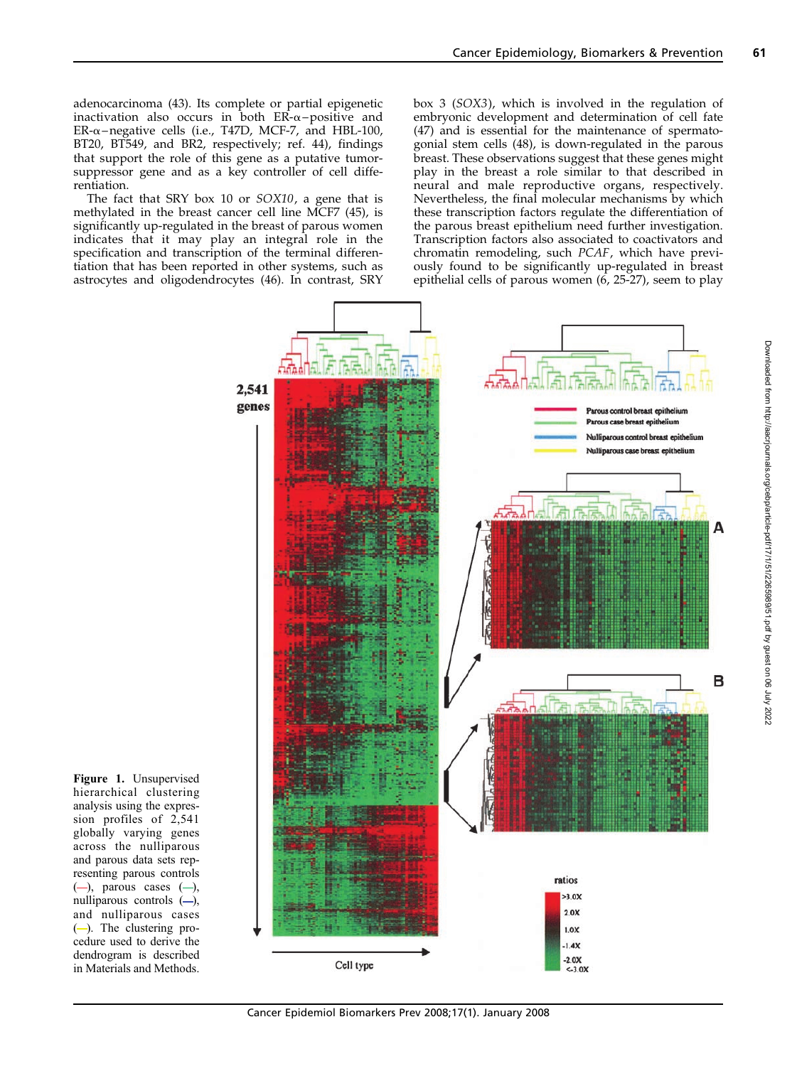adenocarcinoma (43). Its complete or partial epigenetic inactivation also occurs in both  $ER-\alpha$ –positive and ER- $\alpha$ –negative cells (i.e., T47D, MCF-7, and HBL-100, BT20, BT549, and BR2, respectively; ref. 44), findings that support the role of this gene as a putative tumorsuppressor gene and as a key controller of cell differentiation.

The fact that SRY box 10 or SOX10, a gene that is methylated in the breast cancer cell line MCF7 (45), is significantly up-regulated in the breast of parous women indicates that it may play an integral role in the specification and transcription of the terminal differentiation that has been reported in other systems, such as astrocytes and oligodendrocytes (46). In contrast, SRY box 3 (SOX3), which is involved in the regulation of embryonic development and determination of cell fate (47) and is essential for the maintenance of spermatogonial stem cells (48), is down-regulated in the parous breast. These observations suggest that these genes might play in the breast a role similar to that described in neural and male reproductive organs, respectively. Nevertheless, the final molecular mechanisms by which these transcription factors regulate the differentiation of the parous breast epithelium need further investigation. Transcription factors also associated to coactivators and chromatin remodeling, such PCAF, which have previously found to be significantly up-regulated in breast epithelial cells of parous women (6, 25-27), seem to play



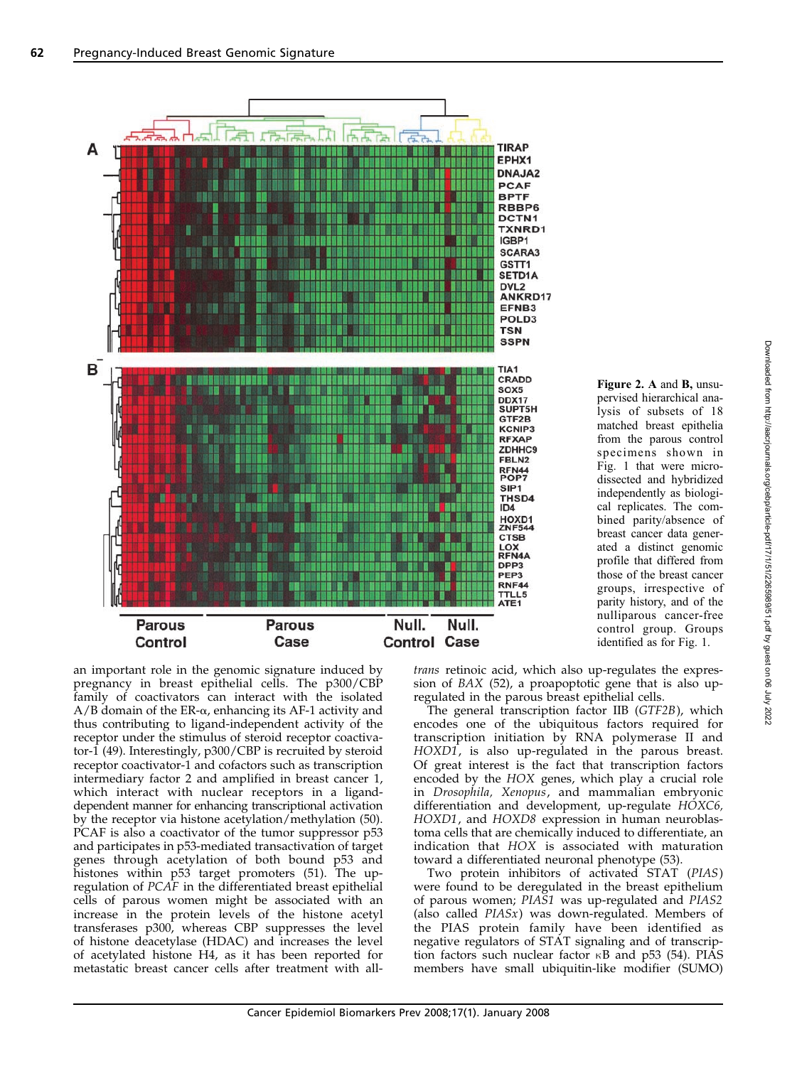

Figure 2. A and B, unsupervised hierarchical analysis of subsets of 18 matched breast epithelia from the parous control specimens shown in Fig. 1 that were microdissected and hybridized independently as biological replicates. The combined parity/absence of breast cancer data generated a distinct genomic profile that differed from those of the breast cancer groups, irrespective of parity history, and of the nulliparous cancer-free control group. Groups identified as for Fig. 1.

an important role in the genomic signature induced by pregnancy in breast epithelial cells. The p300/CBP family of coactivators can interact with the isolated  $A/B$  domain of the ER- $\alpha$ , enhancing its AF-1 activity and thus contributing to ligand-independent activity of the receptor under the stimulus of steroid receptor coactivator-1 (49). Interestingly, p300/CBP is recruited by steroid receptor coactivator-1 and cofactors such as transcription intermediary factor 2 and amplified in breast cancer 1, which interact with nuclear receptors in a liganddependent manner for enhancing transcriptional activation by the receptor via histone acetylation/methylation (50). PCAF is also a coactivator of the tumor suppressor p53 and participates in p53-mediated transactivation of target genes through acetylation of both bound p53 and histones within p53 target promoters (51). The upregulation of PCAF in the differentiated breast epithelial cells of parous women might be associated with an increase in the protein levels of the histone acetyl transferases p300, whereas CBP suppresses the level of histone deacetylase (HDAC) and increases the level of acetylated histone H4, as it has been reported for metastatic breast cancer cells after treatment with all-

trans retinoic acid, which also up-regulates the expression of BAX (52), a proapoptotic gene that is also upregulated in the parous breast epithelial cells.

The general transcription factor IIB (GTF2B), which encodes one of the ubiquitous factors required for transcription initiation by RNA polymerase II and HOXD1, is also up-regulated in the parous breast. Of great interest is the fact that transcription factors encoded by the HOX genes, which play a crucial role in Drosophila, Xenopus, and mammalian embryonic differentiation and development, up-regulate HOXC6, HOXD1, and HOXD8 expression in human neuroblastoma cells that are chemically induced to differentiate, an indication that HOX is associated with maturation toward a differentiated neuronal phenotype (53).

Two protein inhibitors of activated STAT (PIAS) were found to be deregulated in the breast epithelium of parous women; PIAS1 was up-regulated and PIAS2 (also called PIASx) was down-regulated. Members of the PIAS protein family have been identified as negative regulators of STAT signaling and of transcription factors such nuclear factor  $\kappa$ B and p53 (54). PIAS members have small ubiquitin-like modifier (SUMO)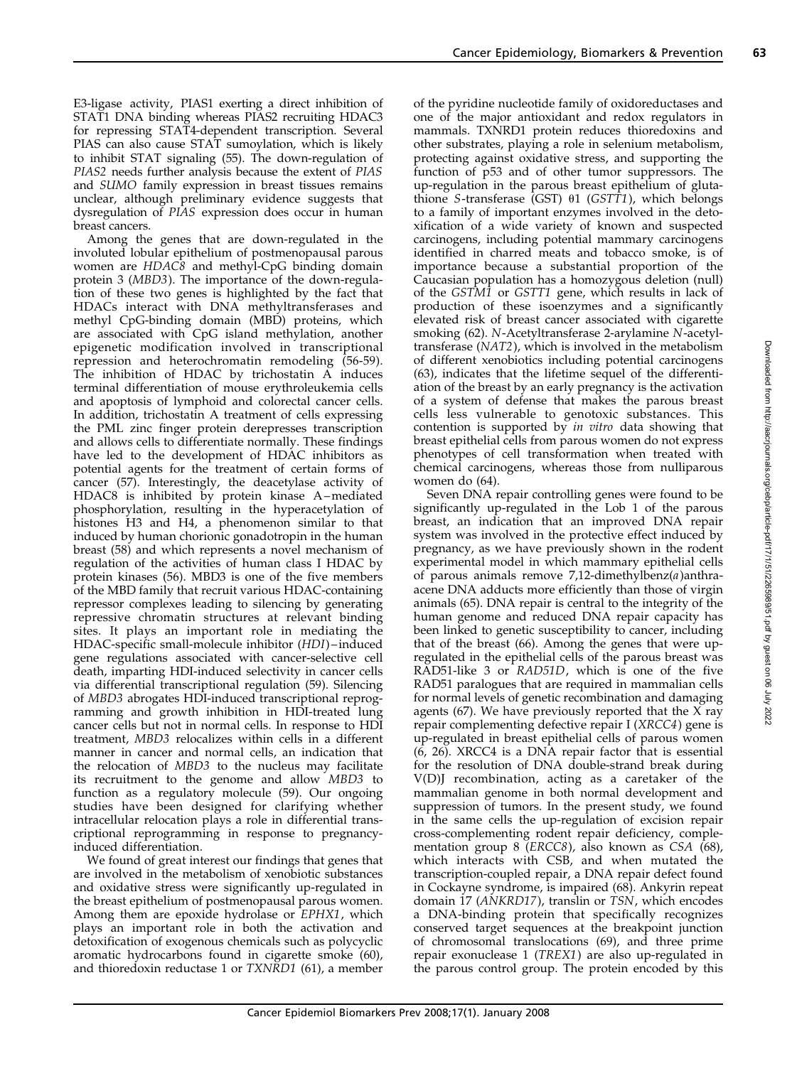E3-ligase activity, PIAS1 exerting a direct inhibition of STAT1 DNA binding whereas PIAS2 recruiting HDAC3 for repressing STAT4-dependent transcription. Several PIAS can also cause STAT sumoylation, which is likely to inhibit STAT signaling (55). The down-regulation of PIAS2 needs further analysis because the extent of PIAS and SUMO family expression in breast tissues remains unclear, although preliminary evidence suggests that dysregulation of PIAS expression does occur in human breast cancers.

Among the genes that are down-regulated in the involuted lobular epithelium of postmenopausal parous women are HDAC8 and methyl-CpG binding domain protein 3 (MBD3). The importance of the down-regulation of these two genes is highlighted by the fact that HDACs interact with DNA methyltransferases and methyl CpG-binding domain (MBD) proteins, which are associated with CpG island methylation, another epigenetic modification involved in transcriptional repression and heterochromatin remodeling (56-59). The inhibition of HDAC by trichostatin A induces terminal differentiation of mouse erythroleukemia cells and apoptosis of lymphoid and colorectal cancer cells. In addition, trichostatin A treatment of cells expressing the PML zinc finger protein derepresses transcription and allows cells to differentiate normally. These findings have led to the development of HDAC inhibitors as potential agents for the treatment of certain forms of cancer (57). Interestingly, the deacetylase activity of HDAC8 is inhibited by protein kinase A-mediated phosphorylation, resulting in the hyperacetylation of histones H3 and H4, a phenomenon similar to that induced by human chorionic gonadotropin in the human breast (58) and which represents a novel mechanism of regulation of the activities of human class I HDAC by protein kinases (56). MBD3 is one of the five members of the MBD family that recruit various HDAC-containing repressor complexes leading to silencing by generating repressive chromatin structures at relevant binding sites. It plays an important role in mediating the HDAC-specific small-molecule inhibitor (HDI)-induced gene regulations associated with cancer-selective cell death, imparting HDI-induced selectivity in cancer cells via differential transcriptional regulation (59). Silencing of MBD3 abrogates HDI-induced transcriptional reprogramming and growth inhibition in HDI-treated lung cancer cells but not in normal cells. In response to HDI treatment, MBD3 relocalizes within cells in a different manner in cancer and normal cells, an indication that the relocation of MBD3 to the nucleus may facilitate its recruitment to the genome and allow MBD3 to function as a regulatory molecule (59). Our ongoing studies have been designed for clarifying whether intracellular relocation plays a role in differential transcriptional reprogramming in response to pregnancyinduced differentiation.

We found of great interest our findings that genes that are involved in the metabolism of xenobiotic substances and oxidative stress were significantly up-regulated in the breast epithelium of postmenopausal parous women. Among them are epoxide hydrolase or EPHX1, which plays an important role in both the activation and detoxification of exogenous chemicals such as polycyclic aromatic hydrocarbons found in cigarette smoke (60), and thioredoxin reductase 1 or TXNRD1 (61), a member of the pyridine nucleotide family of oxidoreductases and one of the major antioxidant and redox regulators in mammals. TXNRD1 protein reduces thioredoxins and other substrates, playing a role in selenium metabolism, protecting against oxidative stress, and supporting the function of p53 and of other tumor suppressors. The up-regulation in the parous breast epithelium of glutathione S-transferase  $(GST)$   $\theta$ 1 ( $GSTT1$ ), which belongs to a family of important enzymes involved in the detoxification of a wide variety of known and suspected carcinogens, including potential mammary carcinogens identified in charred meats and tobacco smoke, is of importance because a substantial proportion of the Caucasian population has a homozygous deletion (null) of the GSTM1 or GSTT1 gene, which results in lack of production of these isoenzymes and a significantly elevated risk of breast cancer associated with cigarette smoking (62). N-Acetyltransferase 2-arylamine N-acetyltransferase (NAT2), which is involved in the metabolism of different xenobiotics including potential carcinogens (63), indicates that the lifetime sequel of the differentiation of the breast by an early pregnancy is the activation of a system of defense that makes the parous breast cells less vulnerable to genotoxic substances. This contention is supported by in vitro data showing that breast epithelial cells from parous women do not express phenotypes of cell transformation when treated with chemical carcinogens, whereas those from nulliparous women do (64).

Seven DNA repair controlling genes were found to be significantly up-regulated in the Lob 1 of the parous breast, an indication that an improved DNA repair system was involved in the protective effect induced by pregnancy, as we have previously shown in the rodent experimental model in which mammary epithelial cells of parous animals remove 7,12-dimethylbenz(a)anthraacene DNA adducts more efficiently than those of virgin animals (65). DNA repair is central to the integrity of the human genome and reduced DNA repair capacity has been linked to genetic susceptibility to cancer, including that of the breast (66). Among the genes that were upregulated in the epithelial cells of the parous breast was RAD51-like 3 or RAD51D, which is one of the five RAD51 paralogues that are required in mammalian cells for normal levels of genetic recombination and damaging agents (67). We have previously reported that the X ray repair complementing defective repair I (XRCC4) gene is up-regulated in breast epithelial cells of parous women (6, 26). XRCC4 is a DNA repair factor that is essential for the resolution of DNA double-strand break during V(D)J recombination, acting as a caretaker of the mammalian genome in both normal development and suppression of tumors. In the present study, we found in the same cells the up-regulation of excision repair cross-complementing rodent repair deficiency, complementation group 8 (ERCC8), also known as CSA (68), which interacts with CSB, and when mutated the transcription-coupled repair, a DNA repair defect found in Cockayne syndrome, is impaired (68). Ankyrin repeat domain 17 (ANKRD17), translin or TSN, which encodes a DNA-binding protein that specifically recognizes conserved target sequences at the breakpoint junction of chromosomal translocations (69), and three prime repair exonuclease 1 (TREX1) are also up-regulated in the parous control group. The protein encoded by this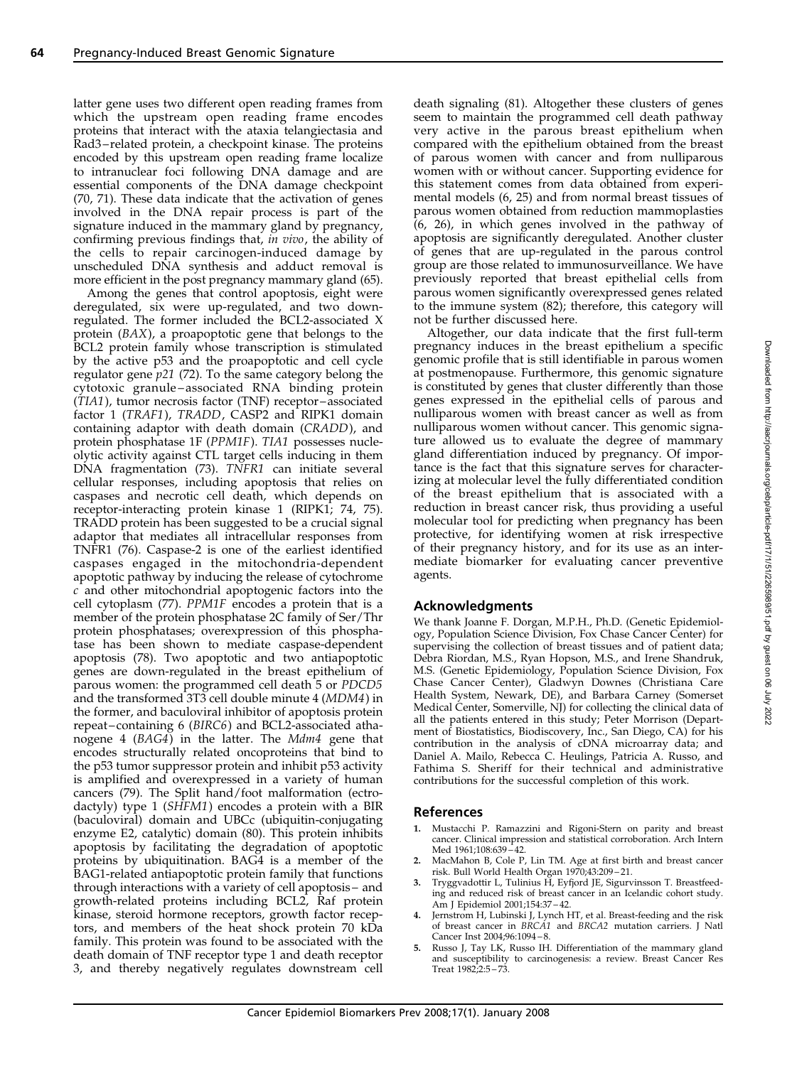latter gene uses two different open reading frames from which the upstream open reading frame encodes proteins that interact with the ataxia telangiectasia and Rad3 – related protein, a checkpoint kinase. The proteins encoded by this upstream open reading frame localize to intranuclear foci following DNA damage and are essential components of the DNA damage checkpoint (70, 71). These data indicate that the activation of genes involved in the DNA repair process is part of the signature induced in the mammary gland by pregnancy, confirming previous findings that, in vivo, the ability of the cells to repair carcinogen-induced damage by unscheduled DNA synthesis and adduct removal is more efficient in the post pregnancy mammary gland (65).

Among the genes that control apoptosis, eight were deregulated, six were up-regulated, and two downregulated. The former included the BCL2-associated X protein (BAX), a proapoptotic gene that belongs to the BCL2 protein family whose transcription is stimulated by the active p53 and the proapoptotic and cell cycle regulator gene  $p21$  (72). To the same category belong the cytotoxic granule – associated RNA binding protein (TIA1), tumor necrosis factor (TNF) receptor – associated factor 1 (TRAF1), TRADD, CASP2 and RIPK1 domain containing adaptor with death domain (CRADD), and protein phosphatase 1F (PPM1F). TIA1 possesses nucleolytic activity against CTL target cells inducing in them DNA fragmentation (73). TNFR1 can initiate several cellular responses, including apoptosis that relies on caspases and necrotic cell death, which depends on receptor-interacting protein kinase 1 (RIPK1; 74, 75). TRADD protein has been suggested to be a crucial signal adaptor that mediates all intracellular responses from TNFR1 (76). Caspase-2 is one of the earliest identified caspases engaged in the mitochondria-dependent apoptotic pathway by inducing the release of cytochrome c and other mitochondrial apoptogenic factors into the cell cytoplasm (77). PPM1F encodes a protein that is a member of the protein phosphatase 2C family of Ser/Thr protein phosphatases; overexpression of this phosphatase has been shown to mediate caspase-dependent apoptosis (78). Two apoptotic and two antiapoptotic genes are down-regulated in the breast epithelium of parous women: the programmed cell death 5 or PDCD5 and the transformed 3T3 cell double minute 4 (MDM4) in the former, and baculoviral inhibitor of apoptosis protein repeat – containing 6 (BIRC6) and BCL2-associated athanogene 4 (BAG4) in the latter. The Mdm4 gene that encodes structurally related oncoproteins that bind to the p53 tumor suppressor protein and inhibit p53 activity is amplified and overexpressed in a variety of human cancers (79). The Split hand/foot malformation (ectrodactyly) type 1 (SHFM1) encodes a protein with a BIR (baculoviral) domain and UBCc (ubiquitin-conjugating enzyme E2, catalytic) domain (80). This protein inhibits apoptosis by facilitating the degradation of apoptotic proteins by ubiquitination. BAG4 is a member of the BAG1-related antiapoptotic protein family that functions through interactions with a variety of cell apoptosis – and growth-related proteins including BCL2, Raf protein kinase, steroid hormone receptors, growth factor receptors, and members of the heat shock protein 70 kDa family. This protein was found to be associated with the death domain of TNF receptor type 1 and death receptor 3, and thereby negatively regulates downstream cell

death signaling (81). Altogether these clusters of genes seem to maintain the programmed cell death pathway very active in the parous breast epithelium when compared with the epithelium obtained from the breast of parous women with cancer and from nulliparous women with or without cancer. Supporting evidence for this statement comes from data obtained from experimental models (6, 25) and from normal breast tissues of parous women obtained from reduction mammoplasties  $(6, 26)$ , in which genes involved in the pathway of apoptosis are significantly deregulated. Another cluster of genes that are up-regulated in the parous control group are those related to immunosurveillance. We have previously reported that breast epithelial cells from parous women significantly overexpressed genes related to the immune system  $(82)$ ; therefore, this category will not be further discussed here.

Altogether, our data indicate that the first full-term pregnancy induces in the breast epithelium a specific genomic profile that is still identifiable in parous women at postmenopause. Furthermore, this genomic signature is constituted by genes that cluster differently than those genes expressed in the epithelial cells of parous and nulliparous women with breast cancer as well as from nulliparous women without cancer. This genomic signature allowed us to evaluate the degree of mammary gland differentiation induced by pregnancy. Of importance is the fact that this signature serves for characterizing at molecular level the fully differentiated condition of the breast epithelium that is associated with a reduction in breast cancer risk, thus providing a useful molecular tool for predicting when pregnancy has been protective, for identifying women at risk irrespective of their pregnancy history, and for its use as an intermediate biomarker for evaluating cancer preventive agents.

## Acknowledgments

We thank Joanne F. Dorgan, M.P.H., Ph.D. (Genetic Epidemiology, Population Science Division, Fox Chase Cancer Center) for supervising the collection of breast tissues and of patient data; Debra Riordan, M.S., Ryan Hopson, M.S., and Irene Shandruk, M.S. (Genetic Epidemiology, Population Science Division, Fox Chase Cancer Center), Gladwyn Downes (Christiana Care Health System, Newark, DE), and Barbara Carney (Somerset Medical Center, Somerville, NJ) for collecting the clinical data of all the patients entered in this study; Peter Morrison (Department of Biostatistics, Biodiscovery, Inc., San Diego, CA) for his contribution in the analysis of cDNA microarray data; and Daniel A. Mailo, Rebecca C. Heulings, Patricia A. Russo, and Fathima S. Sheriff for their technical and administrative contributions for the successful completion of this work.

## References

- 1. Mustacchi P. Ramazzini and Rigoni-Stern on parity and breast cancer. Clinical impression and statistical corroboration. Arch Intern Med 1961;108:639 – 42.
- MacMahon B, Cole P, Lin TM. Age at first birth and breast cancer risk. Bull World Health Organ 1970;43:209 – 21.
- 3. Tryggvadottir L, Tulinius H, Eyfjord JE, Sigurvinsson T. Breastfeeding and reduced risk of breast cancer in an Icelandic cohort study. Am J Epidemiol 2001;154:37 – 42.
- Jernstrom H, Lubinski J, Lynch HT, et al. Breast-feeding and the risk of breast cancer in BRCA1 and BRCA2 mutation carriers. J Natl Cancer Inst 2004;96:1094 – 8.
- Russo J, Tay LK, Russo IH. Differentiation of the mammary gland and susceptibility to carcinogenesis: a review. Breast Cancer Res Treat 1982;2:5 – 73.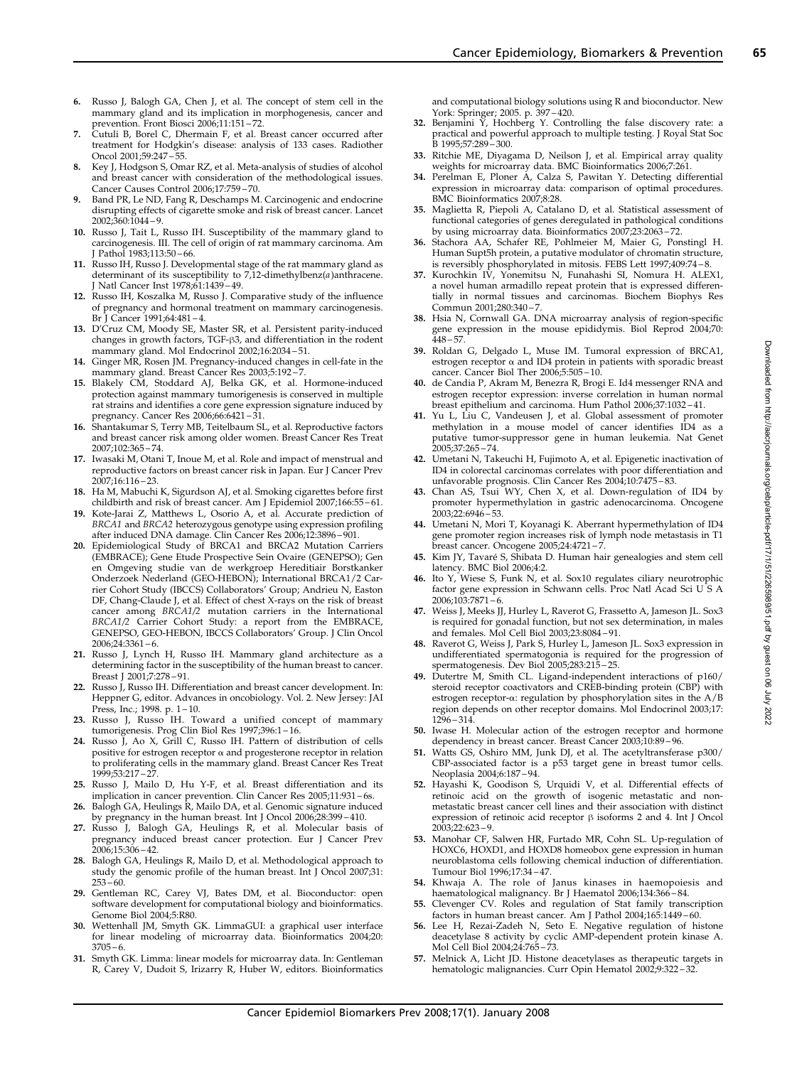- 6. Russo J, Balogh GA, Chen J, et al. The concept of stem cell in the mammary gland and its implication in morphogenesis, cancer and prevention. Front Biosci 2006;11:151 – 72.
- 7. Cutuli B, Borel C, Dhermain F, et al. Breast cancer occurred after treatment for Hodgkin's disease: analysis of 133 cases. Radiother Oncol 2001;59:247 – 55.
- Key J, Hodgson S, Omar RZ, et al. Meta-analysis of studies of alcohol and breast cancer with consideration of the methodological issues. Cancer Causes Control 2006;17:759 – 70.
- 9. Band PR, Le ND, Fang R, Deschamps M. Carcinogenic and endocrine disrupting effects of cigarette smoke and risk of breast cancer. Lancet 2002;360:1044 – 9.
- 10. Russo J, Tait L, Russo IH. Susceptibility of the mammary gland to carcinogenesis. III. The cell of origin of rat mammary carcinoma. Am J Pathol 1983;113:50 – 66.
- 11. Russo IH, Russo J. Developmental stage of the rat mammary gland as determinant of its susceptibility to 7,12-dimethylbenz(a)anthracene. J Natl Cancer Inst 1978;61:1439 – 49.
- 12. Russo IH, Koszalka M, Russo J. Comparative study of the influence of pregnancy and hormonal treatment on mammary carcinogenesis. Br J Cancer 1991;64:481 – 4.
- 13. D'Cruz CM, Moody SE, Master SR, et al. Persistent parity-induced changes in growth factors, TGF- $\beta$ 3, and differentiation in the rodent
- mammary gland. Mol Endocrinol 2002;16:2034 51. 14. Ginger MR, Rosen JM. Pregnancy-induced changes in cell-fate in the mammary gland. Breast Cancer Res 2003;5:192 – 7.
- 15. Blakely CM, Stoddard AJ, Belka GK, et al. Hormone-induced protection against mammary tumorigenesis is conserved in multiple rat strains and identifies a core gene expression signature induced by pregnancy. Cancer Res 2006;66:6421 – 31.
- 16. Shantakumar S, Terry MB, Teitelbaum SL, et al. Reproductive factors and breast cancer risk among older women. Breast Cancer Res Treat 2007;102:365 – 74.
- 17. Iwasaki M, Otani T, Inoue M, et al. Role and impact of menstrual and reproductive factors on breast cancer risk in Japan. Eur J Cancer Prev 2007;16:116 – 23.
- 18. Ha M, Mabuchi K, Sigurdson AJ, et al. Smoking cigarettes before first childbirth and risk of breast cancer. Am J Epidemiol 2007;166:55 – 61.
- 19. Kote-Jarai Z, Matthews L, Osorio A, et al. Accurate prediction of BRCA1 and BRCA2 heterozygous genotype using expression profiling after induced DNA damage. Clin Cancer Res 2006;12:3896 – 901.
- 20. Epidemiological Study of BRCA1 and BRCA2 Mutation Carriers (EMBRACE); Gene Etude Prospective Sein Ovaire (GENEPSO); Gen en Omgeving studie van de werkgroep Hereditiair Borstkanker Onderzoek Nederland (GEO-HEBON); International BRCA1/2 Carrier Cohort Study (IBCCS) Collaborators' Group; Andrieu N, Easton DF, Chang-Claude J, et al. Effect of chest X-rays on the risk of breast cancer among BRCA1/2 mutation carriers in the International BRCA1/2 Carrier Cohort Study: a report from the EMBRACE, GENEPSO, GEO-HEBON, IBCCS Collaborators' Group. J Clin Oncol  $2006;24:3361-6.$
- 21. Russo J, Lynch H, Russo IH. Mammary gland architecture as a determining factor in the susceptibility of the human breast to cancer. Breast J 2001;7:278 – 91.
- 22. Russo J, Russo IH. Differentiation and breast cancer development. In: Heppner G, editor. Advances in oncobiology. Vol. 2. New Jersey: JAI Press, Inc.; 1998. p. 1-10.
- 23. Russo J, Russo IH. Toward a unified concept of mammary tumorigenesis. Prog Clin Biol Res 1997;396:1 – 16.
- 24. Russo J, Ao X, Grill C, Russo IH. Pattern of distribution of cells positive for estrogen receptor  $\alpha$  and progesterone receptor in relation positive for estrogen receptor a and progesterone receptor in relation to proliferating cells in the mammary gland. Breast Cancer Res Treat 1999;53:217 – 27.
- 25. Russo J, Mailo D, Hu Y-F, et al. Breast differentiation and its implication in cancer prevention. Clin Cancer Res 2005;11:931 – 6s.
- 26. Balogh GA, Heulings R, Mailo DA, et al. Genomic signature induced by pregnancy in the human breast. Int J Oncol 2006;28:399 – 410.
- 27. Russo J, Balogh GA, Heulings R, et al. Molecular basis of pregnancy induced breast cancer protection. Eur J Cancer Prev 2006;15:306 – 42.
- 28. Balogh GA, Heulings R, Mailo D, et al. Methodological approach to study the genomic profile of the human breast. Int J Oncol 2007;31:  $253 - 60.$
- 29. Gentleman RC, Carey VJ, Bates DM, et al. Bioconductor: open software development for computational biology and bioinformatics. Genome Biol 2004;5:R80.
- 30. Wettenhall JM, Smyth GK. LimmaGUI: a graphical user interface for linear modeling of microarray data. Bioinformatics 2004;20:  $3705 - 6$
- 31. Smyth GK. Limma: linear models for microarray data. In: Gentleman R, Carey V, Dudoit S, Irizarry R, Huber W, editors. Bioinformatics

and computational biology solutions using R and bioconductor. New York: Springer;2005. p. 397 – 420.

- 32. Benjamini Y, Hochberg Y. Controlling the false discovery rate: a practical and powerful approach to multiple testing. J Royal Stat Soc B 1995;57:289 – 300.
- 33. Ritchie ME, Diyagama D, Neilson J, et al. Empirical array quality weights for microarray data. BMC Bioinformatics 2006;7:261.
- 34. Perelman E, Ploner A, Calza S, Pawitan Y. Detecting differential expression in microarray data: comparison of optimal procedures. BMC Bioinformatics 2007;8:28.
- 35. Maglietta R, Piepoli A, Catalano D, et al. Statistical assessment of functional categories of genes deregulated in pathological conditions by using microarray data. Bioinformatics 2007;23:2063 – 72.
- 36. Stachora AA, Schafer RE, Pohlmeier M, Maier G, Ponstingl H. Human Supt5h protein, a putative modulator of chromatin structure,
- is reversibly phosphorylated in mitosis. FEBS Lett 1997;409:74 8. 37. Kurochkin IV, Yonemitsu N, Funahashi SI, Nomura H. ALEX1, a novel human armadillo repeat protein that is expressed differentially in normal tissues and carcinomas. Biochem Biophys Res Commun 2001;280:340 – 7.
- 38. Hsia N, Cornwall GA. DNA microarray analysis of region-specific gene expression in the mouse epididymis. Biol Reprod 2004;70: 448 – 57.
- 39. Roldan G, Delgado L, Muse IM. Tumoral expression of BRCA1, estrogen receptor  $\alpha$  and ID4 protein in patients with sporadic breast cancer. Cancer Biol Ther 2006;5:505 – 10.
- 40. de Candia P, Akram M, Benezra R, Brogi E. Id4 messenger RNA and estrogen receptor expression: inverse correlation in human normal breast epithelium and carcinoma. Hum Pathol 2006;37:1032 – 41.
- 41. Yu L, Liu C, Vandeusen J, et al. Global assessment of promoter methylation in a mouse model of cancer identifies ID4 as a putative tumor-suppressor gene in human leukemia. Nat Genet 2005;37:265 – 74.
- 42. Umetani N, Takeuchi H, Fujimoto A, et al. Epigenetic inactivation of ID4 in colorectal carcinomas correlates with poor differentiation and unfavorable prognosis. Clin Cancer Res 2004;10:7475 – 83.
- 43. Chan AS, Tsui WY, Chen X, et al. Down-regulation of ID4 by promoter hypermethylation in gastric adenocarcinoma. Oncogene 2003;22:6946 – 53.
- 44. Umetani N, Mori T, Koyanagi K. Aberrant hypermethylation of ID4 gene promoter region increases risk of lymph node metastasis in T1 breast cancer. Oncogene 2005;24:4721 – 7.
- 45. Kim JY, Tavaré S, Shibata D. Human hair genealogies and stem cell latency. BMC Biol 2006;4:2.
- 46. Ito Y, Wiese S, Funk N, et al. Sox10 regulates ciliary neurotrophic factor gene expression in Schwann cells. Proc Natl Acad Sci U S A  $2006;103:7871-6.$
- 47. Weiss J, Meeks JJ, Hurley L, Raverot G, Frassetto A, Jameson JL. Sox3 is required for gonadal function, but not sex determination, in males and females. Mol Cell Biol 2003;23:8084 – 91.
- 48. Raverot G, Weiss J, Park S, Hurley L, Jameson JL. Sox3 expression in undifferentiated spermatogonia is required for the progression of spermatogenesis. Dev Biol 2005;283:215 – 25.
- 49. Dutertre M, Smith CL. Ligand-independent interactions of p160/ steroid receptor coactivators and CREB-binding protein (CBP) with estrogen receptor-a: regulation by phosphorylation sites in the A/B region depends on other receptor domains. Mol Endocrinol 2003;17: 1296 – 314.
- 50. Iwase H. Molecular action of the estrogen receptor and hormone dependency in breast cancer. Breast Cancer 2003;10:89 – 96.
- 51. Watts GS, Oshiro MM, Junk DJ, et al. The acetyltransferase p300/ CBP-associated factor is a p53 target gene in breast tumor cells. Neoplasia 2004;6:187 – 94.
- 52. Hayashi K, Goodison S, Urquidi V, et al. Differential effects of retinoic acid on the growth of isogenic metastatic and nonmetastatic breast cancer cell lines and their association with distinct expression of retinoic acid receptor  $\beta$  isoforms 2 and 4. Int J Oncol 2003;22:623 – 9.
- 53. Manohar CF, Salwen HR, Furtado MR, Cohn SL. Up-regulation of HOXC6, HOXD1, and HOXD8 homeobox gene expression in human neuroblastoma cells following chemical induction of differentiation. Tumour Biol 1996;17:34 – 47.
- 54. Khwaja A. The role of Janus kinases in haemopoiesis and haematological malignancy. Br J Haematol 2006;134:366-84.
- 55. Clevenger CV. Roles and regulation of Stat family transcription factors in human breast cancer. Am J Pathol 2004;165:1449 – 60.
- 56. Lee H, Rezai-Zadeh N, Seto E. Negative regulation of histone deacetylase 8 activity by cyclic AMP-dependent protein kinase A. Mol Cell Biol 2004;24:765 – 73.
- 57. Melnick A, Licht JD. Histone deacetylases as therapeutic targets in hematologic malignancies. Curr Opin Hematol 2002;9:322 – 32.